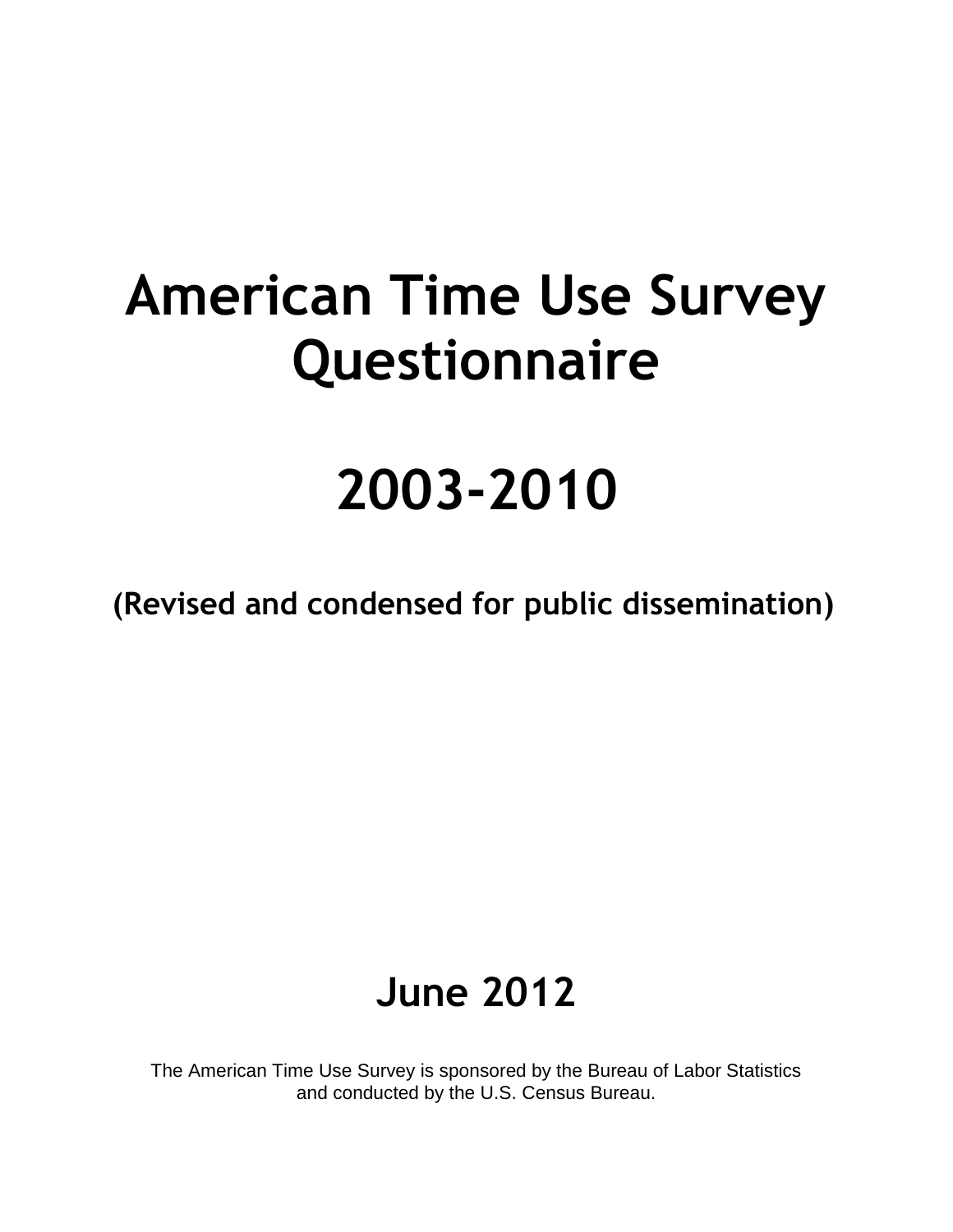# **American Time Use Survey Questionnaire**

# **2003-2010**

**(Revised and condensed for public dissemination)** 

# **June 2012**

The American Time Use Survey is sponsored by the Bureau of Labor Statistics and conducted by the U.S. Census Bureau.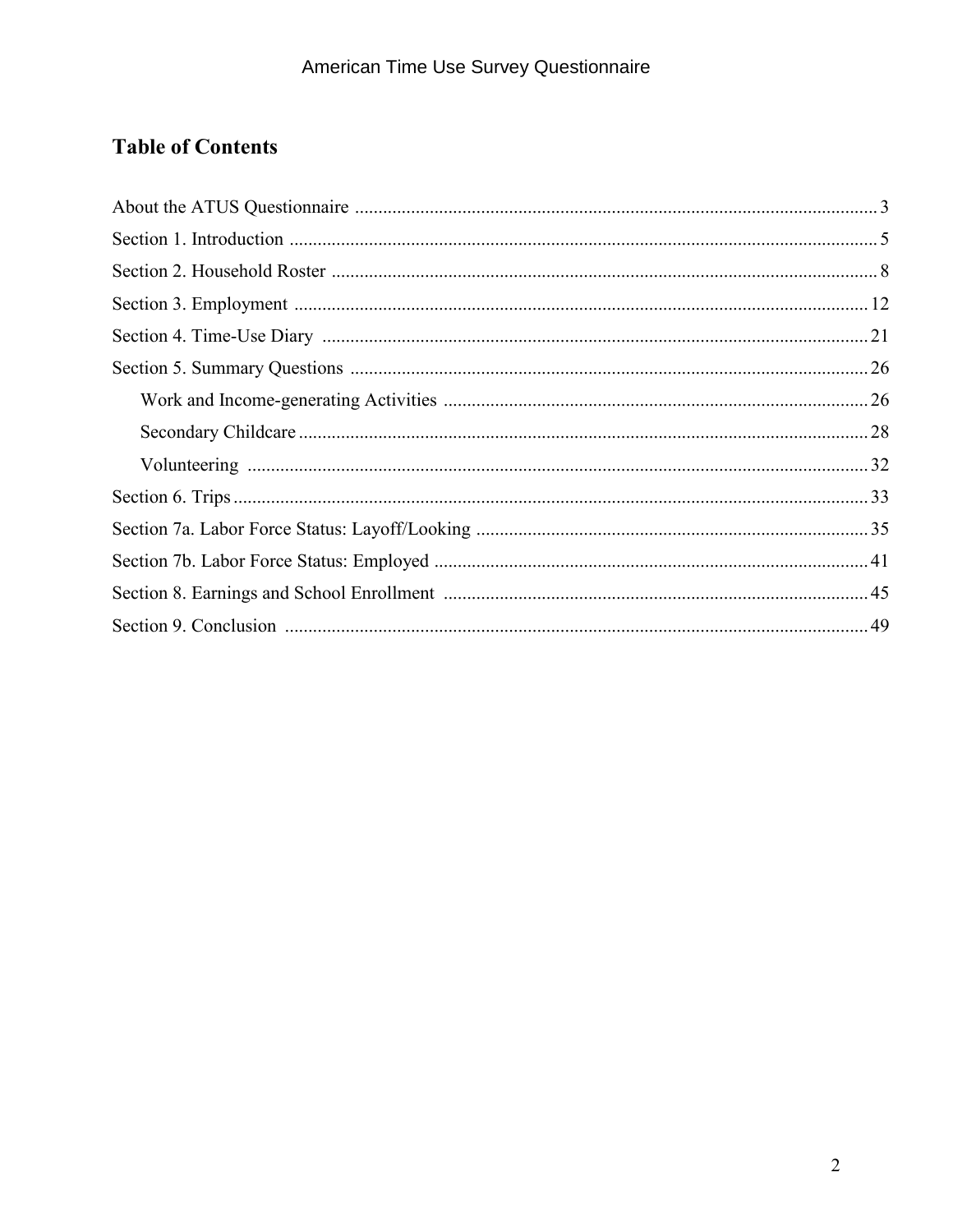### **Table of Contents**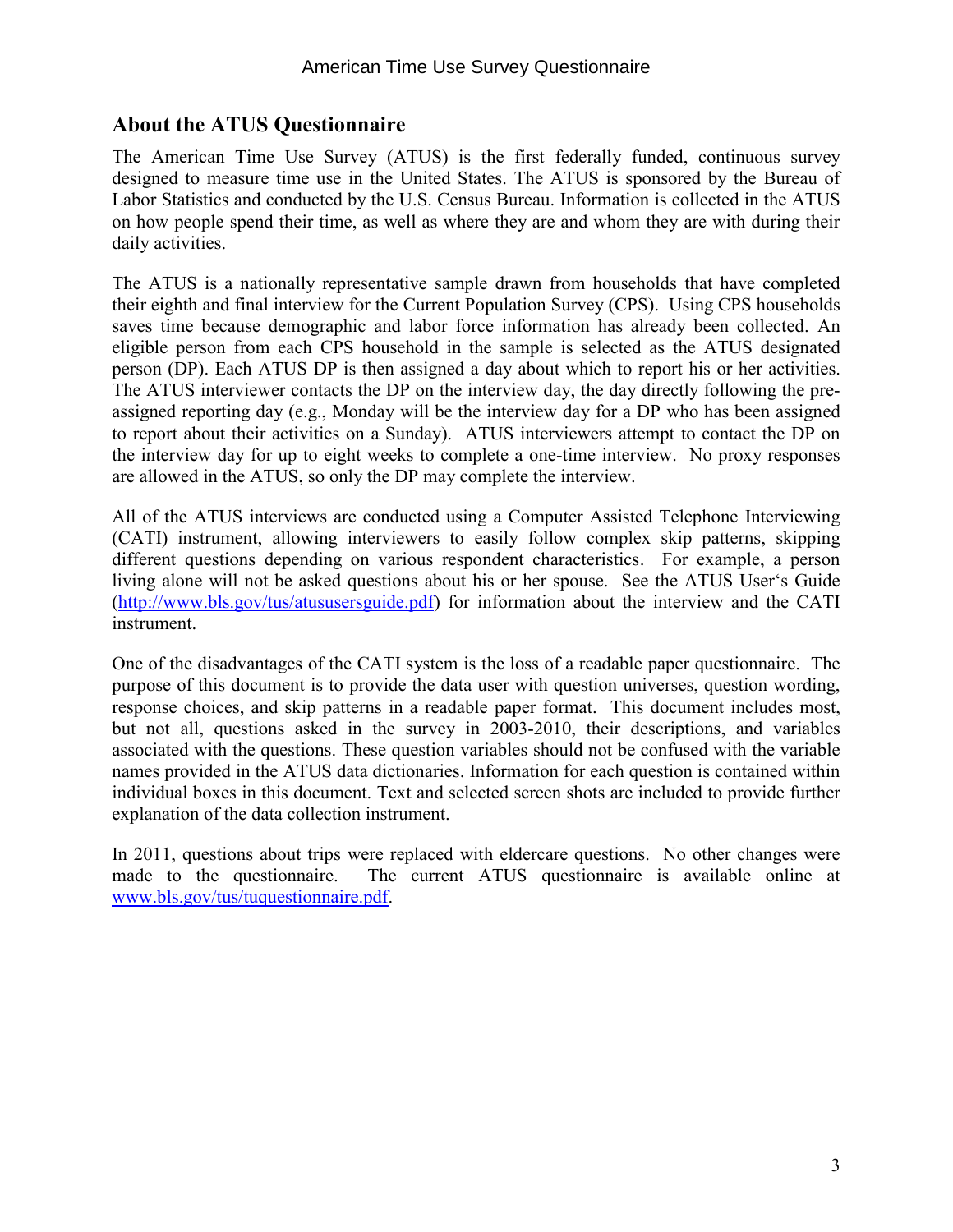### **About the ATUS Questionnaire**

The American Time Use Survey (ATUS) is the first federally funded, continuous survey designed to measure time use in the United States. The ATUS is sponsored by the Bureau of Labor Statistics and conducted by the U.S. Census Bureau. Information is collected in the ATUS on how people spend their time, as well as where they are and whom they are with during their daily activities.

The ATUS is a nationally representative sample drawn from households that have completed their eighth and final interview for the Current Population Survey (CPS). Using CPS households saves time because demographic and labor force information has already been collected. An eligible person from each CPS household in the sample is selected as the ATUS designated person (DP). Each ATUS DP is then assigned a day about which to report his or her activities. The ATUS interviewer contacts the DP on the interview day, the day directly following the preassigned reporting day (e.g., Monday will be the interview day for a DP who has been assigned to report about their activities on a Sunday). ATUS interviewers attempt to contact the DP on the interview day for up to eight weeks to complete a one-time interview. No proxy responses are allowed in the ATUS, so only the DP may complete the interview.

All of the ATUS interviews are conducted using a Computer Assisted Telephone Interviewing (CATI) instrument, allowing interviewers to easily follow complex skip patterns, skipping different questions depending on various respondent characteristics. For example, a person living alone will not be asked questions about his or her spouse. See the ATUS User's Guide [\(http://www.bls.gov/tus/atususersguide.pdf\)](http://www.bls.gov/tus/atususersguide.pdf) for information about the interview and the CATI instrument.

One of the disadvantages of the CATI system is the loss of a readable paper questionnaire. The purpose of this document is to provide the data user with question universes, question wording, response choices, and skip patterns in a readable paper format. This document includes most, but not all, questions asked in the survey in 2003-2010, their descriptions, and variables associated with the questions. These question variables should not be confused with the variable names provided in the ATUS data dictionaries. Information for each question is contained within individual boxes in this document. Text and selected screen shots are included to provide further explanation of the data collection instrument.

In 2011, questions about trips were replaced with eldercare questions. No other changes were made to the questionnaire. The current ATUS questionnaire is available online at [www.bls.gov/tus/tuquestionnaire.pdf.](http://www.bls.gov/tus/tuquestionnaire.pdf)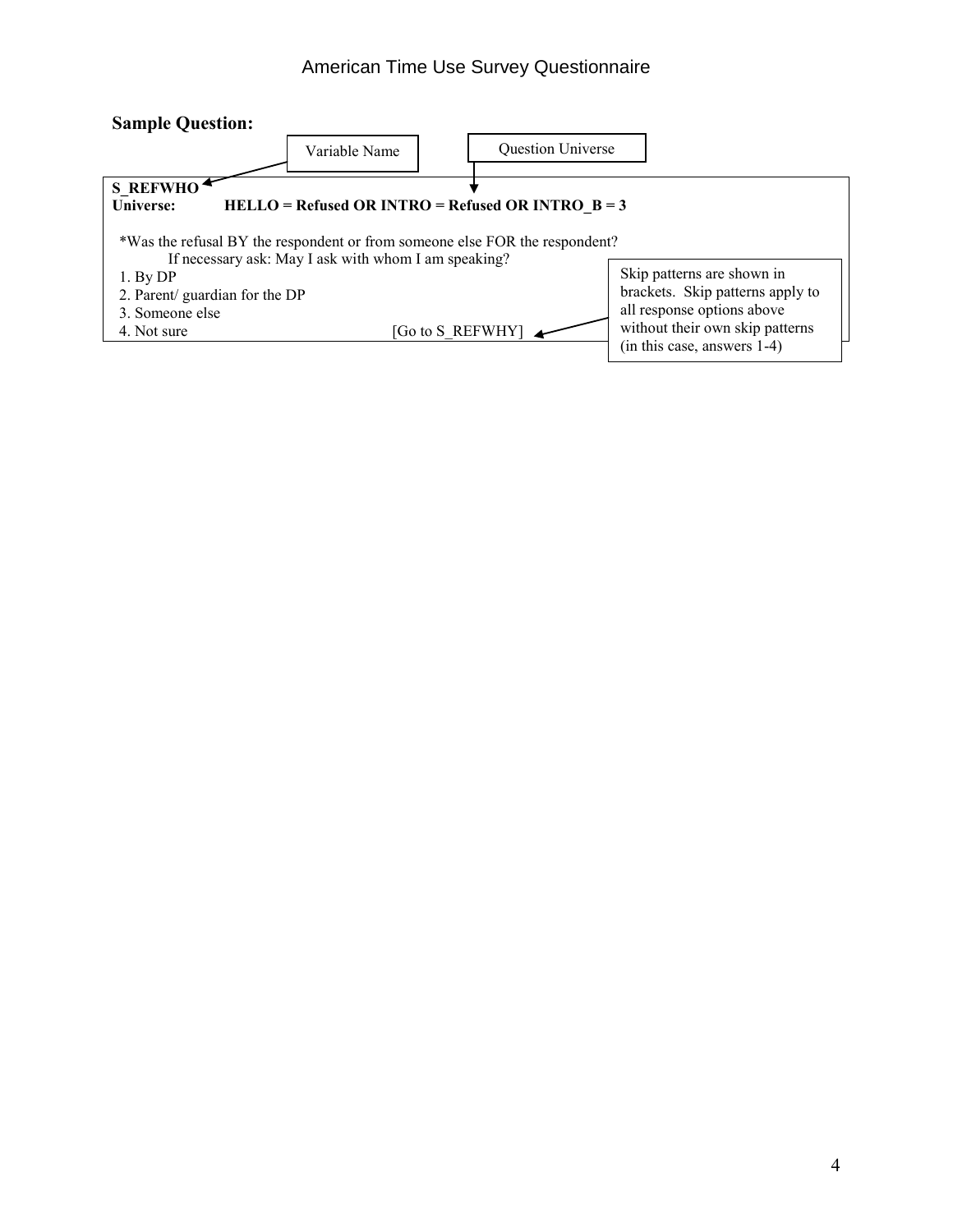#### American Time Use Survey Questionnaire

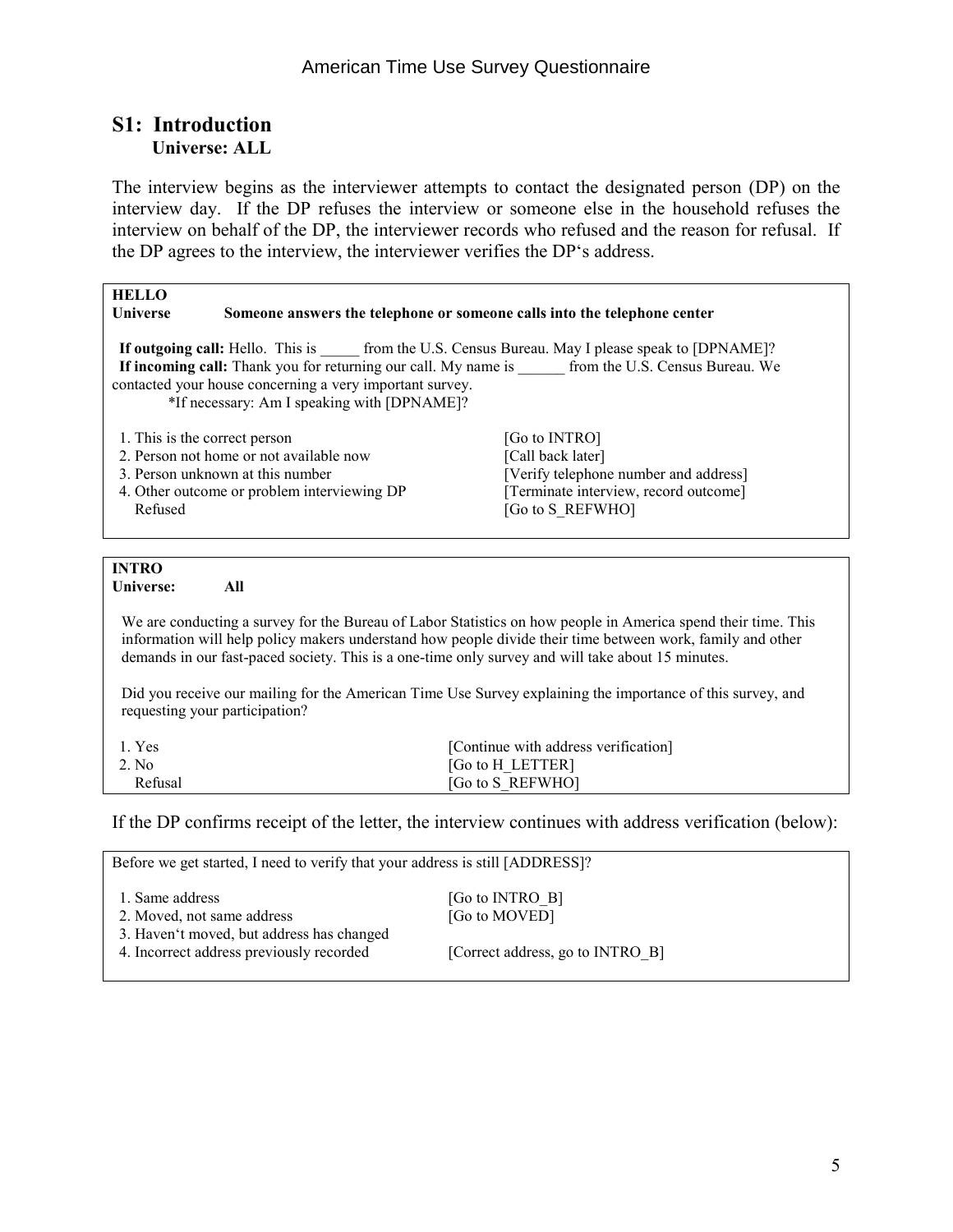#### **S1: Introduction Universe: ALL**

The interview begins as the interviewer attempts to contact the designated person (DP) on the interview day. If the DP refuses the interview or someone else in the household refuses the interview on behalf of the DP, the interviewer records who refused and the reason for refusal. If the DP agrees to the interview, the interviewer verifies the DP's address.

| <b>HELLO</b>                  |                                                                                                         |                                                                                                                                                                                                                                                                                                                                  |
|-------------------------------|---------------------------------------------------------------------------------------------------------|----------------------------------------------------------------------------------------------------------------------------------------------------------------------------------------------------------------------------------------------------------------------------------------------------------------------------------|
| <b>Universe</b>               |                                                                                                         | Someone answers the telephone or someone calls into the telephone center                                                                                                                                                                                                                                                         |
|                               | contacted your house concerning a very important survey.<br>*If necessary: Am I speaking with [DPNAME]? | <b>If outgoing call:</b> Hello. This is ________ from the U.S. Census Bureau. May I please speak to [DPNAME]?<br>If incoming call: Thank you for returning our call. My name is ______ from the U.S. Census Bureau. We                                                                                                           |
| 1. This is the correct person |                                                                                                         | [Go to INTRO]                                                                                                                                                                                                                                                                                                                    |
|                               | 2. Person not home or not available now                                                                 | [Call back later]                                                                                                                                                                                                                                                                                                                |
|                               | 3. Person unknown at this number                                                                        | [Verify telephone number and address]                                                                                                                                                                                                                                                                                            |
|                               | 4. Other outcome or problem interviewing DP                                                             | [Terminate interview, record outcome]                                                                                                                                                                                                                                                                                            |
| Refused                       |                                                                                                         | [Go to S REFWHO]                                                                                                                                                                                                                                                                                                                 |
|                               |                                                                                                         |                                                                                                                                                                                                                                                                                                                                  |
|                               |                                                                                                         |                                                                                                                                                                                                                                                                                                                                  |
| <b>INTRO</b>                  |                                                                                                         |                                                                                                                                                                                                                                                                                                                                  |
| Universe:                     | All                                                                                                     |                                                                                                                                                                                                                                                                                                                                  |
|                               |                                                                                                         | We are conducting a survey for the Bureau of Labor Statistics on how people in America spend their time. This<br>information will help policy makers understand how people divide their time between work, family and other<br>demands in our fast-paced society. This is a one-time only survey and will take about 15 minutes. |
|                               | requesting your participation?                                                                          | Did you receive our mailing for the American Time Use Survey explaining the importance of this survey, and                                                                                                                                                                                                                       |
| 1. Yes                        |                                                                                                         | [Continue with address verification]                                                                                                                                                                                                                                                                                             |
| 2. No                         |                                                                                                         | [Go to H LETTER]                                                                                                                                                                                                                                                                                                                 |
| Refusal                       |                                                                                                         | [Go to S REFWHO]                                                                                                                                                                                                                                                                                                                 |

If the DP confirms receipt of the letter, the interview continues with address verification (below):

| Before we get started, I need to verify that your address is still [ADDRESS]?         |                                  |  |
|---------------------------------------------------------------------------------------|----------------------------------|--|
| 1. Same address<br>2. Moved, not same address                                         | [Go to INTRO B]<br>[Go to MOVED] |  |
| 3. Haven't moved, but address has changed<br>4. Incorrect address previously recorded | [Correct address, go to INTRO B] |  |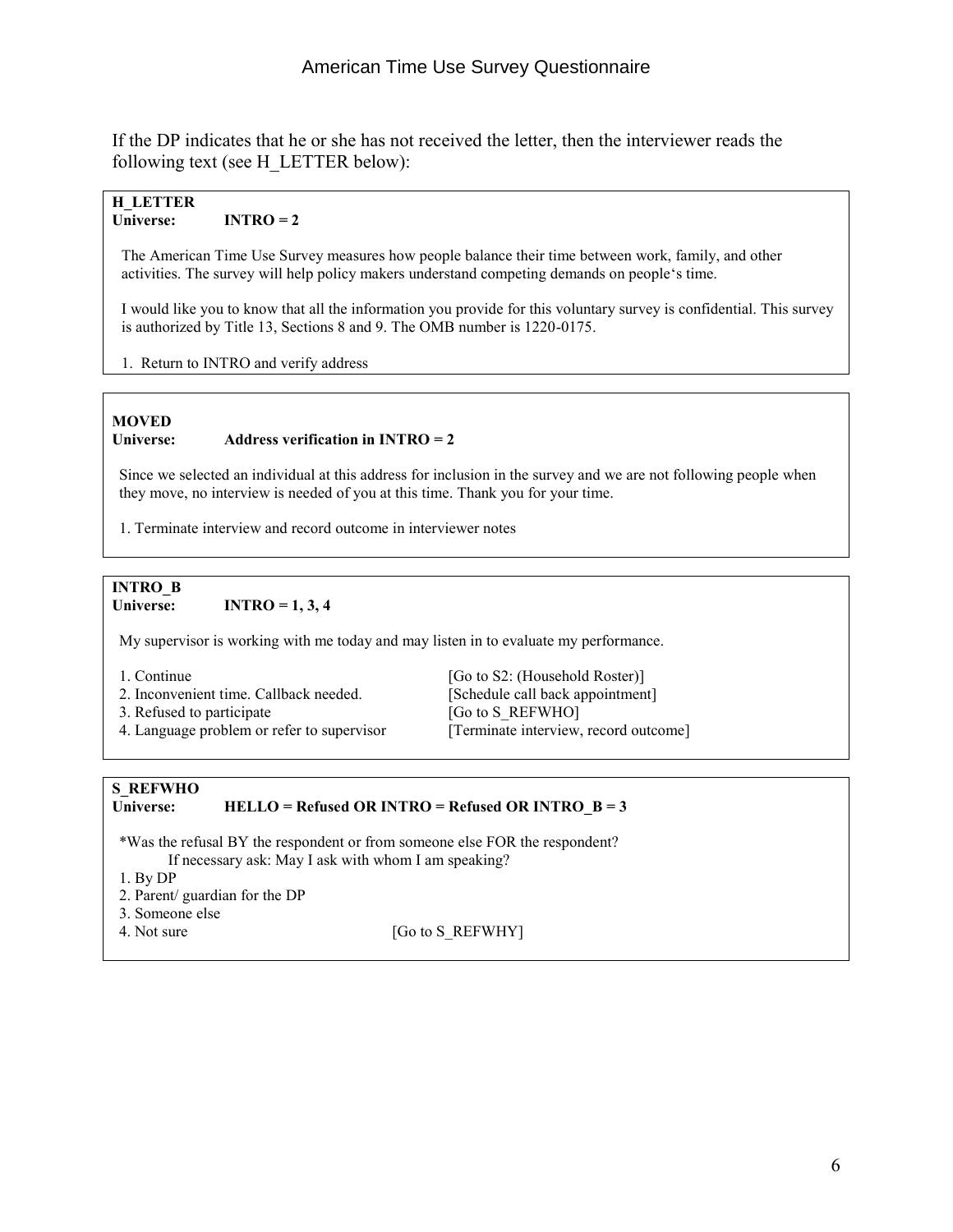If the DP indicates that he or she has not received the letter, then the interviewer reads the following text (see H\_LETTER below):

#### **H\_LETTER**   $INTRO = 2$

 The American Time Use Survey measures how people balance their time between work, family, and other activities. The survey will help policy makers understand competing demands on people's time.

 I would like you to know that all the information you provide for this voluntary survey is confidential. This survey is authorized by Title 13, Sections 8 and 9. The OMB number is 1220-0175.

1. Return to INTRO and verify address

#### **MOVED Universe: Address verification in INTRO = 2**

 Since we selected an individual at this address for inclusion in the survey and we are not following people when they move, no interview is needed of you at this time. Thank you for your time.

1. Terminate interview and record outcome in interviewer notes

#### **INTRO\_B Universe: INTRO = 1, 3, 4**

My supervisor is working with me today and may listen in to evaluate my performance.

- 
- 4. Language problem or refer to supervisor

1. Continue [Go to S2: (Household Roster)]<br>2. Inconvenient time. Callback needed. [Schedule call back appointment] 2. Inconvenient time. Callback needed. [Schedule call back approximate 13. Refused to participate 15. [Go to S REFWHO] 3. Refused to participate [Go to S\_REFWHO]<br>4. Language problem or refer to supervisor [Terminate interview, record outcome]

### **S\_REFWHO**

#### **Universe: HELLO = Refused OR INTRO = Refused OR INTRO\_B = 3**

 \*Was the refusal BY the respondent or from someone else FOR the respondent? If necessary ask: May I ask with whom I am speaking?

- 1. By DP
- 2. Parent/ guardian for the DP
- 3. Someone else
- 

4. Not sure [Go to S\_REFWHY]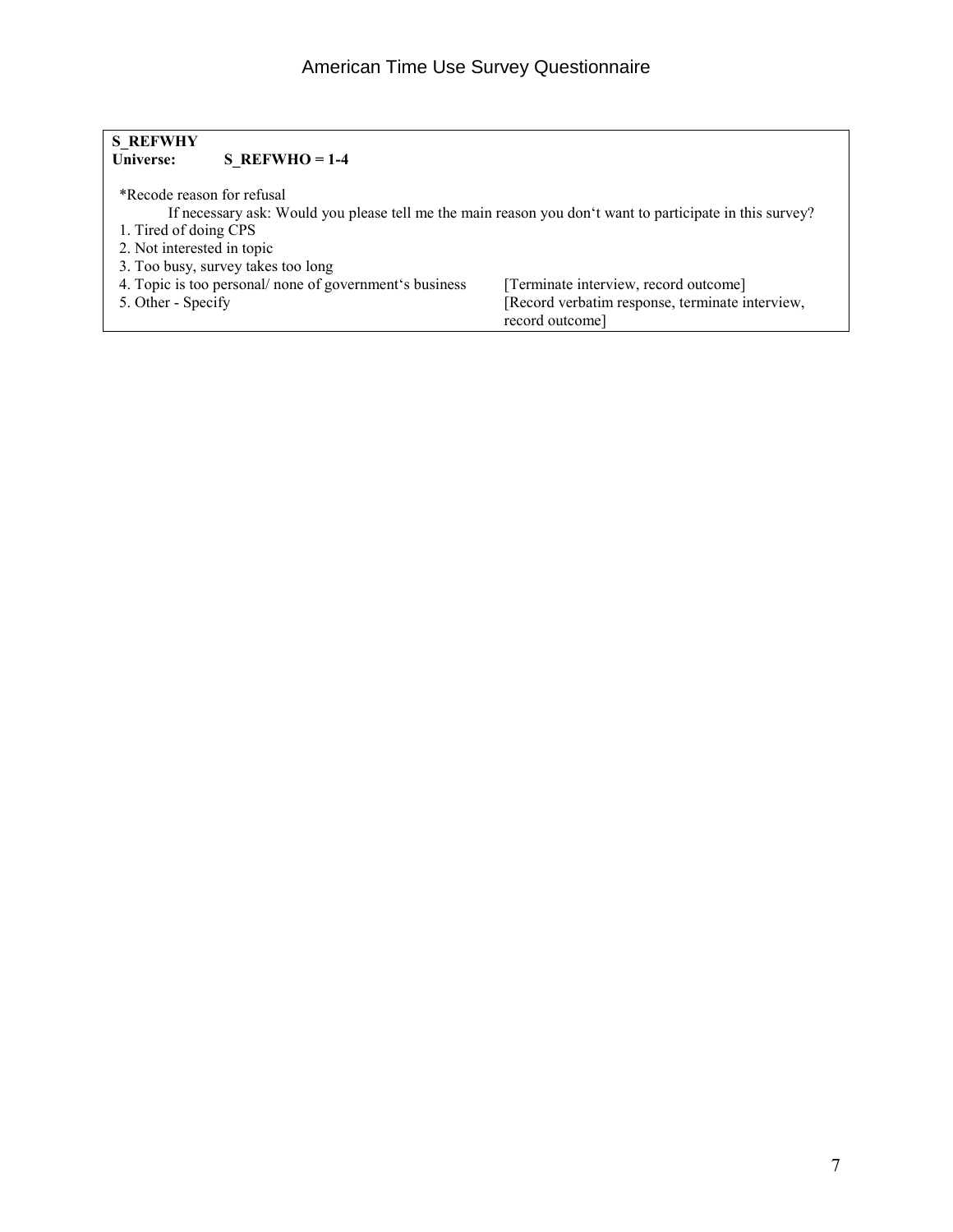| <b>S REFWHY</b> |                  |
|-----------------|------------------|
| Universe:       | $S$ REFWHO = 1-4 |

| *Recode reason for refusal                              | If necessary ask: Would you please tell me the main reason you don't want to participate in this survey? |
|---------------------------------------------------------|----------------------------------------------------------------------------------------------------------|
| 1. Tired of doing CPS                                   |                                                                                                          |
| 2. Not interested in topic                              |                                                                                                          |
| 3. Too busy, survey takes too long                      |                                                                                                          |
| 4. Topic is too personal/ none of government's business | [Terminate interview, record outcome]                                                                    |
| 5. Other - Specify                                      | [Record verbatim response, terminate interview,                                                          |
|                                                         | record outcome]                                                                                          |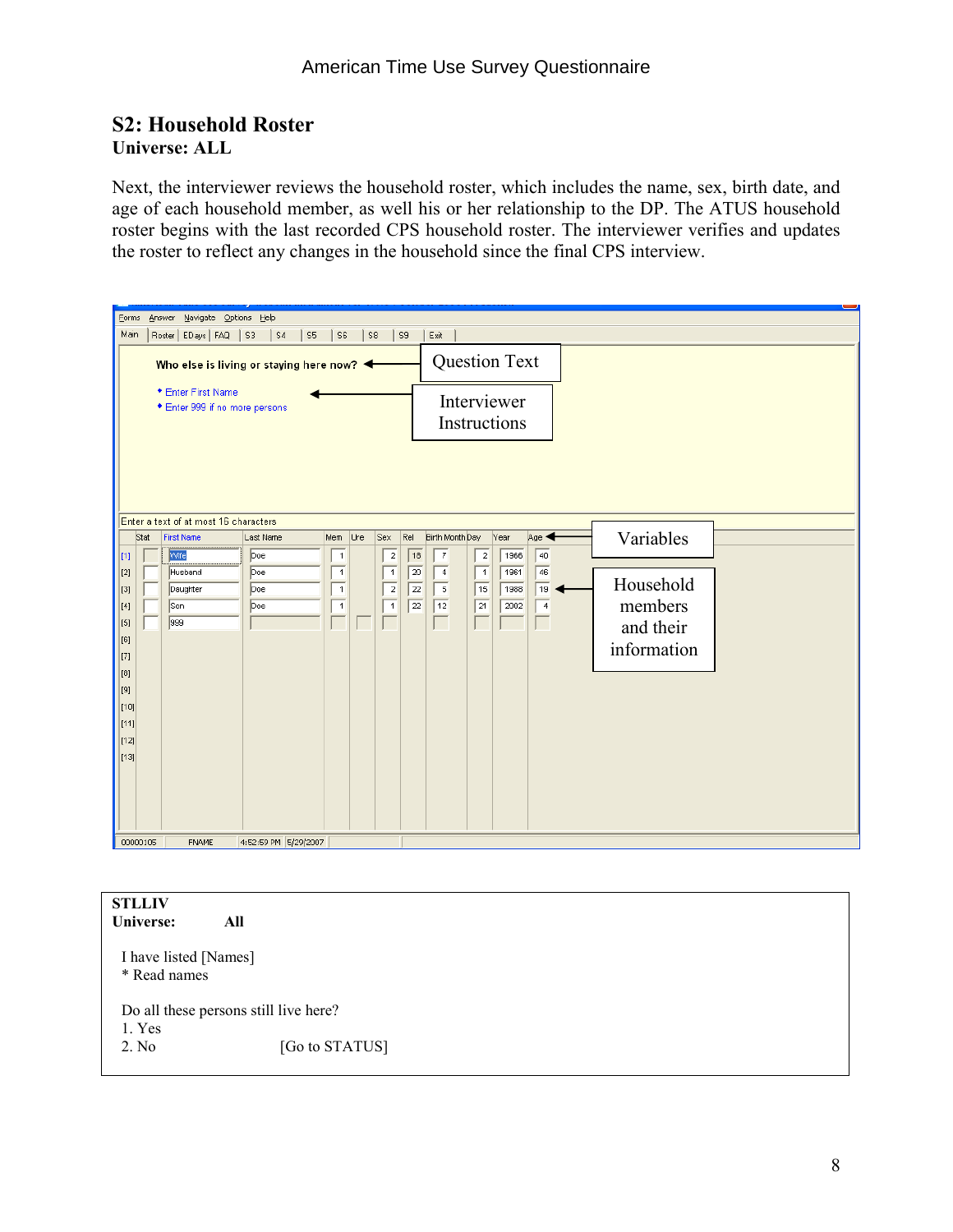#### **S2: Household Roster Universe: ALL**

Next, the interviewer reviews the household roster, which includes the name, sex, birth date, and age of each household member, as well his or her relationship to the DP. The ATUS household roster begins with the last recorded CPS household roster. The interviewer verifies and updates the roster to reflect any changes in the household since the final CPS interview.

| Main<br>Roster   EDays   FAQ   S3<br> S4<br>S <sub>5</sub><br>S6<br>S8<br>S <sub>S</sub><br>Exit<br><b>Question Text</b><br>Who else is living or staying here now? $\blacktriangleleft$<br>* Enter First Name<br>Interviewer<br>* Enter 999 if no more persons<br>Instructions<br>Enter a text of at most 16 characters<br>Variables<br>Birth Month Day<br>Age <<br>Rel<br>Year<br>Stat<br><b>First Name</b><br>Last Name<br>Mem<br>Ure<br>Sex<br>$\overline{7}$<br>$\sqrt{40}$<br>Wife<br>$\overline{2}$<br>1966<br>Doe<br>$\overline{2}$<br> 18<br>$\vert$ [1]<br>$\overline{1}$<br>46<br>20<br>1961<br>$\overline{1}$<br>$\overline{1}$<br>$\overline{4}$<br>$\vert$ 1<br> [2]<br>Husband<br>Doe<br>Household<br>$\overline{22}$<br>$\sqrt{15}$<br>$-5$<br>19<br>Daughter<br>Doe<br>$\overline{1}$<br>$\overline{2}$<br>1988<br> [3]<br>members<br>$\sqrt{12}$<br>$\overline{22}$<br>$\sqrt{21}$<br>$\overline{1}$<br>Son<br>Doe<br>$\overline{1}$<br>2002<br>$\overline{4}$<br>[4]<br>999<br>L<br>[5]<br>and their<br>$\vert$ [6]<br>information<br> 17]<br>[8]<br>$\vert$ [9]<br>[t10]<br>$\vert$ [11]<br>[12]<br>$\vert$ [13] | Answer Navigate Options Help<br>Eorms |  |  |  |  |
|--------------------------------------------------------------------------------------------------------------------------------------------------------------------------------------------------------------------------------------------------------------------------------------------------------------------------------------------------------------------------------------------------------------------------------------------------------------------------------------------------------------------------------------------------------------------------------------------------------------------------------------------------------------------------------------------------------------------------------------------------------------------------------------------------------------------------------------------------------------------------------------------------------------------------------------------------------------------------------------------------------------------------------------------------------------------------------------------------------------------------------------|---------------------------------------|--|--|--|--|
|                                                                                                                                                                                                                                                                                                                                                                                                                                                                                                                                                                                                                                                                                                                                                                                                                                                                                                                                                                                                                                                                                                                                      |                                       |  |  |  |  |
|                                                                                                                                                                                                                                                                                                                                                                                                                                                                                                                                                                                                                                                                                                                                                                                                                                                                                                                                                                                                                                                                                                                                      |                                       |  |  |  |  |
|                                                                                                                                                                                                                                                                                                                                                                                                                                                                                                                                                                                                                                                                                                                                                                                                                                                                                                                                                                                                                                                                                                                                      |                                       |  |  |  |  |
|                                                                                                                                                                                                                                                                                                                                                                                                                                                                                                                                                                                                                                                                                                                                                                                                                                                                                                                                                                                                                                                                                                                                      |                                       |  |  |  |  |
|                                                                                                                                                                                                                                                                                                                                                                                                                                                                                                                                                                                                                                                                                                                                                                                                                                                                                                                                                                                                                                                                                                                                      |                                       |  |  |  |  |

| <b>STLLIV</b><br>Universe:            | All                                   |
|---------------------------------------|---------------------------------------|
| I have listed [Names]<br>* Read names |                                       |
|                                       | Do all these persons still live here? |
| 1. Yes                                |                                       |
| 2. No.                                | [Go to STATUS]                        |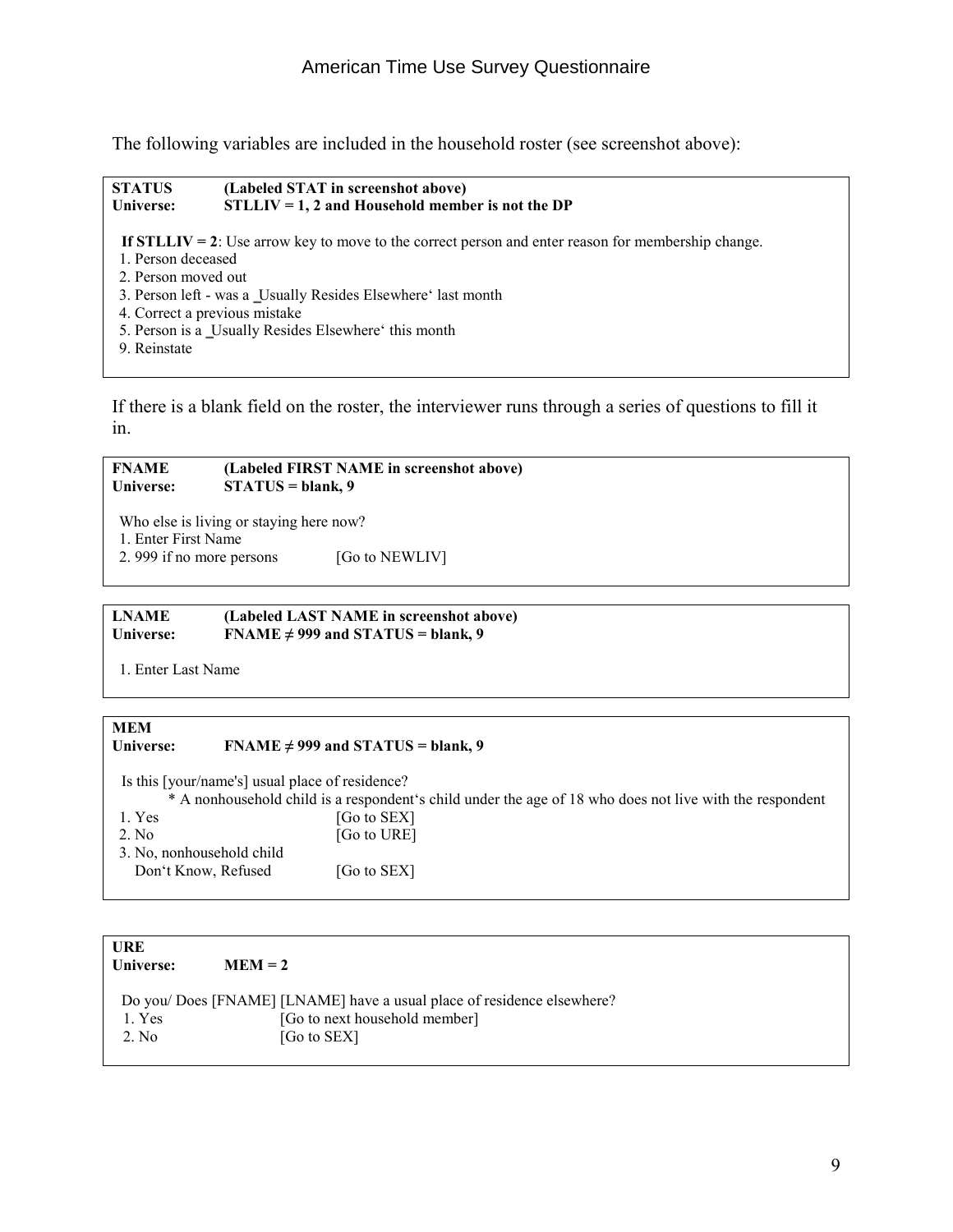The following variables are included in the household roster (see screenshot above):

#### **STATUS (Labeled STAT in screenshot above) Universe: STLLIV = 1, 2 and Household member is not the DP If STLLIV = 2**: Use arrow key to move to the correct person and enter reason for membership change. 1. Person deceased 2. Person moved out 3. Person left - was a Usually Resides Elsewhere' last month

- 4. Correct a previous mistake
- 5. Person is a Usually Resides Elsewhere' this month
- 9. Reinstate

If there is a blank field on the roster, the interviewer runs through a series of questions to fill it in.

#### **FNAME (Labeled FIRST NAME in screenshot above) Universe: STATUS = blank, 9**

Who else is living or staying here now?

- 1. Enter First Name
- 2. 999 if no more persons [Go to NEWLIV]

**LNAME (Labeled LAST NAME in screenshot above) Universe: FNAME ≠ 999 and STATUS = blank, 9** 

1. Enter Last Name

#### **MEM Universe: FNAME ≠ 999 and STATUS = blank, 9**  Is this [your/name's] usual place of residence? \* A nonhousehold child is a respondent's child under the age of 18 who does not live with the respondent 1. Yes [Go to SEX] 2. No [Go to URE] 3. No, nonhousehold child Don't Know, Refused [Go to SEX]

| URE<br>Universe: | $MEM = 2$                                                               |
|------------------|-------------------------------------------------------------------------|
|                  | Do you/ Does [FNAME] [LNAME] have a usual place of residence elsewhere? |
| 1. Yes           | [Go to next household member]                                           |
| 2. No.           | [Go to $SEX$ ]                                                          |
|                  |                                                                         |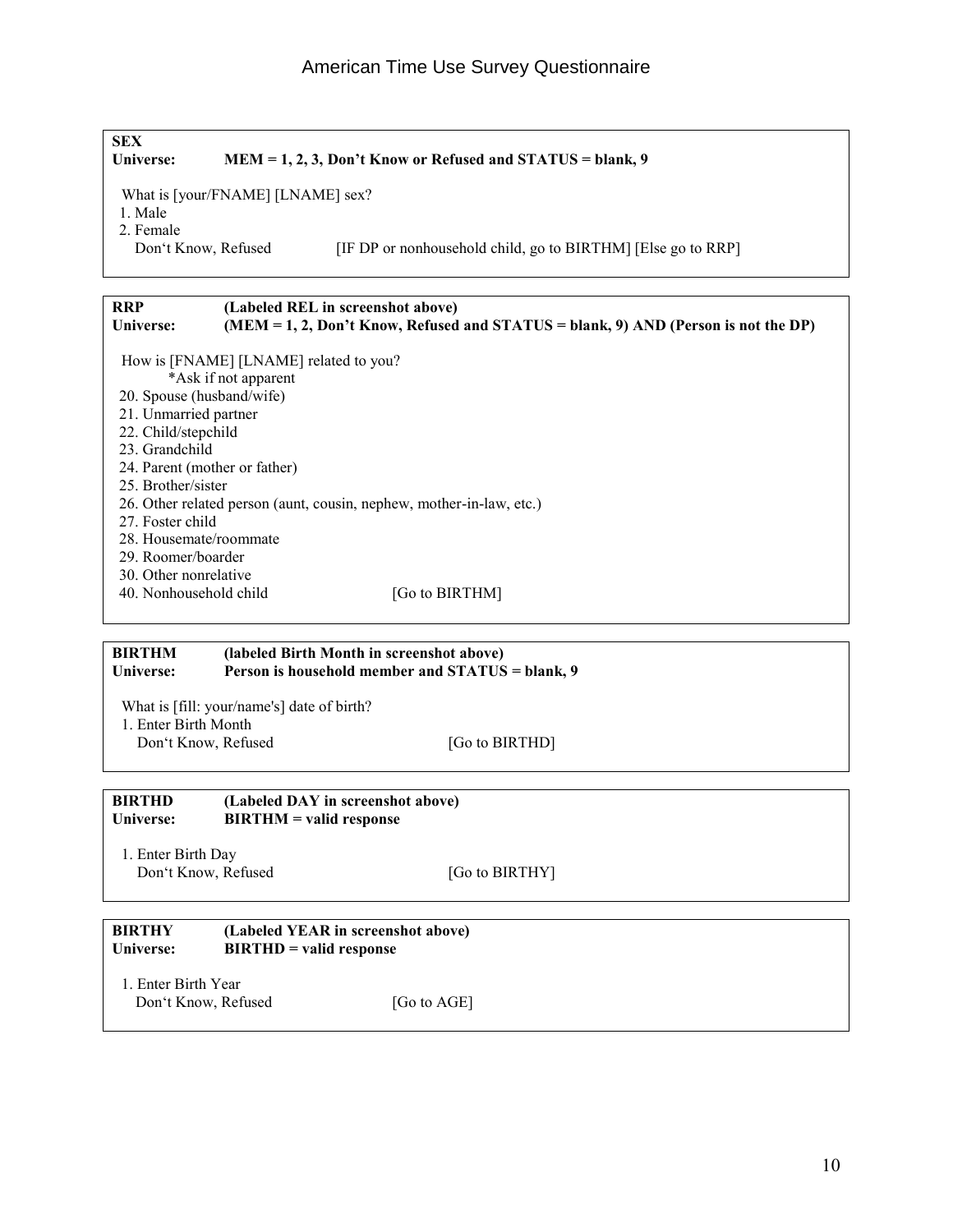| <b>SEX</b><br>Universe:                             |                                            | MEM = 1, 2, 3, Don't Know or Refused and STATUS = blank, 9                         |
|-----------------------------------------------------|--------------------------------------------|------------------------------------------------------------------------------------|
|                                                     | What is [your/FNAME] [LNAME] sex?          |                                                                                    |
| 1. Male                                             |                                            |                                                                                    |
| 2. Female                                           |                                            |                                                                                    |
| Don't Know, Refused                                 |                                            | [IF DP or nonhousehold child, go to BIRTHM] [Else go to RRP]                       |
| <b>RRP</b>                                          |                                            | (Labeled REL in screenshot above)                                                  |
| Universe:                                           |                                            | (MEM = 1, 2, Don't Know, Refused and STATUS = blank, 9) AND (Person is not the DP) |
|                                                     | How is [FNAME] [LNAME] related to you?     |                                                                                    |
|                                                     | *Ask if not apparent                       |                                                                                    |
| 20. Spouse (husband/wife)                           |                                            |                                                                                    |
| 21. Unmarried partner                               |                                            |                                                                                    |
| 22. Child/stepchild                                 |                                            |                                                                                    |
| 23. Grandchild                                      |                                            |                                                                                    |
| 24. Parent (mother or father)<br>25. Brother/sister |                                            |                                                                                    |
|                                                     |                                            | 26. Other related person (aunt, cousin, nephew, mother-in-law, etc.)               |
| 27. Foster child                                    |                                            |                                                                                    |
| 28. Housemate/roommate                              |                                            |                                                                                    |
| 29. Roomer/boarder                                  |                                            |                                                                                    |
| 30. Other nonrelative                               |                                            |                                                                                    |
| 40. Nonhousehold child                              |                                            | [Go to BIRTHM]                                                                     |
|                                                     |                                            |                                                                                    |
| <b>BIRTHM</b>                                       |                                            | (labeled Birth Month in screenshot above)                                          |
| Universe:                                           |                                            | Person is household member and STATUS = blank, 9                                   |
|                                                     | What is [fill: your/name's] date of birth? |                                                                                    |
| 1. Enter Birth Month                                |                                            |                                                                                    |
| Don't Know, Refused                                 |                                            | [Go to BIRTHD]                                                                     |
|                                                     |                                            |                                                                                    |
| <b>BIRTHD</b><br>Universe:                          | $BIRTHM =$ valid response                  | (Labeled DAY in screenshot above)                                                  |
|                                                     |                                            |                                                                                    |
| 1. Enter Birth Day                                  |                                            |                                                                                    |
| Don't Know, Refused                                 |                                            | [Go to BIRTHY]                                                                     |
|                                                     |                                            |                                                                                    |
| <b>BIRTHY</b>                                       |                                            | (Labeled YEAR in screenshot above)                                                 |
| Universe:                                           | <b>BIRTHD</b> = valid response             |                                                                                    |
| 1. Enter Birth Year                                 |                                            |                                                                                    |
|                                                     |                                            |                                                                                    |
| Don't Know, Refused                                 |                                            | [Go to AGE]                                                                        |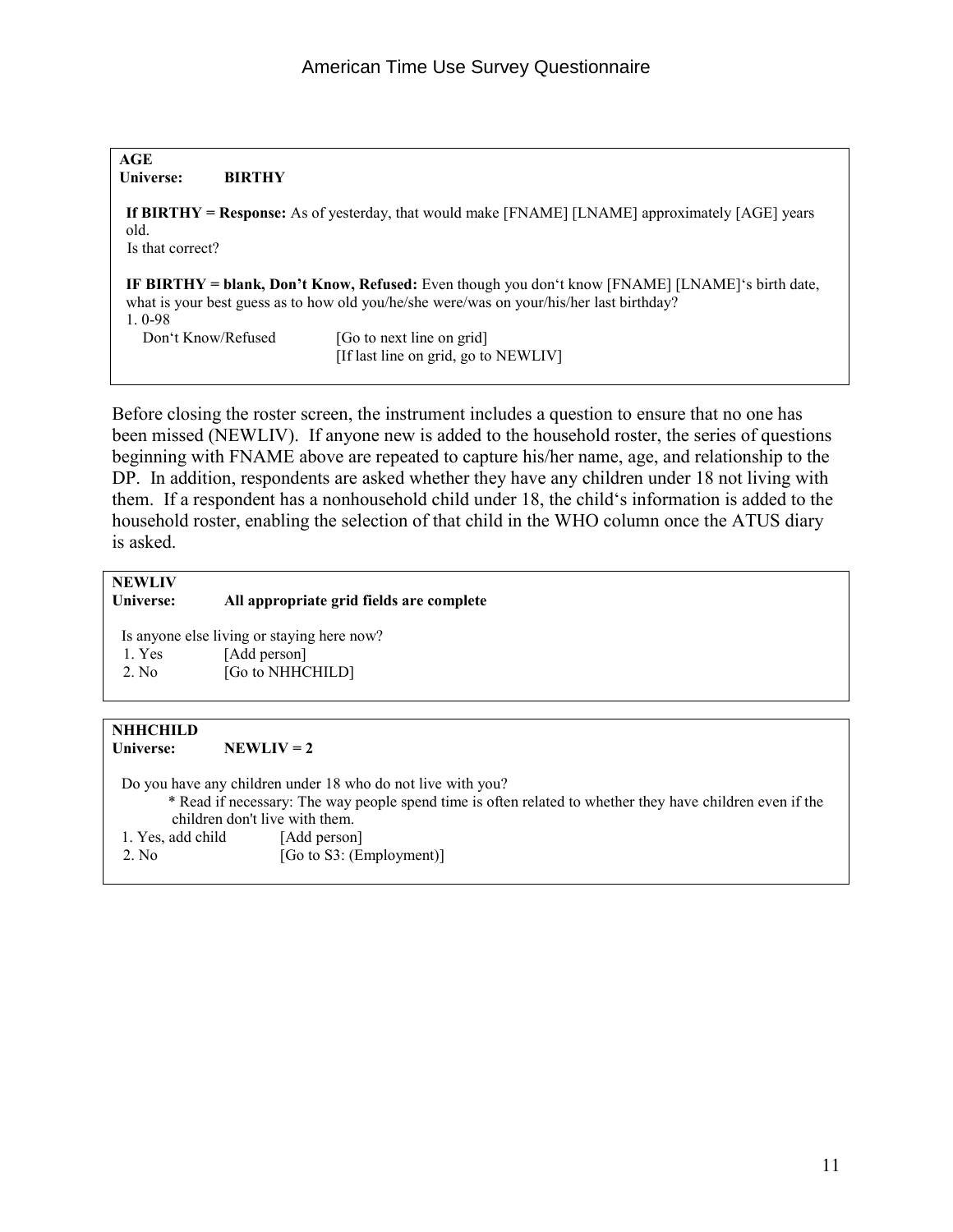| AGE                      |               |                                                                                                                                                                                              |
|--------------------------|---------------|----------------------------------------------------------------------------------------------------------------------------------------------------------------------------------------------|
| Universe:                | <b>BIRTHY</b> |                                                                                                                                                                                              |
| old.<br>Is that correct? |               | If BIRTHY = Response: As of yesterday, that would make [FNAME] [LNAME] approximately [AGE] years                                                                                             |
| $10-98$                  |               | IF BIRTHY = blank, Don't Know, Refused: Even though you don't know [FNAME] [LNAME]'s birth date,<br>what is your best guess as to how old you/he/she were/was on your/his/her last birthday? |
| Don't Know/Refused       |               | [Go to next line on grid]<br>[If last line on grid, go to NEWLIV]                                                                                                                            |

Before closing the roster screen, the instrument includes a question to ensure that no one has been missed (NEWLIV). If anyone new is added to the household roster, the series of questions beginning with FNAME above are repeated to capture his/her name, age, and relationship to the DP. In addition, respondents are asked whether they have any children under 18 not living with them. If a respondent has a nonhousehold child under 18, the child's information is added to the household roster, enabling the selection of that child in the WHO column once the ATUS diary is asked.

### **NEWLIV**

#### **Universe: All appropriate grid fields are complete**

 Is anyone else living or staying here now? 1. Yes [Add person] 2. No [Go to NHHCHILD]

#### **NHHCHILD**

Universe: NEWLIV = 2

 Do you have any children under 18 who do not live with you? \* Read if necessary: The way people spend time is often related to whether they have children even if the children don't live with them. 1. Yes, add child [Add person] 2. No [Go to S3: (Employment)]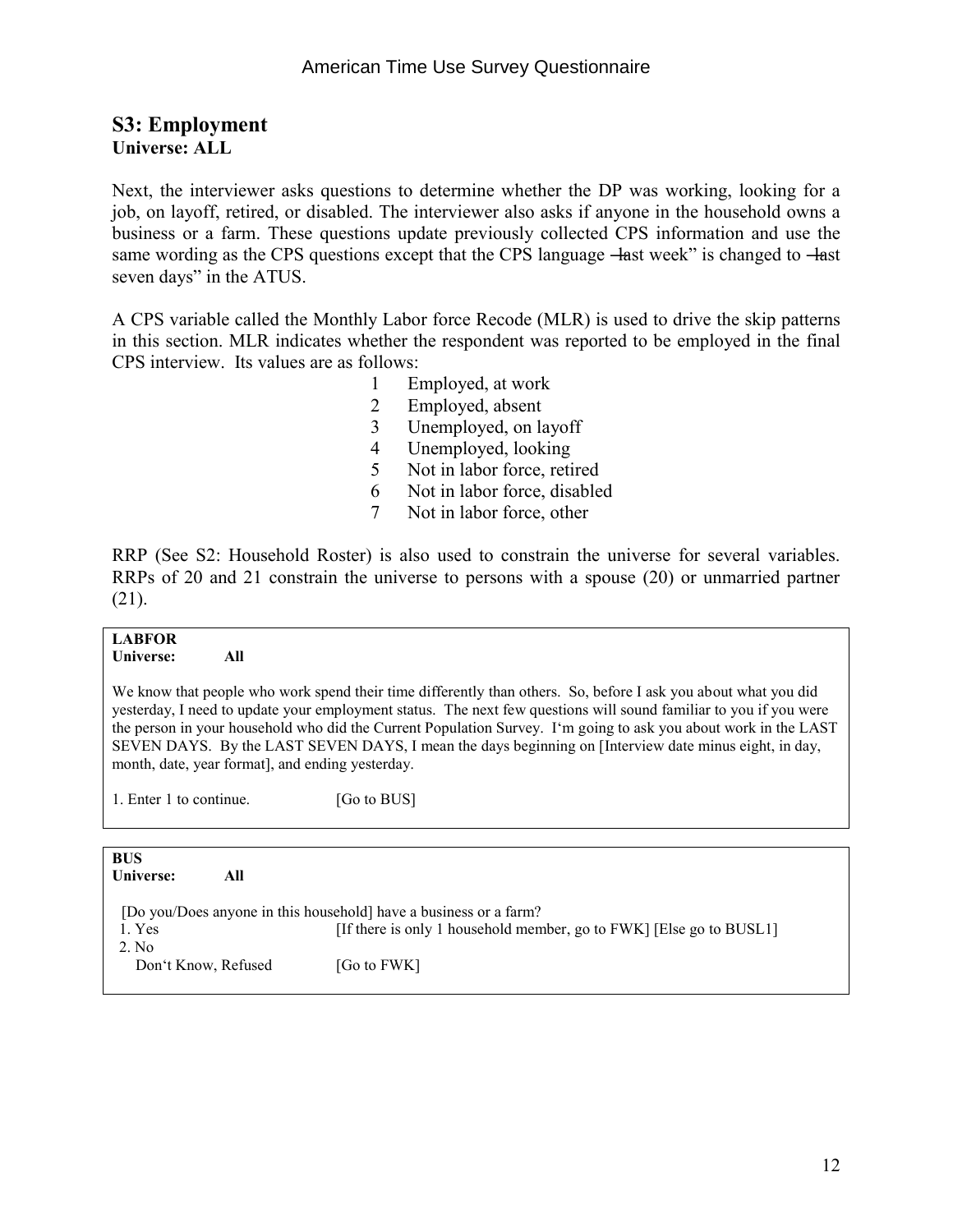#### **S3: Employment Universe: ALL**

Next, the interviewer asks questions to determine whether the DP was working, looking for a job, on layoff, retired, or disabled. The interviewer also asks if anyone in the household owns a business or a farm. These questions update previously collected CPS information and use the same wording as the CPS questions except that the CPS language —last week" is changed to —last seven days" in the ATUS.

A CPS variable called the Monthly Labor force Recode (MLR) is used to drive the skip patterns in this section. MLR indicates whether the respondent was reported to be employed in the final CPS interview. Its values are as follows:

- 1 Employed, at work
- 2 Employed, absent
- 3 Unemployed, on layoff
- 4 Unemployed, looking
- 5 Not in labor force, retired
- 6 Not in labor force, disabled
- 7 Not in labor force, other

RRP (See S2: Household Roster) is also used to constrain the universe for several variables. RRPs of 20 and 21 constrain the universe to persons with a spouse (20) or unmarried partner (21).

#### **LABFOR**

#### **Universe: All**

We know that people who work spend their time differently than others. So, before I ask you about what you did yesterday, I need to update your employment status. The next few questions will sound familiar to you if you were the person in your household who did the Current Population Survey. I'm going to ask you about work in the LAST SEVEN DAYS. By the LAST SEVEN DAYS, I mean the days beginning on [Interview date minus eight, in day, month, date, year format], and ending yesterday.

1. Enter 1 to continue. [Go to BUS]

| <b>BUS</b><br>Universe:      | All |                                                                                                                                          |
|------------------------------|-----|------------------------------------------------------------------------------------------------------------------------------------------|
| 1. Yes                       |     | [Do you/Does anyone in this household] have a business or a farm?<br>[If there is only 1 household member, go to FWK] [Else go to BUSL1] |
| 2. No<br>Don't Know, Refused |     | [Go to FWK]                                                                                                                              |
|                              |     |                                                                                                                                          |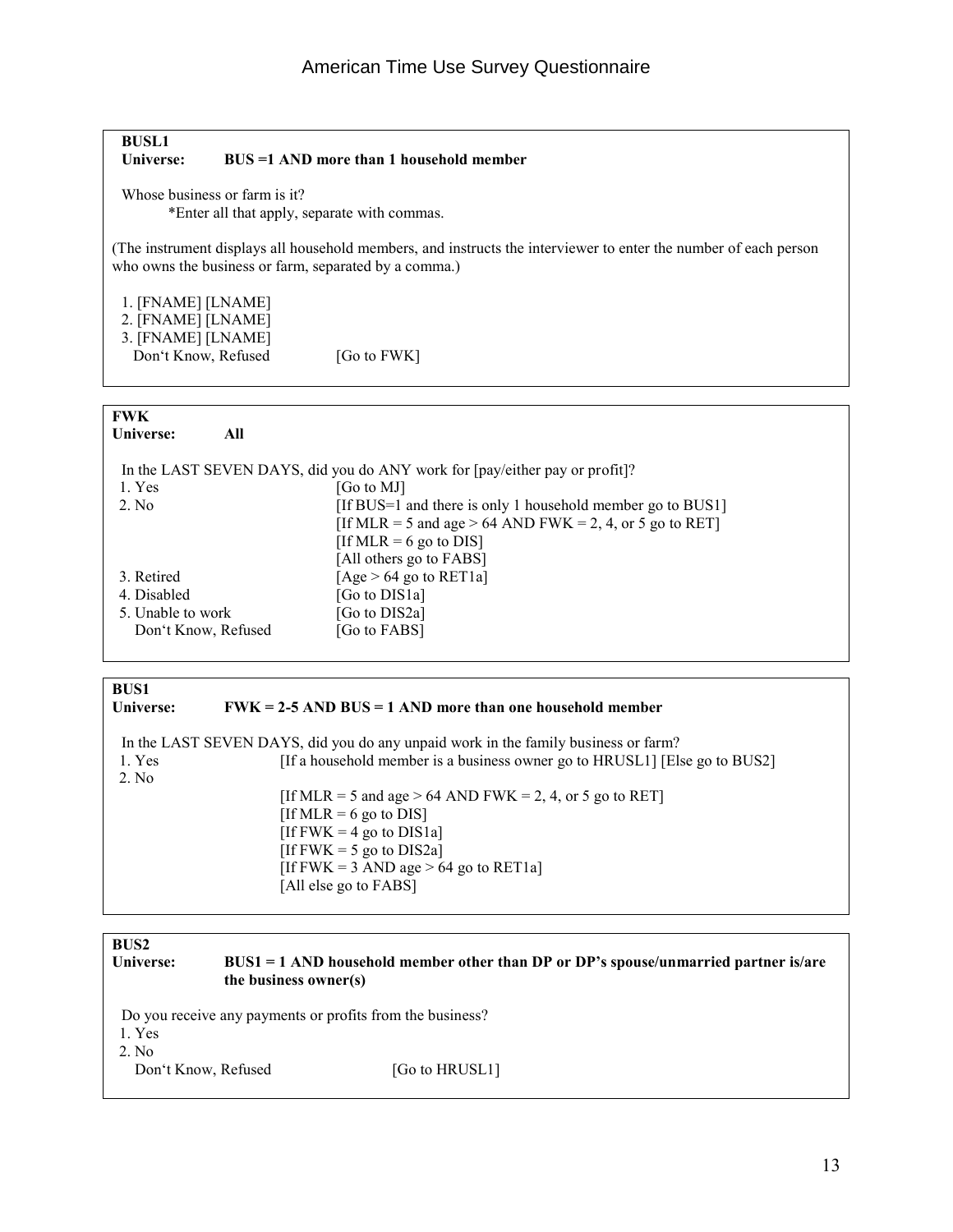#### **BUSL1 BUS =1 AND more than 1 household member**

Whose business or farm is it?

\*Enter all that apply, separate with commas.

(The instrument displays all household members, and instructs the interviewer to enter the number of each person who owns the business or farm, separated by a comma.)

1. [FNAME] [LNAME]

- 2. [FNAME] [LNAME]
- 3. [FNAME] [LNAME]

Don't Know, Refused [Go to FWK]

### **FWK**

| r vy re<br>Universe: | All                                                                         |
|----------------------|-----------------------------------------------------------------------------|
|                      | In the LAST SEVEN DAYS, did you do ANY work for [pay/either pay or profit]? |
| 1. Yes               | [Go to MJ]                                                                  |
| 2. No.               | [If BUS=1 and there is only 1 household member go to BUS1]                  |
|                      | [If MLR = 5 and age > 64 AND FWK = 2, 4, or 5 go to RET]                    |
|                      | [If MLR = 6 go to DIS]                                                      |
|                      | [All others go to FABS]                                                     |
| 3. Retired           | [Age $> 64$ go to RET1a]                                                    |
| 4. Disabled          | [Go to DIS1a]                                                               |
| 5. Unable to work    | [Go to DIS2a]                                                               |
| Don't Know, Refused  | [Go to FABS]                                                                |
|                      |                                                                             |

### **BUS1**<br>**Universe:**

#### **FWK = 2-5 AND BUS = 1 AND more than one household member**

|        | In the LAST SEVEN DAYS, did you do any unpaid work in the family business or farm? |
|--------|------------------------------------------------------------------------------------|
| 1. Yes | [If a household member is a business owner go to HRUSL1] [Else go to BUS2]         |
| 2. No  |                                                                                    |
|        | [If MLR = 5 and age > 64 AND FWK = 2, 4, or 5 go to RET]                           |
|        | [If MLR = 6 go to DIS]                                                             |
|        | [If FWK = 4 go to DIS1a]                                                           |
|        | [If FWK = 5 go to DIS2a]                                                           |
|        | [If FWK = 3 AND age $> 64$ go to RET1a]                                            |
|        | [All else go to FABS]                                                              |

| <b>BUS2</b><br>Universe: | $BUS1 = 1$ AND household member other than DP or DP's spouse/unmarried partner is/are<br>the business owner(s) |                |
|--------------------------|----------------------------------------------------------------------------------------------------------------|----------------|
| 1. Yes<br>2. No          | Do you receive any payments or profits from the business?                                                      |                |
| Don't Know, Refused      |                                                                                                                | [Go to HRUSL1] |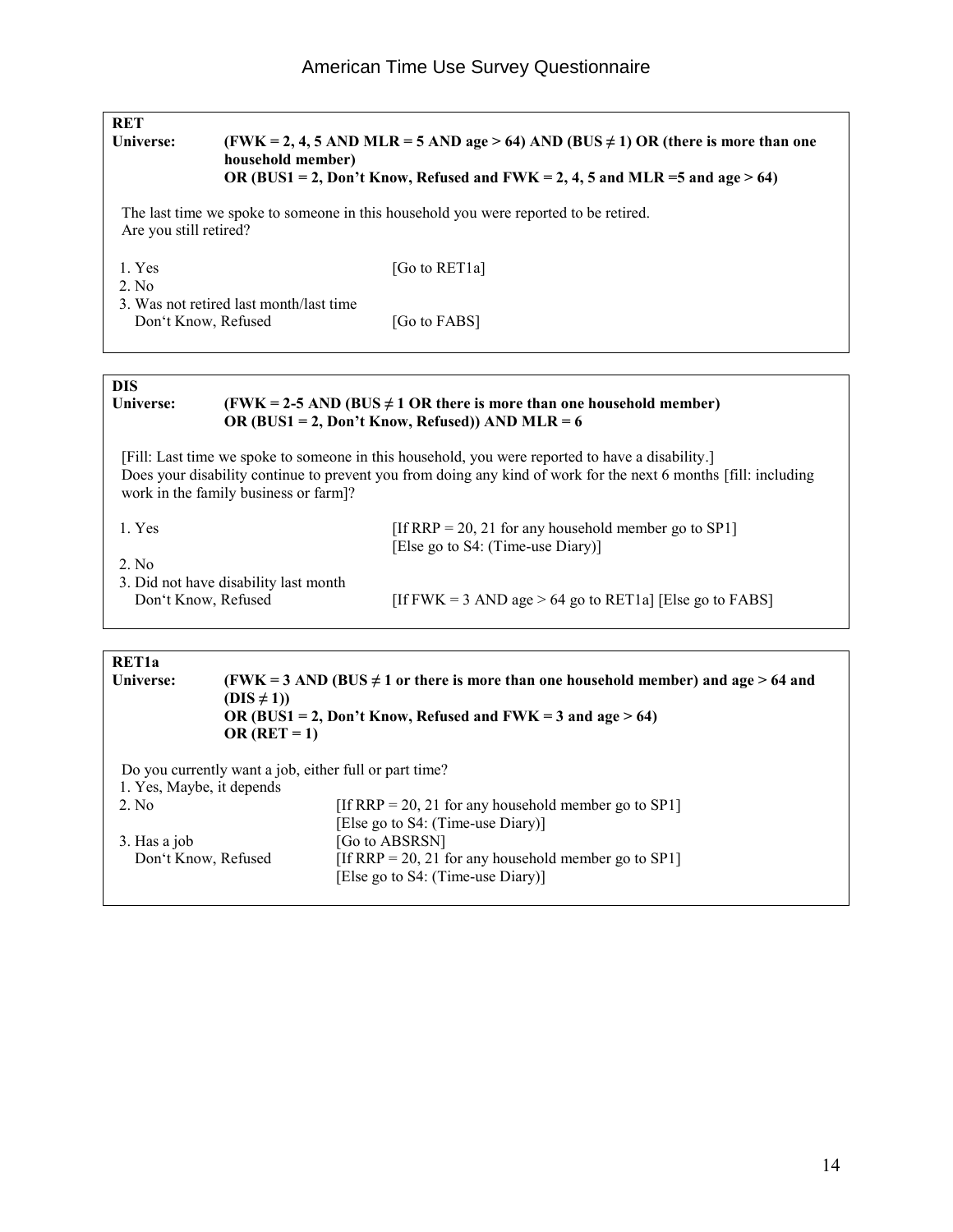| <b>RET</b><br><b>Universe:</b>      | household member)                                      | $(FWK = 2, 4, 5 AND MLR = 5 AND age > 64) AND (BUS \neq 1) OR (there is more than one$<br>OR (BUS1 = 2, Don't Know, Refused and FWK = 2, 4, 5 and MLR = 5 and age $> 64$ )                                          |
|-------------------------------------|--------------------------------------------------------|---------------------------------------------------------------------------------------------------------------------------------------------------------------------------------------------------------------------|
| Are you still retired?              |                                                        | The last time we spoke to someone in this household you were reported to be retired.                                                                                                                                |
| 1. Yes<br>2. No                     |                                                        | [Go to RET1a]                                                                                                                                                                                                       |
| Don't Know, Refused                 | 3. Was not retired last month/last time                | [Go to FABS]                                                                                                                                                                                                        |
| <b>DIS</b><br>Universe:             |                                                        | (FWK = 2-5 AND (BUS $\neq$ 1 OR there is more than one household member)<br>OR (BUS1 = 2, Don't Know, Refused)) AND MLR = $6$                                                                                       |
|                                     | work in the family business or farm]?                  | [Fill: Last time we spoke to someone in this household, you were reported to have a disability.]<br>Does your disability continue to prevent you from doing any kind of work for the next 6 months [fill: including |
| 1. Yes<br>2. No                     |                                                        | [If RRP = 20, 21 for any household member go to SP1]<br>[Else go to S4: (Time-use Diary)]                                                                                                                           |
| Don't Know, Refused                 | 3. Did not have disability last month                  | [If FWK = 3 AND age > 64 go to RET1a] [Else go to FABS]                                                                                                                                                             |
| RET1a<br><b>Universe:</b>           | $(DIS \neq 1)$<br>OR $(RET = 1)$                       | (FWK = 3 AND (BUS $\neq$ 1 or there is more than one household member) and age > 64 and<br>OR (BUS1 = 2, Don't Know, Refused and FWK = 3 and age > 64)                                                              |
| 1. Yes, Maybe, it depends           | Do you currently want a job, either full or part time? |                                                                                                                                                                                                                     |
| 2. No                               |                                                        | [If RRP = 20, 21 for any household member go to SP1]<br>[Else go to S4: (Time-use Diary)]                                                                                                                           |
| 3. Has a job<br>Don't Know, Refused |                                                        | [Go to ABSRSN]<br>[If RRP = 20, 21 for any household member go to SP1]<br>[Else go to S4: (Time-use Diary)]                                                                                                         |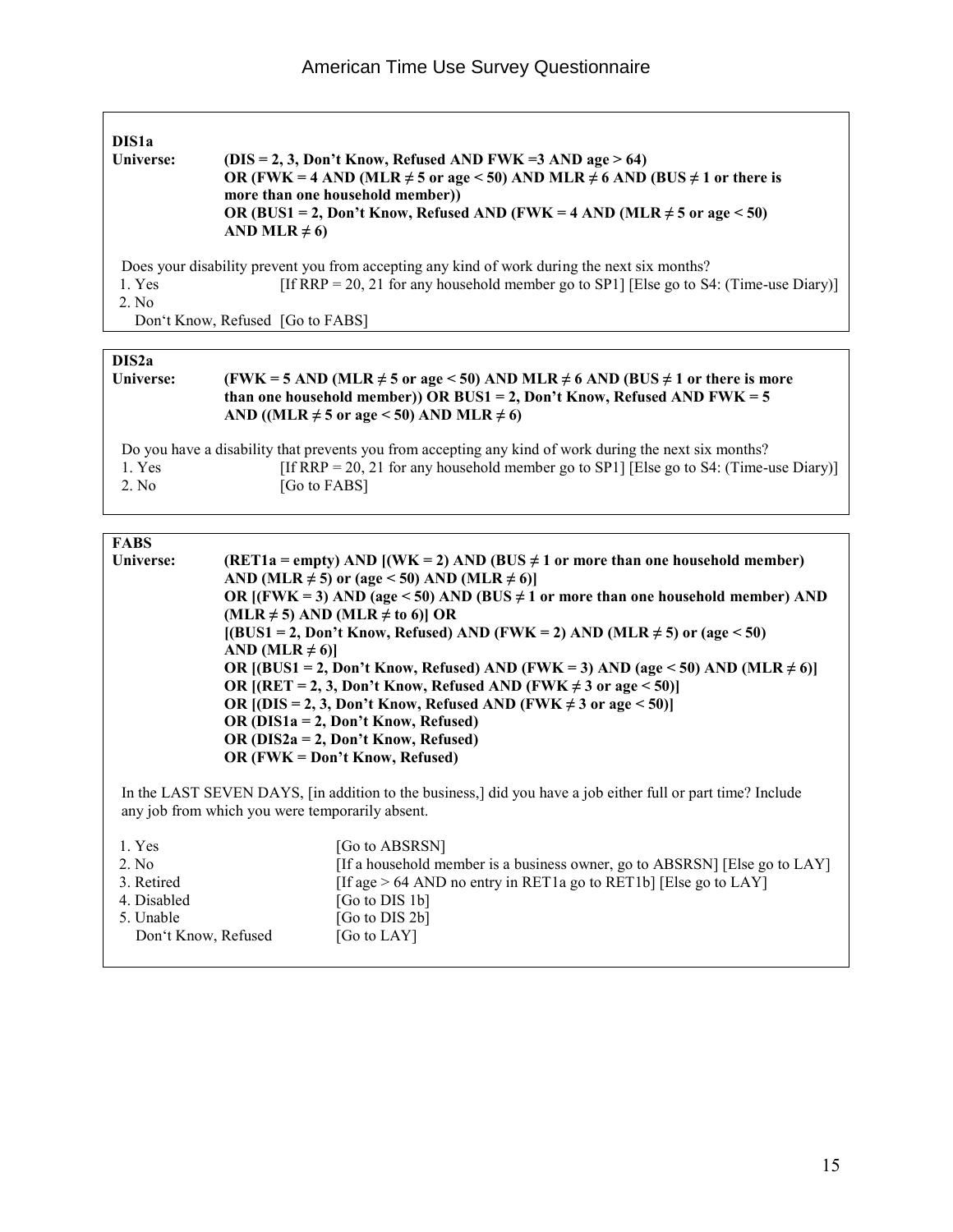| Universe:        | $(DIS = 2, 3, Don't Know, Refused AND FWK = 3 AND age > 64)$<br>OR (FWK = 4 AND (MLR $\neq$ 5 or age < 50) AND MLR $\neq$ 6 AND (BUS $\neq$ 1 or there is<br>more than one household member)<br>OR (BUS1 = 2, Don't Know, Refused AND (FWK = 4 AND (MLR $\neq$ 5 or age < 50)<br>AND MLR $\neq$ 6) |
|------------------|----------------------------------------------------------------------------------------------------------------------------------------------------------------------------------------------------------------------------------------------------------------------------------------------------|
| 1. Yes<br>2. No. | Does your disability prevent you from accepting any kind of work during the next six months?<br>[If RRP = 20, 21 for any household member go to SP1] [Else go to S4: (Time-use Diary)]<br>Don't Know, Refused [Go to FABS]                                                                         |

| (FWK = 5 AND (MLR $\neq$ 5 or age < 50) AND MLR $\neq$ 6 AND (BUS $\neq$ 1 or there is more<br>Universe:<br>than one household member)) OR BUS1 = 2, Don't Know, Refused AND FWK = $5$<br>AND ((MLR $\neq$ 5 or age < 50) AND MLR $\neq$ 6) |                                                                                                                                                                                                                  |  |
|---------------------------------------------------------------------------------------------------------------------------------------------------------------------------------------------------------------------------------------------|------------------------------------------------------------------------------------------------------------------------------------------------------------------------------------------------------------------|--|
| 1. Yes<br>2. No                                                                                                                                                                                                                             | Do you have a disability that prevents you from accepting any kind of work during the next six months?<br>[If RRP = 20, 21 for any household member go to SP1] [Else go to S4: (Time-use Diary)]<br>[Go to FABS] |  |

| Universe: | (RET1a = empty) AND [(WK = 2) AND (BUS $\neq$ 1 or more than one household member)      |  |  |  |
|-----------|-----------------------------------------------------------------------------------------|--|--|--|
|           | AND (MLR $\neq$ 5) or (age < 50) AND (MLR $\neq$ 6)]                                    |  |  |  |
|           | OR $[(FWK = 3)$ AND (age < 50) AND (BUS $\neq$ 1 or more than one household member) AND |  |  |  |
|           | (MLR $\neq$ 5) AND (MLR $\neq$ to 6)] OR                                                |  |  |  |
|           | $[(BUS1 = 2, Don't Know, Refused) AND (FWK = 2) AND (MLR \ne 5) or (age < 50)$          |  |  |  |
|           | AND (MLR $\neq$ 6)                                                                      |  |  |  |
|           | OR $[(BUS1 = 2, Don't Know, Refused) AND (FWK = 3) AND (age < 50) AND (MLR \neq 6)]$    |  |  |  |
|           | OR $[(RET = 2, 3, Don't Know, Refused AND (FWK \neq 3 or age \leq 50)]$                 |  |  |  |
|           | OR $[(DIS = 2, 3, Don't Know, Refused AND (FWK \neq 3 or age \leq 50)]$                 |  |  |  |
|           | OR ( $DIS1a = 2$ , Don't Know, Refused)                                                 |  |  |  |
|           | OR ( $DIS2a = 2$ , Don't Know, Refused)                                                 |  |  |  |
|           | OR (FWK = Don't Know, Refused)                                                          |  |  |  |
|           |                                                                                         |  |  |  |

 In the LAST SEVEN DAYS, [in addition to the business,] did you have a job either full or part time? Include any job from which you were temporarily absent.

| 1. Yes              | [Go to ABSRSN]                                                             |
|---------------------|----------------------------------------------------------------------------|
| 2. No.              | [If a household member is a business owner, go to ABSRSN] [Else go to LAY] |
| 3. Retired          | [If age $> 64$ AND no entry in RET1a go to RET1b] [Else go to LAY]         |
| 4. Disabled         | [Go to DIS 1b]                                                             |
| 5. Unable           | [Go to DIS 2b]                                                             |
| Don't Know, Refused | [Go to LAY]                                                                |
|                     |                                                                            |

٦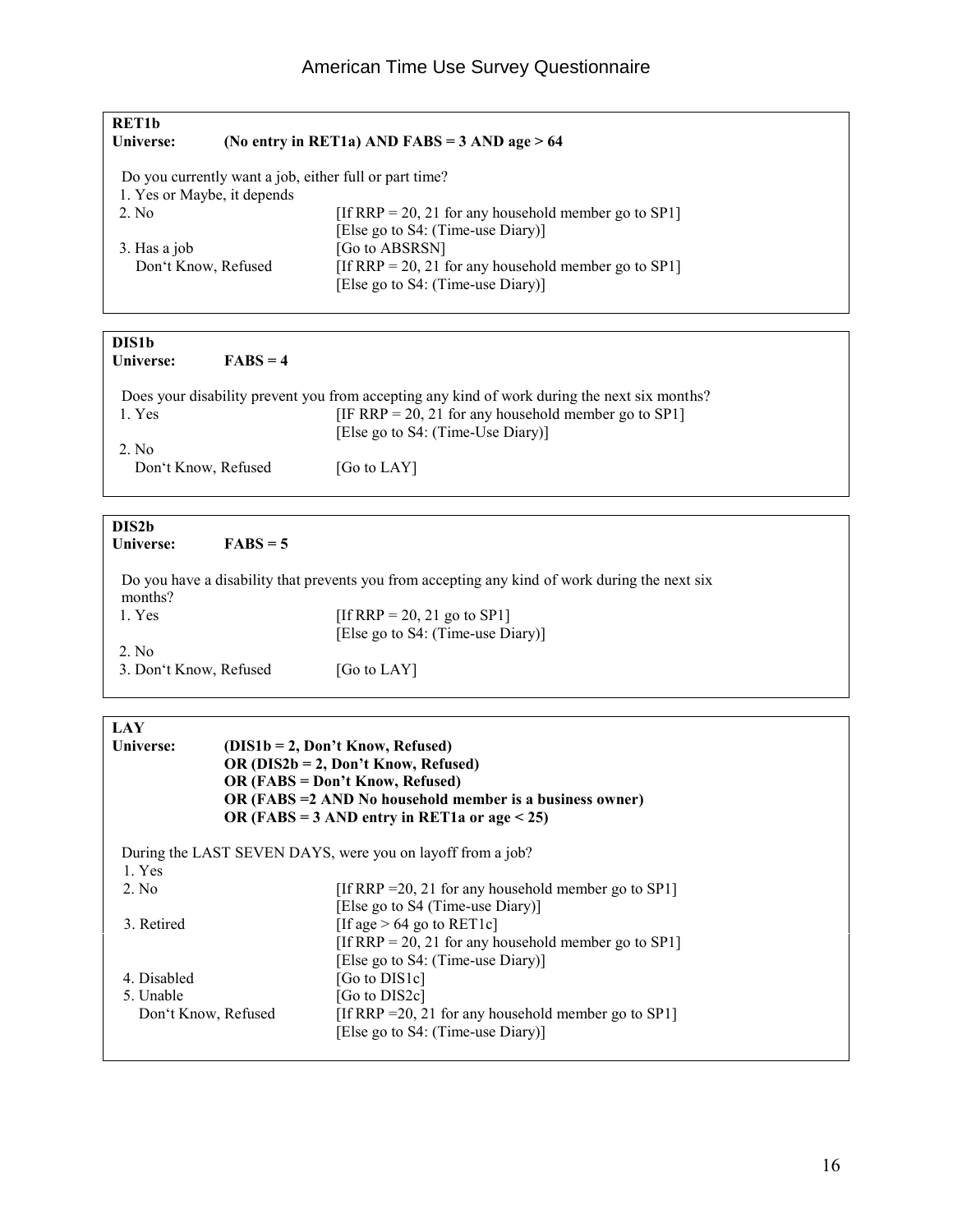| <b>RET1b</b><br>Universe:   | (No entry in RET1a) AND FABS = $3$ AND age > 64                                           |
|-----------------------------|-------------------------------------------------------------------------------------------|
|                             | Do you currently want a job, either full or part time?                                    |
| 1. Yes or Maybe, it depends |                                                                                           |
| 2. No.                      | [If RRP = 20, 21 for any household member go to SP1]                                      |
|                             | [Else go to S4: (Time-use Diary)]                                                         |
| 3. Has a job                | [Go to ABSRSN]                                                                            |
| Don't Know, Refused         | [If RRP = 20, 21 for any household member go to SP1]<br>[Else go to S4: (Time-use Diary)] |
|                             |                                                                                           |

| <b>DIS1b</b>        |            |                                                                                              |
|---------------------|------------|----------------------------------------------------------------------------------------------|
| Universe:           | $FARS = 4$ |                                                                                              |
|                     |            | Does your disability prevent you from accepting any kind of work during the next six months? |
| 1. Yes              |            | [IF RRP = 20, 21 for any household member go to SP1]                                         |
|                     |            | [Else go to S4: (Time-Use Diary)]                                                            |
| 2. No.              |            |                                                                                              |
| Don't Know, Refused |            | [Go to LAY]                                                                                  |
|                     |            |                                                                                              |
|                     |            |                                                                                              |
| DIS2b               |            |                                                                                              |

| <b>DISZD</b><br>Universe: | $FABS=5$ |                                                                                                |
|---------------------------|----------|------------------------------------------------------------------------------------------------|
| months?                   |          | Do you have a disability that prevents you from accepting any kind of work during the next six |
| 1. Yes                    |          | [If RRP = 20, 21 go to SP1]                                                                    |
|                           |          | [Else go to S4: (Time-use Diary)]                                                              |
| 2. No.                    |          |                                                                                                |
| 3. Don't Know, Refused    |          | [Go to LAY]                                                                                    |

| LAY                 |                                                                                                     |
|---------------------|-----------------------------------------------------------------------------------------------------|
| Universe:           | (DIS1b = 2, Don't Know, Refused)<br>OR ( $DIS2b = 2$ , Don't Know, Refused)                         |
|                     | <b>OR (FABS = Don't Know, Refused)</b><br>OR (FABS = 2 AND No household member is a business owner) |
|                     | OR (FABS = 3 AND entry in RET1a or age $<$ 25)                                                      |
|                     | During the LAST SEVEN DAYS, were you on layoff from a job?                                          |
| 1. Yes              |                                                                                                     |
| 2. No.              | [If RRP = 20, 21 for any household member go to SP1]                                                |
|                     | [Else go to S4 (Time-use Diary)]                                                                    |
| 3. Retired          | [If age $> 64$ go to RET1c]                                                                         |
|                     | [If RRP = 20, 21 for any household member go to SP1]                                                |
|                     | [Else go to S4: (Time-use Diary)]                                                                   |
| 4. Disabled         | [Go to DIS1c]                                                                                       |
| 5. Unable           | [Go to DIS2c]                                                                                       |
| Don't Know, Refused | [If RRP = 20, 21 for any household member go to SP1]                                                |
|                     | [Else go to S4: (Time-use Diary)]                                                                   |
|                     |                                                                                                     |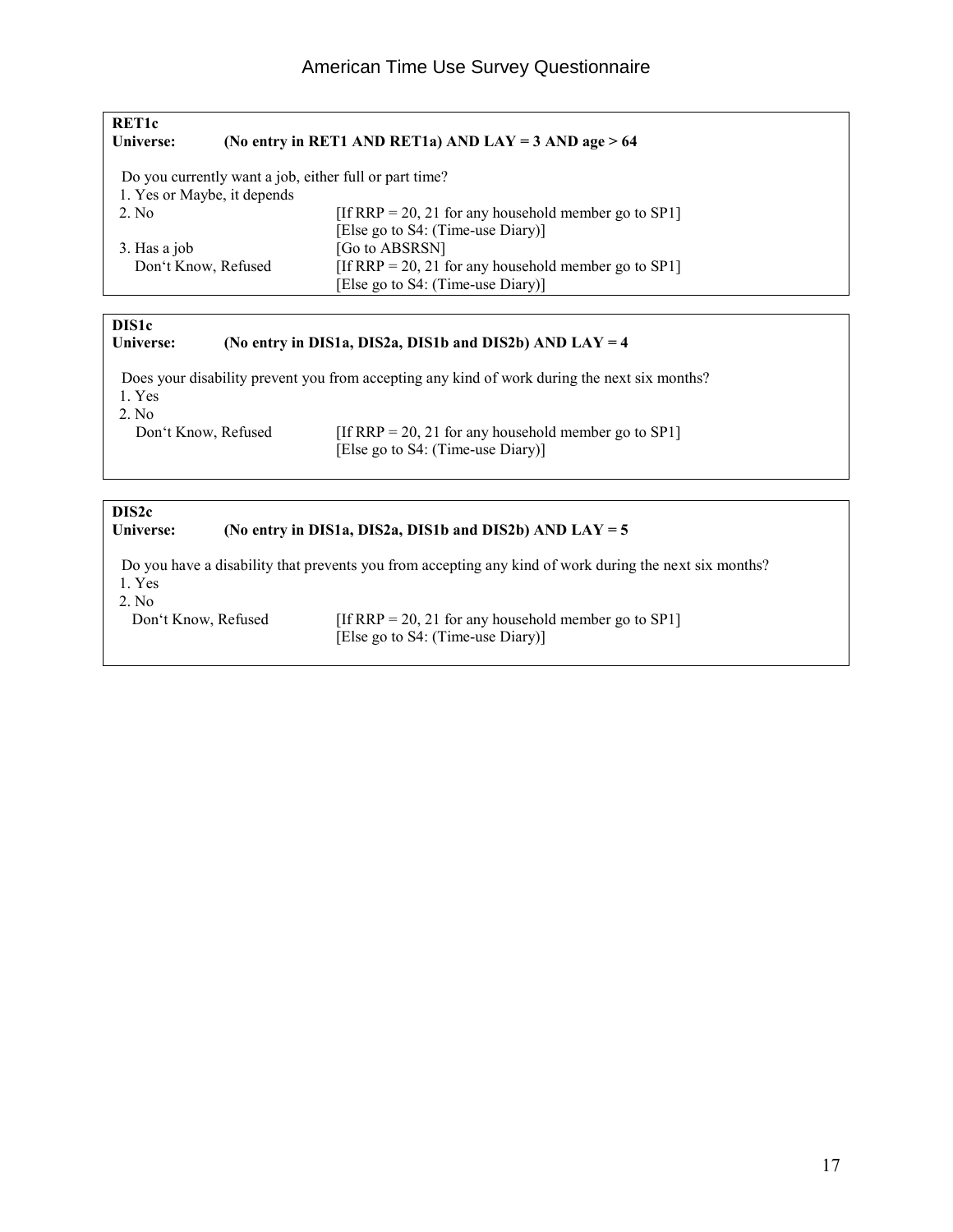| RET <sub>1</sub> c<br>Universe: |                             | (No entry in RET1 AND RET1a) AND LAY = $3$ AND age > 64 |
|---------------------------------|-----------------------------|---------------------------------------------------------|
|                                 |                             | Do you currently want a job, either full or part time?  |
|                                 | 1. Yes or Maybe, it depends |                                                         |
| 2. No.                          |                             | [If RRP = 20, 21 for any household member go to SP1]    |
|                                 |                             | [Else go to S4: (Time-use Diary)]                       |
| 3. Has a job                    |                             | [Go to ABSRSN]                                          |
|                                 | Don't Know, Refused         | [If RRP = 20, 21 for any household member go to SP1]    |
|                                 |                             | [Else go to S4: (Time-use Diary)]                       |
|                                 |                             |                                                         |

## **DIS1c**

| <b>Universe:</b> |  |  | (No entry in DIS1a, DIS2a, DIS1b and DIS2b) AND LAY = $4$ |  |
|------------------|--|--|-----------------------------------------------------------|--|
|------------------|--|--|-----------------------------------------------------------|--|

 Does your disability prevent you from accepting any kind of work during the next six months? 1. Yes

2. No<br>Don't Know, Refused

Don't Know, Refused [If RRP = 20, 21 for any household member go to SP1] [Else go to S4: (Time-use Diary)]

| DIS <sub>2</sub> c<br>Universe: | (No entry in DIS1a, DIS2a, DIS1b and DIS2b) AND $LAY = 5$                                              |  |
|---------------------------------|--------------------------------------------------------------------------------------------------------|--|
| 1. Yes<br>2. No                 | Do you have a disability that prevents you from accepting any kind of work during the next six months? |  |
| Don't Know, Refused             | [If RRP = 20, 21 for any household member go to SP1]<br>[Else go to S4: (Time-use Diary)]              |  |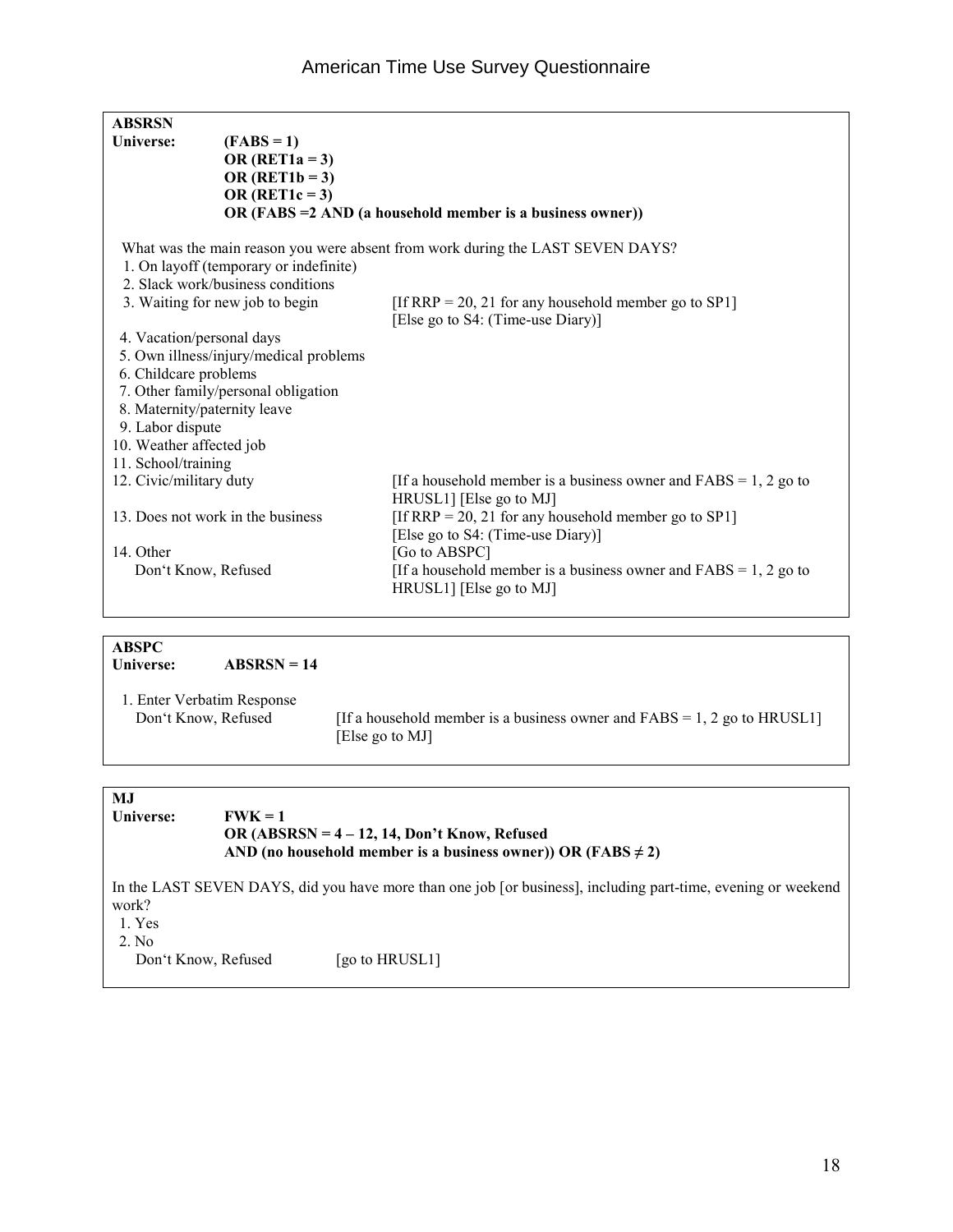| <b>ABSRSN</b>                |                                        |                                                                                               |
|------------------------------|----------------------------------------|-----------------------------------------------------------------------------------------------|
| Universe:                    | $(FABS=1)$                             |                                                                                               |
|                              | OR $(RET1a = 3)$                       |                                                                                               |
|                              | OR $(RET1b = 3)$                       |                                                                                               |
|                              | OR $(RET1c = 3)$                       |                                                                                               |
|                              |                                        | OR (FABS = 2 AND (a household member is a business owner))                                    |
|                              | 1. On layoff (temporary or indefinite) | What was the main reason you were absent from work during the LAST SEVEN DAYS?                |
|                              | 2. Slack work/business conditions      |                                                                                               |
|                              | 3. Waiting for new job to begin        | [If RRP = 20, 21 for any household member go to SP1]                                          |
|                              |                                        | [Else go to S4: (Time-use Diary)]                                                             |
| 4. Vacation/personal days    |                                        |                                                                                               |
|                              | 5. Own illness/injury/medical problems |                                                                                               |
| 6. Childcare problems        |                                        |                                                                                               |
|                              | 7. Other family/personal obligation    |                                                                                               |
| 8. Maternity/paternity leave |                                        |                                                                                               |
| 9. Labor dispute             |                                        |                                                                                               |
| 10. Weather affected job     |                                        |                                                                                               |
| 11. School/training          |                                        |                                                                                               |
| 12. Civic/military duty      |                                        | [If a household member is a business owner and $FABS = 1, 2$ go to<br>HRUSL1] [Else go to MJ] |
|                              | 13. Does not work in the business      | [If RRP = 20, 21 for any household member go to SP1]                                          |
|                              |                                        | [Else go to S4: (Time-use Diary)]                                                             |
| 14. Other                    |                                        | [Go to ABSPC]                                                                                 |
| Don't Know, Refused          |                                        | [If a household member is a business owner and $FABS = 1, 2$ go to                            |
|                              |                                        | HRUSL1] [Else go to MJ]                                                                       |
|                              |                                        |                                                                                               |

**ABSPC ABSRSN = 14**  1. Enter Verbatim Response [If a household member is a business owner and  $FABS = 1, 2$  go to HRUSL1]

[Else go to MJ]

### **MJ** Universe: **FWK** = 1  **OR (ABSRSN = 4 – 12, 14, Don't Know, Refused**  AND (no household member is a business owner)) OR ( $FABS \neq 2$ ) In the LAST SEVEN DAYS, did you have more than one job [or business], including part-time, evening or weekend

work?

1. Yes

2. No

Don't Know, Refused [go to HRUSL1]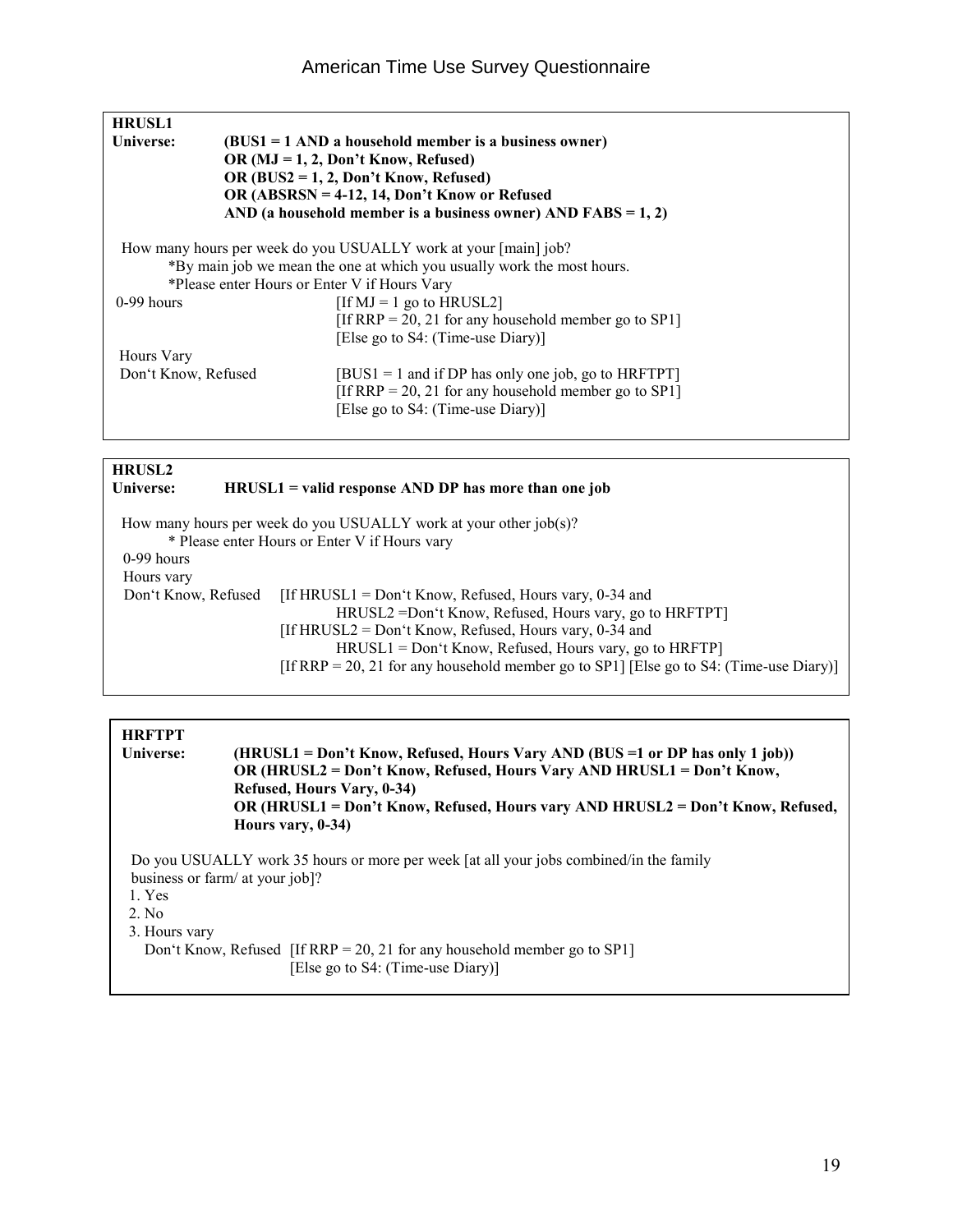|                                         | $(BUS1 = 1$ AND a household member is a business owner)                |  |  |  |  |  |  |  |
|-----------------------------------------|------------------------------------------------------------------------|--|--|--|--|--|--|--|
|                                         | OR $(MJ = 1, 2, Don't Know, Refused)$                                  |  |  |  |  |  |  |  |
| OR $(BUS2 = 1, 2, Don't Know, Refused)$ |                                                                        |  |  |  |  |  |  |  |
|                                         | OR (ABSRSN = 4-12, 14, Don't Know or Refused                           |  |  |  |  |  |  |  |
|                                         | AND (a household member is a business owner) AND FABS = $1, 2$ )       |  |  |  |  |  |  |  |
|                                         | How many hours per week do you USUALLY work at your [main] job?        |  |  |  |  |  |  |  |
|                                         | *By main job we mean the one at which you usually work the most hours. |  |  |  |  |  |  |  |
|                                         | *Please enter Hours or Enter V if Hours Vary                           |  |  |  |  |  |  |  |
|                                         | $[If MJ = 1$ go to $HRUSL2]$                                           |  |  |  |  |  |  |  |
|                                         | [If RRP = 20, 21 for any household member go to SP1]                   |  |  |  |  |  |  |  |
|                                         | [Else go to S4: (Time-use Diary)]                                      |  |  |  |  |  |  |  |
|                                         |                                                                        |  |  |  |  |  |  |  |
| Don't Know, Refused                     | $[BUS1 = 1$ and if DP has only one job, go to HRFTPT]                  |  |  |  |  |  |  |  |
|                                         | [If RRP = 20, 21 for any household member go to SP1]                   |  |  |  |  |  |  |  |
|                                         | [Else go to S4: (Time-use Diary)]                                      |  |  |  |  |  |  |  |
|                                         |                                                                        |  |  |  |  |  |  |  |

#### **HRUSL2**

**Universe: HRUSL1 = valid response AND DP has more than one job** 

 How many hours per week do you USUALLY work at your other job(s)? \* Please enter Hours or Enter V if Hours vary 0-99 hours Hours vary<br>Don't Know, Refused [If HRUSL1 = Don't Know, Refused, Hours vary, 0-34 and HRUSL2 =Don't Know, Refused, Hours vary, go to HRFTPT] [If HRUSL2 = Don't Know, Refused, Hours vary, 0-34 and HRUSL1 = Don't Know, Refused, Hours vary, go to HRFTP] [If RRP = 20, 21 for any household member go to SP1] [Else go to S4: (Time-use Diary)]

**HRFTPT Universe: (HRUSL1 = Don't Know, Refused, Hours Vary AND (BUS =1 or DP has only 1 job)) OR (HRUSL2 = Don't Know, Refused, Hours Vary AND HRUSL1 = Don't Know, Refused, Hours Vary, 0-34) OR (HRUSL1 = Don't Know, Refused, Hours vary AND HRUSL2 = Don't Know, Refused, Hours vary, 0-34)**

Do you USUALLY work 35 hours or more per week [at all your jobs combined/in the family business or farm/ at your job]?

1. Yes

2. No

3. Hours vary

 Don't Know, Refused [If RRP = 20, 21 for any household member go to SP1] [Else go to S4: (Time-use Diary)]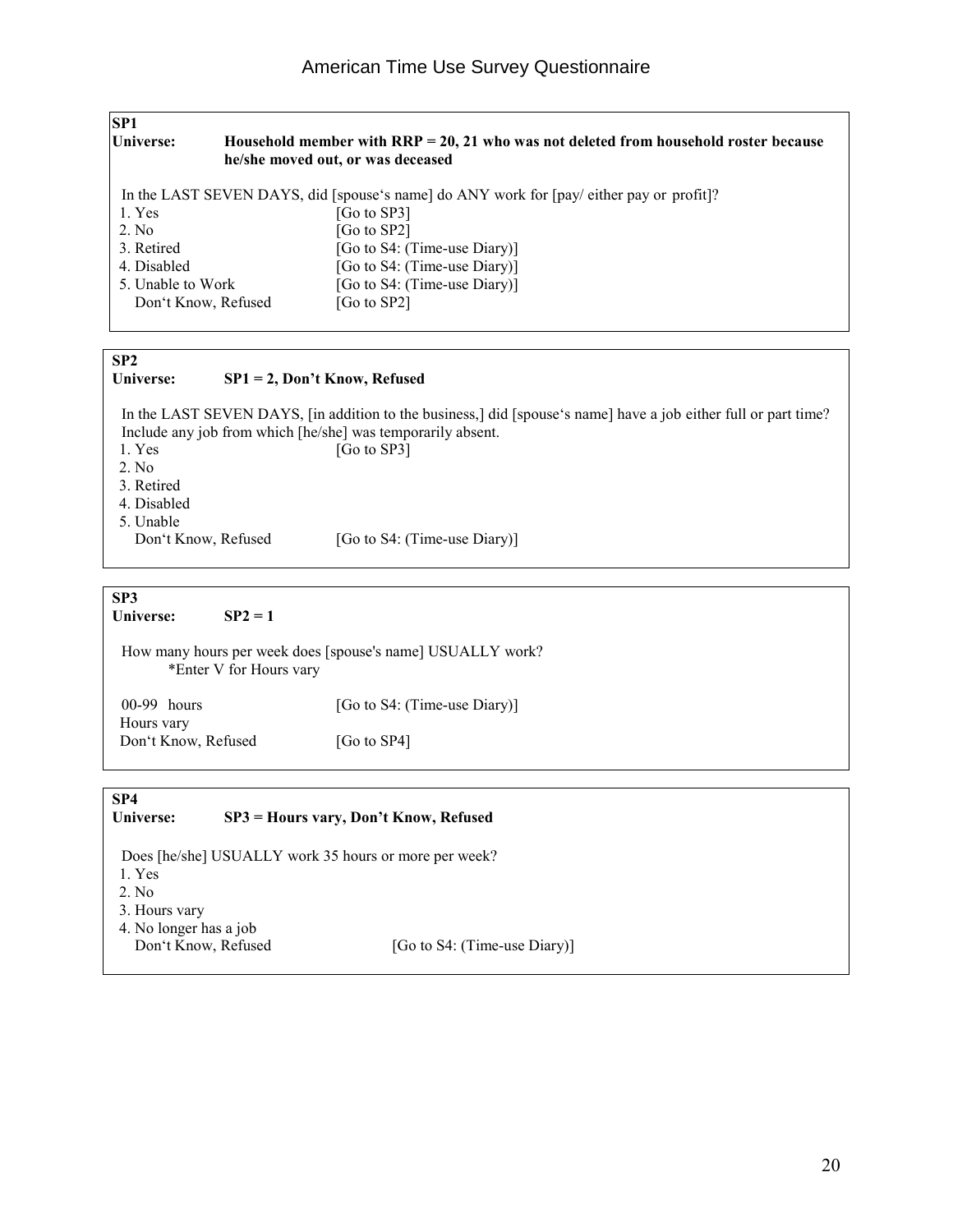| <b>SP1</b>        |                     |                                                                                                                                    |
|-------------------|---------------------|------------------------------------------------------------------------------------------------------------------------------------|
| <b>Universe:</b>  |                     | Household member with $\text{RRP} = 20, 21$ who was not deleted from household roster because<br>he/she moved out, or was deceased |
|                   |                     | In the LAST SEVEN DAYS, did [spouse's name] do ANY work for [pay/either pay or profit]?                                            |
| 1. Yes            |                     | [Go to SP3]                                                                                                                        |
| 2. No             |                     | [Go to SP2]                                                                                                                        |
| 3. Retired        |                     | [Go to S4: (Time-use Diary)]                                                                                                       |
| 4. Disabled       |                     | [Go to S4: (Time-use Diary)]                                                                                                       |
| 5. Unable to Work |                     | [Go to S4: (Time-use Diary)]                                                                                                       |
|                   | Don't Know, Refused | [Go to SP2]                                                                                                                        |
|                   |                     |                                                                                                                                    |
|                   |                     |                                                                                                                                    |
| <b>CDA</b>        |                     |                                                                                                                                    |

#### **SP2**

#### **Universe: SP1 = 2, Don't Know, Refused**

In the LAST SEVEN DAYS, [in addition to the business,] did [spouse's name] have a job either full or part time? Include any job from which [he/she] was temporarily absent. 1. Yes [Go to SP3] 2. No 3. Retired 4. Disabled 5. Unable [Go to S4: (Time-use Diary)]

**SP3** 

**Universe: SP2 = 1** 

 How many hours per week does [spouse's name] USUALLY work? \*Enter V for Hours vary

00-99 hours [Go to S4: (Time-use Diary)] Hours vary Don't Know, Refused [Go to SP4]

#### **SP4**

#### **Universe: SP3 = Hours vary, Don't Know, Refused**

Does [he/she] USUALLY work 35 hours or more per week? 1. Yes 2. No

- 3. Hours vary
- 4. No longer has a job
- 

Don't Know, Refused [Go to S4: (Time-use Diary)]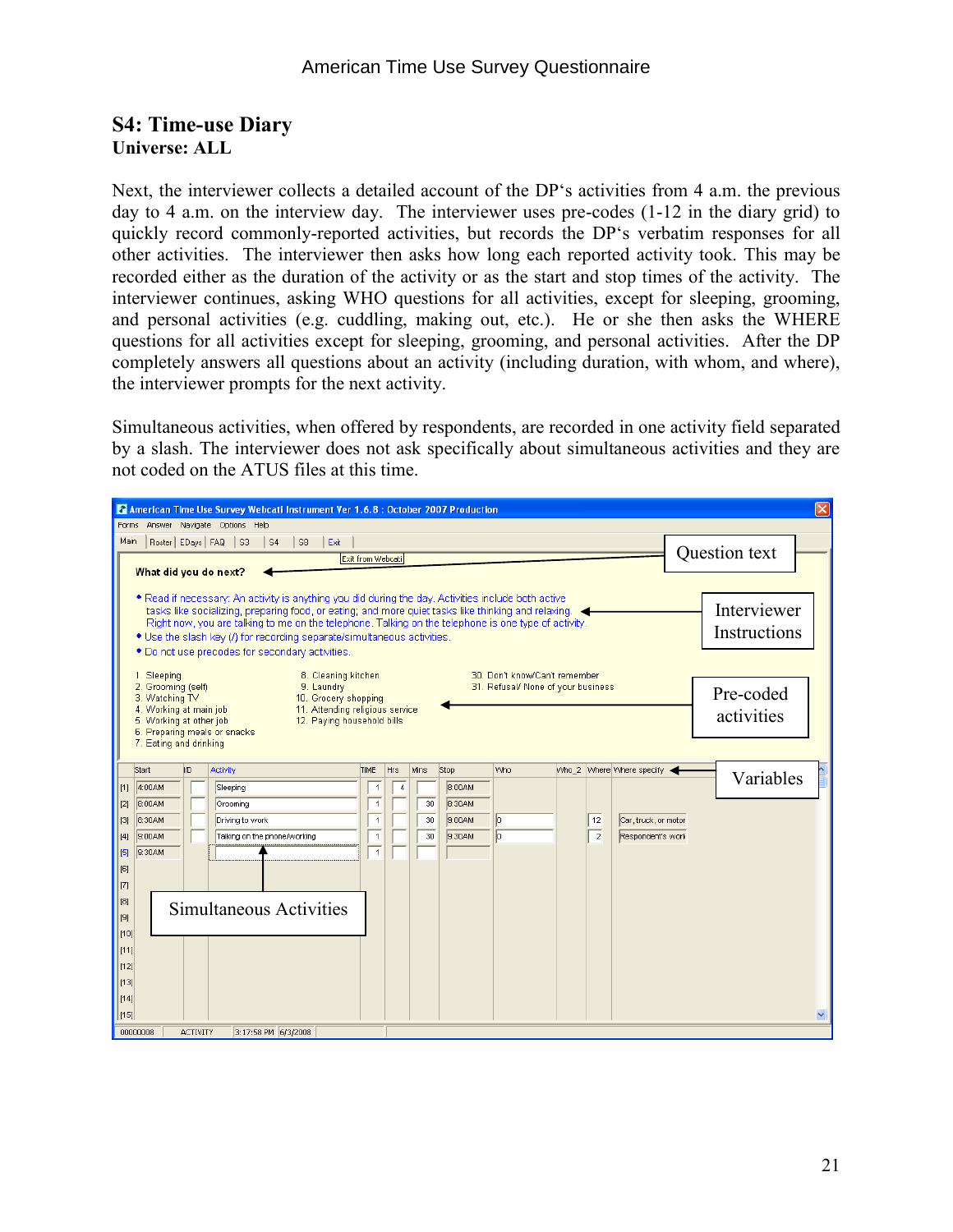#### **S4: Time-use Diary Universe: ALL**

Next, the interviewer collects a detailed account of the DP's activities from 4 a.m. the previous day to 4 a.m. on the interview day. The interviewer uses pre-codes (1-12 in the diary grid) to quickly record commonly-reported activities, but records the DP's verbatim responses for all other activities. The interviewer then asks how long each reported activity took. This may be recorded either as the duration of the activity or as the start and stop times of the activity. The interviewer continues, asking WHO questions for all activities, except for sleeping, grooming, and personal activities (e.g. cuddling, making out, etc.). He or she then asks the WHERE questions for all activities except for sleeping, grooming, and personal activities. After the DP completely answers all questions about an activity (including duration, with whom, and where), the interviewer prompts for the next activity.

Simultaneous activities, when offered by respondents, are recorded in one activity field separated by a slash. The interviewer does not ask specifically about simultaneous activities and they are not coded on the ATUS files at this time.

|              |                                      |                 |                              | American Time Use Survey Webcati Instrument Ver 1.6.8 : October 2007 Production                      |                                  |                |             |                  |                                    |                |                           |               | $\overline{\mathsf{x}}$ |
|--------------|--------------------------------------|-----------------|------------------------------|------------------------------------------------------------------------------------------------------|----------------------------------|----------------|-------------|------------------|------------------------------------|----------------|---------------------------|---------------|-------------------------|
| Forms        |                                      |                 | Answer Navigate Options Help |                                                                                                      |                                  |                |             |                  |                                    |                |                           |               |                         |
| Main         |                                      |                 | Roster   EDays   FAQ   S3    | $\vert$ S4<br>S8<br>Exit                                                                             |                                  |                |             |                  |                                    |                |                           |               |                         |
|              |                                      |                 |                              |                                                                                                      | Exit from Webcati                |                |             |                  |                                    |                |                           | Question text |                         |
|              | What did you do next?                |                 |                              |                                                                                                      |                                  |                |             |                  |                                    |                |                           |               |                         |
|              |                                      |                 |                              | * Read if necessary: An activity is anything you did during the day. Activities include both active  |                                  |                |             |                  |                                    |                |                           |               |                         |
|              |                                      |                 |                              | tasks like socializing, preparing food, or eating; and more quiet tasks like thinking and relaxing.  |                                  |                |             |                  |                                    |                |                           | Interviewer   |                         |
|              |                                      |                 |                              | Right now, you are talking to me on the telephone. Talking on the telephone is one type of activity. |                                  |                |             |                  |                                    |                |                           | Instructions  |                         |
|              |                                      |                 |                              | * Use the slash key (/) for recording separate/simultaneous activities.                              |                                  |                |             |                  |                                    |                |                           |               |                         |
|              |                                      |                 |                              | * Do not use precodes for secondary activities.                                                      |                                  |                |             |                  |                                    |                |                           |               |                         |
|              | 1. Sleeping                          |                 |                              | 8. Cleaning kitchen                                                                                  |                                  |                |             |                  | 30. Don't know/Can't remember      |                |                           |               |                         |
|              | 2. Grooming (self)<br>3. Watching TV |                 |                              | 9. Laundry<br>10. Grocery shopping                                                                   |                                  |                |             |                  | 31. Refusal/ None of your business |                |                           | Pre-coded     |                         |
|              | 4. Working at main job               |                 |                              | 11. Attending religious service                                                                      |                                  |                |             |                  |                                    |                |                           |               |                         |
|              | 5. Working at other job              |                 | 6. Preparing meals or snacks | 12. Paying household bills                                                                           |                                  |                |             |                  |                                    |                |                           | activities    |                         |
|              | 7. Eating and drinking               |                 |                              |                                                                                                      |                                  |                |             |                  |                                    |                |                           |               |                         |
|              |                                      |                 |                              |                                                                                                      |                                  |                |             |                  |                                    |                |                           |               |                         |
|              | Start                                | ID.             | Activity                     |                                                                                                      | TIME                             | <b>Hrs</b>     | <b>Mins</b> | Stop             | Who                                |                | Who 2 Where Where specify | Variables     |                         |
| $\vert$ [1]  | 4:00AM                               |                 | Sleeping                     |                                                                                                      | $\overline{1}$                   | $\overline{4}$ |             | 8:00AM           |                                    |                |                           |               |                         |
| [2]<br> 13   | 8:00AM<br>8:30AM                     |                 | Grooming<br>Driving to work  |                                                                                                      | $\overline{1}$<br>$\overline{1}$ |                | 30<br>30    | 8:30AM<br>9:00AM | $\boxed{0}$                        | 12             | Car, truck, or motor      |               |                         |
| $\vert$ [4]  | 9:00AM                               |                 |                              | Talking on the phone/working                                                                         | $\overline{1}$                   |                | 30          | 9:30AM           | $\overline{0}$                     | $\overline{2}$ | Respondent's work         |               |                         |
| [5]          | 9:30AM                               |                 |                              |                                                                                                      | $\overline{1}$                   |                |             |                  |                                    |                |                           |               |                         |
| [6]          |                                      |                 |                              |                                                                                                      |                                  |                |             |                  |                                    |                |                           |               |                         |
| 17]          |                                      |                 |                              |                                                                                                      |                                  |                |             |                  |                                    |                |                           |               |                         |
| [8]          |                                      |                 |                              |                                                                                                      |                                  |                |             |                  |                                    |                |                           |               |                         |
| [[9]         |                                      |                 |                              | Simultaneous Activities                                                                              |                                  |                |             |                  |                                    |                |                           |               |                         |
| [10]         |                                      |                 |                              |                                                                                                      |                                  |                |             |                  |                                    |                |                           |               |                         |
| [11]         |                                      |                 |                              |                                                                                                      |                                  |                |             |                  |                                    |                |                           |               |                         |
| [12]         |                                      |                 |                              |                                                                                                      |                                  |                |             |                  |                                    |                |                           |               |                         |
| [13]         |                                      |                 |                              |                                                                                                      |                                  |                |             |                  |                                    |                |                           |               |                         |
| $\vert$ [14] |                                      |                 |                              |                                                                                                      |                                  |                |             |                  |                                    |                |                           |               |                         |
| [15]         |                                      |                 |                              |                                                                                                      |                                  |                |             |                  |                                    |                |                           |               | v                       |
| 00000008     |                                      | <b>ACTIVITY</b> |                              | 3:17:58 PM 6/3/2008                                                                                  |                                  |                |             |                  |                                    |                |                           |               |                         |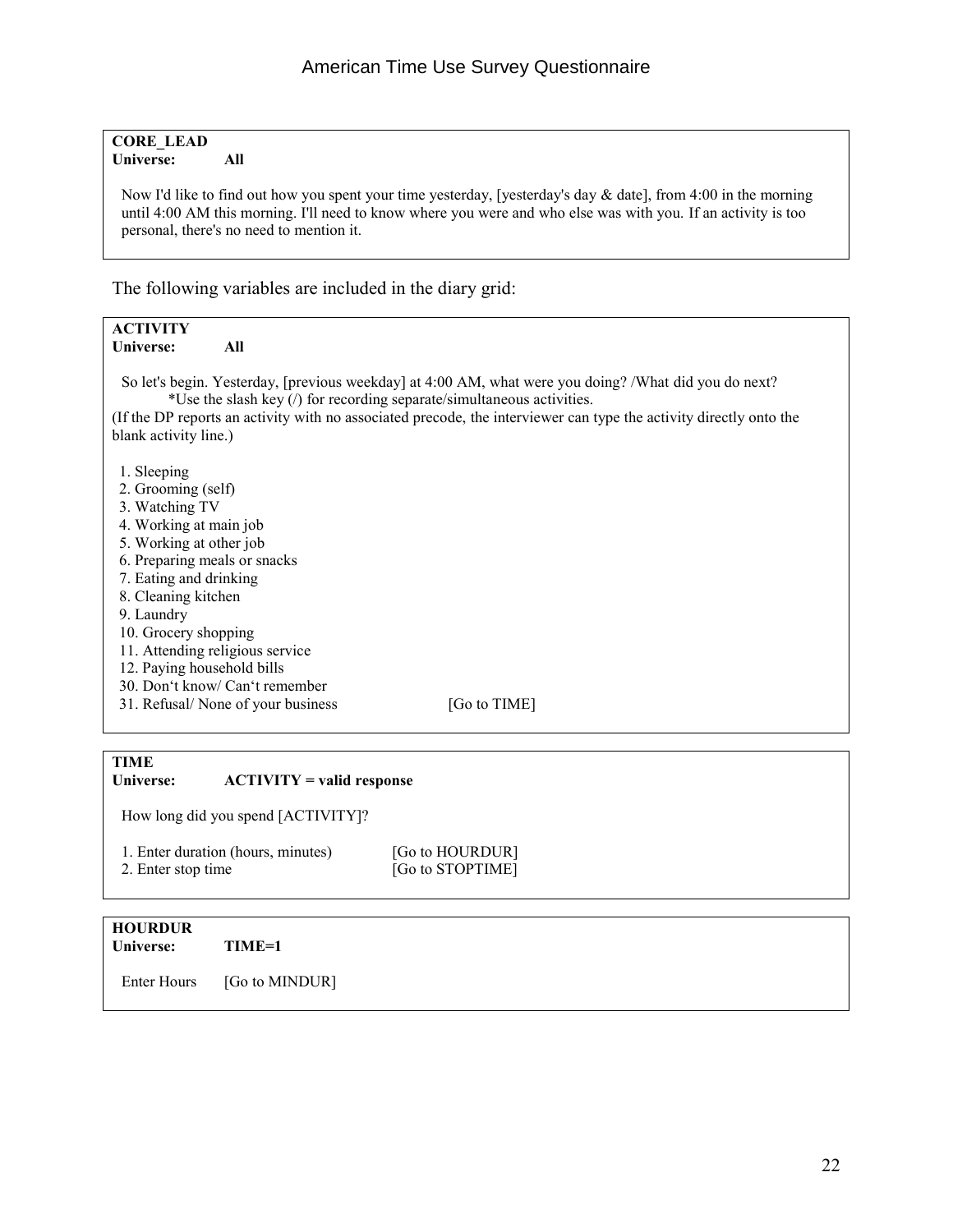#### **CORE\_LEAD Universe: All**

 Now I'd like to find out how you spent your time yesterday, [yesterday's day & date], from 4:00 in the morning until 4:00 AM this morning. I'll need to know where you were and who else was with you. If an activity is too personal, there's no need to mention it.

The following variables are included in the diary grid:

| <b>ACTIVITY</b>                                                                                                    |  |  |  |  |  |  |  |  |  |
|--------------------------------------------------------------------------------------------------------------------|--|--|--|--|--|--|--|--|--|
| Universe:<br>All                                                                                                   |  |  |  |  |  |  |  |  |  |
|                                                                                                                    |  |  |  |  |  |  |  |  |  |
| So let's begin. Yesterday, [previous weekday] at 4:00 AM, what were you doing? /What did you do next?              |  |  |  |  |  |  |  |  |  |
| *Use the slash key (/) for recording separate/simultaneous activities.                                             |  |  |  |  |  |  |  |  |  |
| (If the DP reports an activity with no associated precode, the interviewer can type the activity directly onto the |  |  |  |  |  |  |  |  |  |
| blank activity line.)                                                                                              |  |  |  |  |  |  |  |  |  |
|                                                                                                                    |  |  |  |  |  |  |  |  |  |
| 1. Sleeping                                                                                                        |  |  |  |  |  |  |  |  |  |
| 2. Grooming (self)                                                                                                 |  |  |  |  |  |  |  |  |  |
| 3. Watching TV                                                                                                     |  |  |  |  |  |  |  |  |  |
| 4. Working at main job                                                                                             |  |  |  |  |  |  |  |  |  |
| 5. Working at other job                                                                                            |  |  |  |  |  |  |  |  |  |
| 6. Preparing meals or snacks                                                                                       |  |  |  |  |  |  |  |  |  |
| 7. Eating and drinking                                                                                             |  |  |  |  |  |  |  |  |  |
| 8. Cleaning kitchen                                                                                                |  |  |  |  |  |  |  |  |  |
| 9. Laundry                                                                                                         |  |  |  |  |  |  |  |  |  |
| 10. Grocery shopping                                                                                               |  |  |  |  |  |  |  |  |  |
| 11. Attending religious service                                                                                    |  |  |  |  |  |  |  |  |  |
| 12. Paying household bills                                                                                         |  |  |  |  |  |  |  |  |  |
| 30. Don't know/ Can't remember                                                                                     |  |  |  |  |  |  |  |  |  |
| 31. Refusal/ None of your business<br>[Go to TIME]                                                                 |  |  |  |  |  |  |  |  |  |
|                                                                                                                    |  |  |  |  |  |  |  |  |  |
|                                                                                                                    |  |  |  |  |  |  |  |  |  |
| TIME                                                                                                               |  |  |  |  |  |  |  |  |  |

| <b>TIME</b><br>Universe: | $\text{ACTIVITY} = \text{valid response}$ |                                     |  |
|--------------------------|-------------------------------------------|-------------------------------------|--|
|                          | How long did you spend [ACTIVITY]?        |                                     |  |
| 2. Enter stop time       | 1. Enter duration (hours, minutes)        | [Go to HOURDUR]<br>[Go to STOPTIME] |  |

#### **HOURDUR TIME=1**

Enter Hours [Go to MINDUR]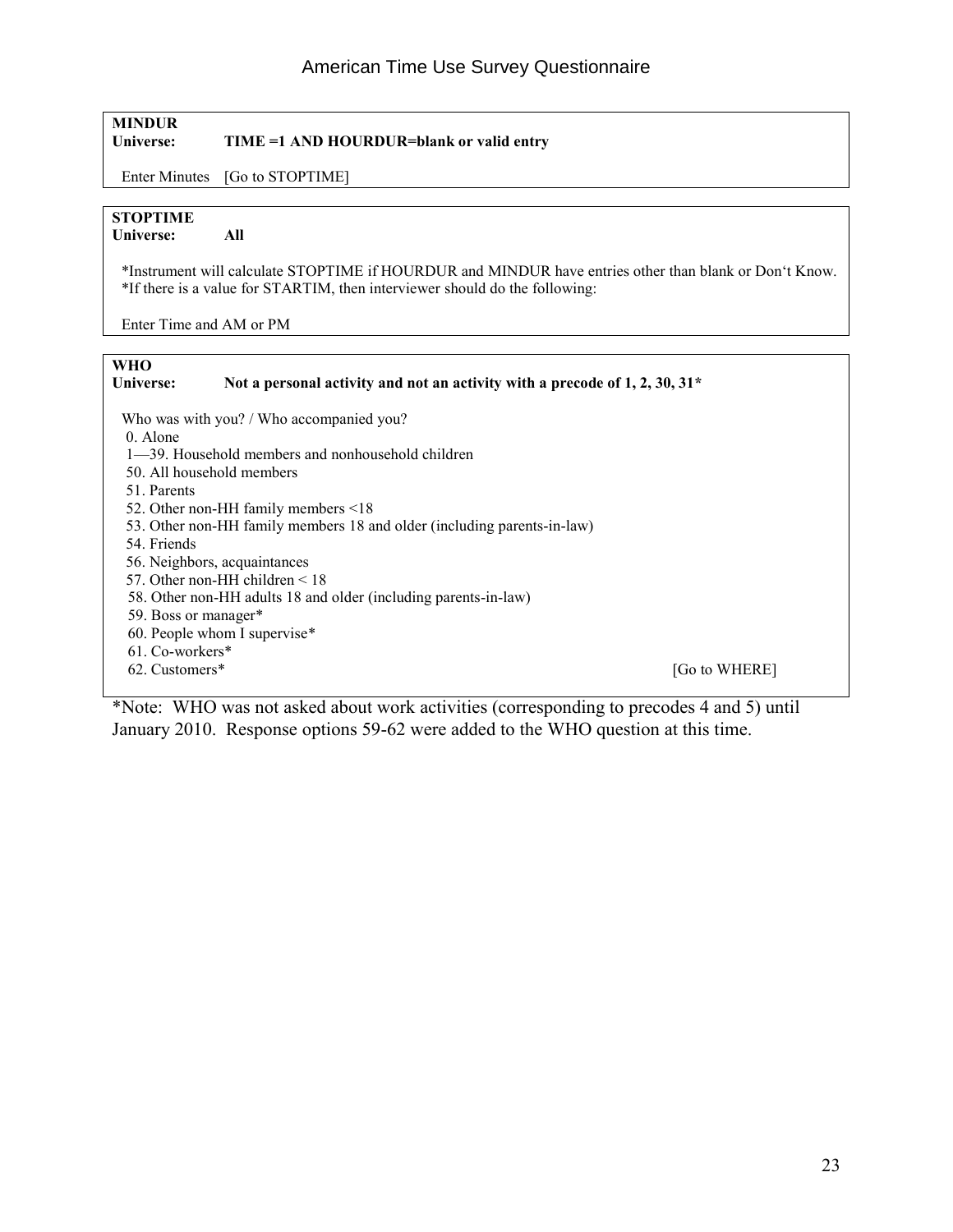#### **MINDUR**

**Universe: TIME =1 AND HOURDUR=blank or valid entry** 

Enter Minutes [Go to STOPTIME]

#### **STOPTIME**

**Universe: All** 

 \*Instrument will calculate STOPTIME if HOURDUR and MINDUR have entries other than blank or Don't Know. \*If there is a value for STARTIM, then interviewer should do the following:

Enter Time and AM or PM

**WHO Universe: Not a personal activity and not an activity with a precode of 1, 2, 30, 31\***  Who was with you? / Who accompanied you? 0. Alone 1—39. Household members and nonhousehold children 50. All household members 51. Parents 52. Other non-HH family members <18 53. Other non-HH family members 18 and older (including parents-in-law) 54. Friends 56. Neighbors, acquaintances 57. Other non-HH children < 18 58. Other non-HH adults 18 and older (including parents-in-law) 59. Boss or manager\* 60. People whom I supervise\* 61. Co-workers\*<br>62. Customers\* [Go to WHERE]

\*Note: WHO was not asked about work activities (corresponding to precodes 4 and 5) until January 2010. Response options 59-62 were added to the WHO question at this time.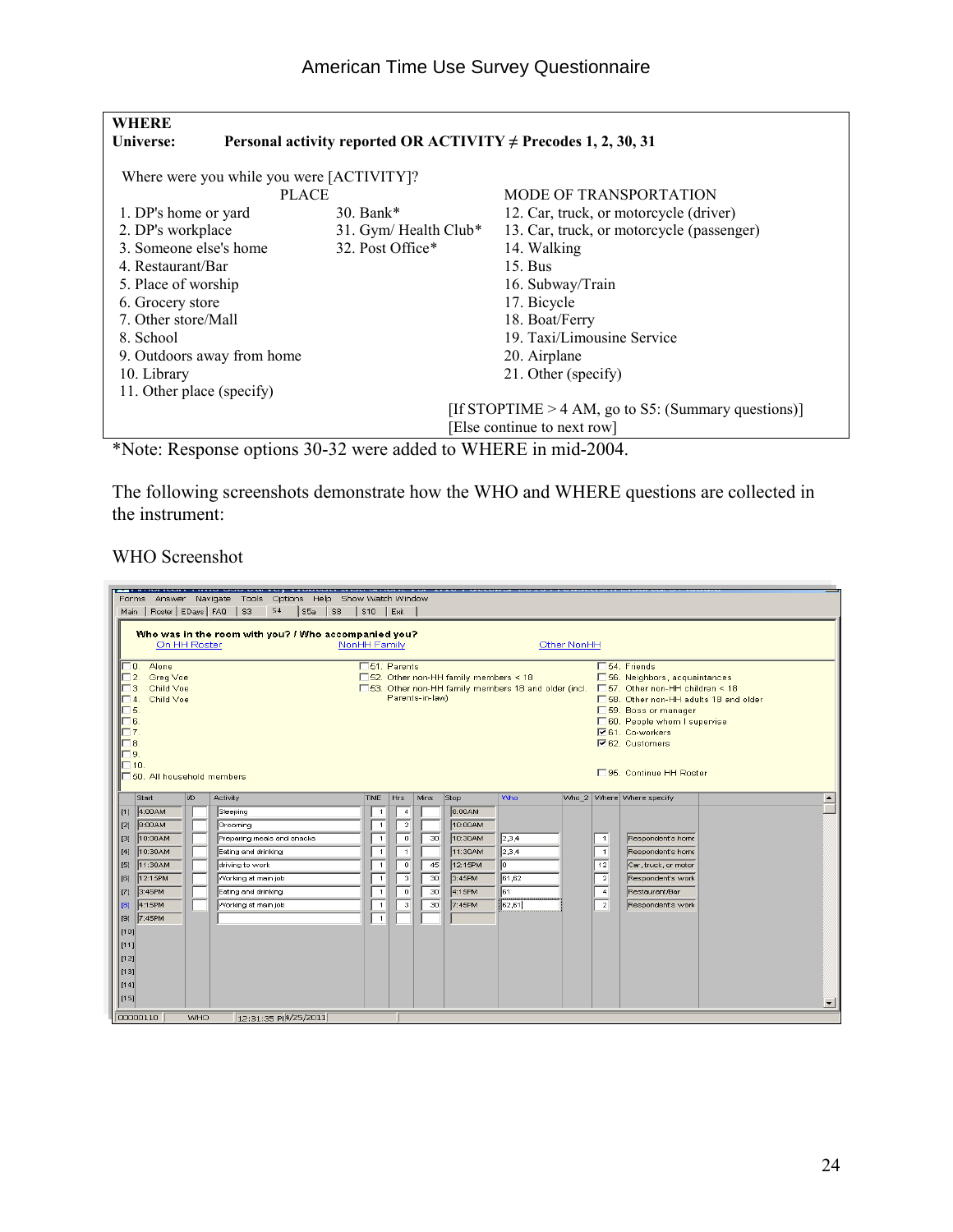#### American Time Use Survey Questionnaire

| <b>WHERE</b>               |                                           |                                                                     |                                                       |
|----------------------------|-------------------------------------------|---------------------------------------------------------------------|-------------------------------------------------------|
| Universe:                  |                                           | Personal activity reported OR ACTIVITY $\neq$ Precodes 1, 2, 30, 31 |                                                       |
|                            | Where were you while you were [ACTIVITY]? |                                                                     |                                                       |
|                            | <b>PLACE</b>                              |                                                                     | <b>MODE OF TRANSPORTATION</b>                         |
| 1. DP's home or yard       |                                           | 30. Bank $*$                                                        | 12. Car, truck, or motorcycle (driver)                |
| 2. DP's workplace          |                                           | 31. Gym/Health Club*                                                | 13. Car, truck, or motorcycle (passenger)             |
| 3. Someone else's home     |                                           | 32. Post Office*                                                    | 14. Walking                                           |
| 4. Restaurant/Bar          |                                           |                                                                     | $15.$ Bus                                             |
| 5. Place of worship        |                                           |                                                                     | 16. Subway/Train                                      |
| 6. Grocery store           |                                           |                                                                     | 17. Bicycle                                           |
| 7. Other store/Mall        |                                           |                                                                     | 18. Boat/Ferry                                        |
| 8. School                  |                                           |                                                                     | 19. Taxi/Limousine Service                            |
| 9. Outdoors away from home |                                           |                                                                     | 20. Airplane                                          |
| 10. Library                |                                           |                                                                     | 21. Other (specify)                                   |
| 11. Other place (specify)  |                                           |                                                                     |                                                       |
|                            |                                           |                                                                     | [If STOPTIME $> 4$ AM, go to S5: (Summary questions)] |
|                            |                                           |                                                                     | [Else continue to next row]                           |
| $\mathbf{A}$               | $\cdot$ .                                 | $11.1$ $\ldots$ $\ldots$<br>$\sim$ $\sim$ $\sim$                    | $\cdot$ 1 $\sim$ 0.0 $\cdot$                          |

\*Note: Response options 30-32 were added to WHERE in mid-2004.

The following screenshots demonstrate how the WHO and WHERE questions are collected in the instrument:

WHO Screenshot

| . <del>.</del><br>Forms Answer Navigate Tools Options Help Show-Watch-Window<br>S4<br>Main   Roster   EDays   FAQ<br>S <sub>3</sub><br>S5a<br>$ $ ss | $$10$ $$Exit$                                                                                                                      |                                                                                                                                                                                                                                                         |  |  |  |  |  |  |
|------------------------------------------------------------------------------------------------------------------------------------------------------|------------------------------------------------------------------------------------------------------------------------------------|---------------------------------------------------------------------------------------------------------------------------------------------------------------------------------------------------------------------------------------------------------|--|--|--|--|--|--|
| Who was in the room with you? / Who accompanied you?<br>Other NonHH<br>On HH Roster<br>NonHH Family                                                  |                                                                                                                                    |                                                                                                                                                                                                                                                         |  |  |  |  |  |  |
| 0. Alone<br>2. Greg Voe<br>Child Voe<br>Child Voe<br><b>R</b><br><sub>8</sub><br>Θ.<br>$\overline{ }$ 10.<br>50. All household members               | □51. Parents<br>□ 52. Other non-HH family members < 18<br>□ 53. Other non-HH family members 18 and older (incl.<br>Parents-in-law) | □ 54. Friends<br>□ 56. Neighbors, acquaintances<br>□ 57. Other non-HH children < 18<br>□ 58. Other non-HH adults 18 and older<br>□ 59. Boss or manager<br>□ 60. People whom I supervise<br>V61. Co-workers<br>V62. Customers<br>□95. Continue HH Roster |  |  |  |  |  |  |
| Start<br>I/D<br><b>Activity</b><br>[1] 4:00AM                                                                                                        | <b>Who</b><br><b>TIME</b><br>Hrs<br>Stop<br><b>Mins</b>                                                                            | Who_2 Where Where specify                                                                                                                                                                                                                               |  |  |  |  |  |  |
| Sleeping<br>8:00AM<br>Grooming<br>$\vert$ [2]                                                                                                        | 8:00AM<br>$\overline{4}$<br>$\mathbf{1}$<br>$\overline{2}$<br>10:00AM<br>$\overline{1}$                                            |                                                                                                                                                                                                                                                         |  |  |  |  |  |  |
| 10:00AM<br>Preparing meals and snacks<br>Iзı<br>[4] 10:30AM<br>Eating and drinking                                                                   | 2,3,4<br>$\circ$<br>30<br>10:30AM<br>$\overline{1}$<br>$\overline{1}$<br>11:30AM<br>2,3,4<br>$\overline{1}$                        | Respondent's home<br>$\overline{1}$<br>$\overline{1}$<br>Respondent's home                                                                                                                                                                              |  |  |  |  |  |  |
| [5] 11:30AM<br>driving to work                                                                                                                       | ∥o.<br>$\overline{0}$<br>12:15PM<br>12<br>45<br>$\overline{1}$                                                                     | Car, truck, or motor                                                                                                                                                                                                                                    |  |  |  |  |  |  |
| [6] 12:15PM<br>Working at main job                                                                                                                   | $\lceil 3 \rceil$<br>61,62<br>30<br>3:45PM<br>$\overline{1}$                                                                       | $\overline{2}$<br>Respondent's work                                                                                                                                                                                                                     |  |  |  |  |  |  |
| [7] 3:45PM<br>Eating and drinking<br>Working at main job<br>4:15PM<br>[8]                                                                            | 61<br>$\overline{0}$<br>30<br>4:15PM<br>$\overline{1}$<br>$\overline{\mathbf{3}}$<br>7:45PM<br>62,61<br>30<br>$\overline{1}$       | Restaurant/Bar<br>$\overline{4}$<br>Respondent's work<br>$\overline{2}$                                                                                                                                                                                 |  |  |  |  |  |  |
| [9] 7:45PM                                                                                                                                           | $\overline{1}$                                                                                                                     |                                                                                                                                                                                                                                                         |  |  |  |  |  |  |
| 1101 <br> 1111                                                                                                                                       |                                                                                                                                    |                                                                                                                                                                                                                                                         |  |  |  |  |  |  |
| 112                                                                                                                                                  |                                                                                                                                    |                                                                                                                                                                                                                                                         |  |  |  |  |  |  |
| 1131                                                                                                                                                 |                                                                                                                                    |                                                                                                                                                                                                                                                         |  |  |  |  |  |  |
| [14]<br> [15]                                                                                                                                        |                                                                                                                                    | $\mathbf{r}$                                                                                                                                                                                                                                            |  |  |  |  |  |  |
| 00000110<br><b>WHO</b><br>12:31:35 P 4/25/2011                                                                                                       |                                                                                                                                    |                                                                                                                                                                                                                                                         |  |  |  |  |  |  |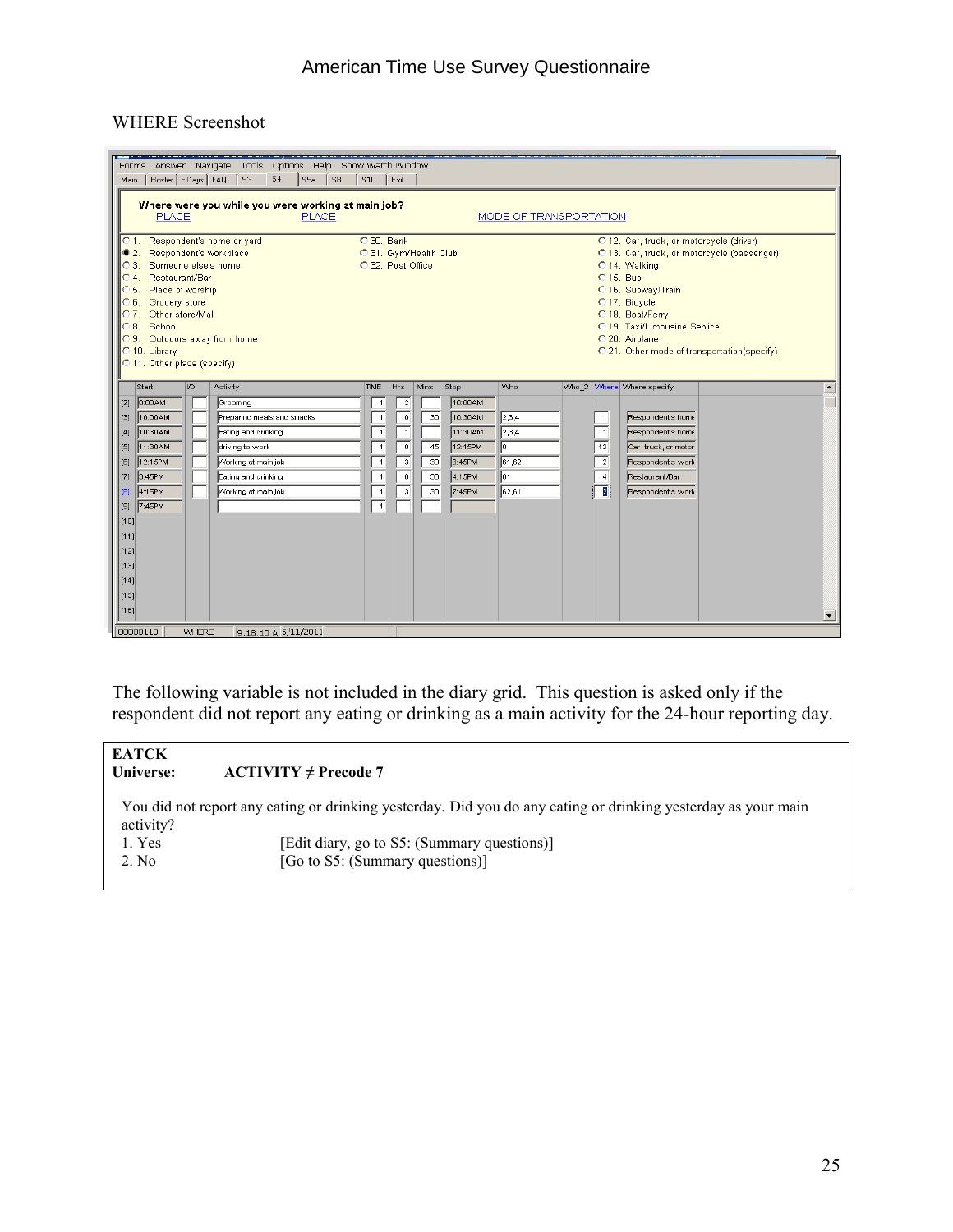#### WHERE Screenshot

| Options Help Show Watch Window<br>Navigate<br>Tools<br>Answer<br>Forms<br>S4<br>Main   Roster   EDays   FAQ<br>$\vert$ s <sub>3</sub><br> S5a   S8<br>$ $ S10 $ $ Exit                                                                                                                                                                                                                                                                                                                                                                                                                                                                      |                                                                                                                                              |                                                                                                                                              |                            |                                                                        |                                                |  |                                                                                  |                                                                                                                            |  |         |
|---------------------------------------------------------------------------------------------------------------------------------------------------------------------------------------------------------------------------------------------------------------------------------------------------------------------------------------------------------------------------------------------------------------------------------------------------------------------------------------------------------------------------------------------------------------------------------------------------------------------------------------------|----------------------------------------------------------------------------------------------------------------------------------------------|----------------------------------------------------------------------------------------------------------------------------------------------|----------------------------|------------------------------------------------------------------------|------------------------------------------------|--|----------------------------------------------------------------------------------|----------------------------------------------------------------------------------------------------------------------------|--|---------|
| Where were you while you were working at main job?<br>MODE OF TRANSPORTATION<br><b>PLACE</b><br><b>PLACE</b>                                                                                                                                                                                                                                                                                                                                                                                                                                                                                                                                |                                                                                                                                              |                                                                                                                                              |                            |                                                                        |                                                |  |                                                                                  |                                                                                                                            |  |         |
| C 1. Respondent's home or yard<br>C 30, Bank<br>O 12. Car, truck, or motorcycle (driver)<br>2. Respondent's workplace<br>C 31. Gym/Health Club<br>C 13. Car, truck, or motorcycle (passenger)<br>C 3. Someone else's home<br>C 32. Post Office<br>C 14. Walking<br>C 15, Bus<br>C 4. Restaurant/Bar<br>C 5. Place of worship<br>C 16. Subway/Train<br>Grocery store<br>O 17. Bicycle<br>C 6.<br>C 7. Other store/Mall<br>C 18. Boat/Ferry<br>School<br>C 19. Taxi/Limousine Service<br>C8.<br>C 9. Outdoors away from home<br>C 20. Airplane<br>C 10. Library<br>C 21. Other mode of transportation(specify)<br>C 11. Other place (specify) |                                                                                                                                              |                                                                                                                                              |                            |                                                                        |                                                |  |                                                                                  |                                                                                                                            |  |         |
| Start<br>I/D<br>Activity                                                                                                                                                                                                                                                                                                                                                                                                                                                                                                                                                                                                                    | TIME                                                                                                                                         | Hrs                                                                                                                                          | Mins                       | Stop                                                                   | Who                                            |  |                                                                                  | Who_2 Where Where specify                                                                                                  |  |         |
| 8:00AM<br>[[2]<br>Grooming<br>10:00AM<br>Preparing meals and snacks<br>[[3]<br>10:30AM<br>Eating and drinking<br>$\vert$ [4]<br>11:30AM<br>driving to work<br>[[5]<br>12:15PM<br>Working at main job<br>[6]<br>3:45PM<br>Eating and drinking<br>$\vert$ [7]<br>4:15PM<br>Working at main job<br>$\vert$ [8]<br>7:45PM<br>[[9]<br>[10]<br>[111]<br>[12]<br>$\vert$ [13]<br>[14]<br>[t15]<br> [16]                                                                                                                                                                                                                                            | $\overline{1}$<br>$\overline{1}$<br>$\overline{1}$<br>$\overline{1}$<br>$\overline{1}$<br>$\overline{1}$<br>$\overline{1}$<br>$\overline{1}$ | $\overline{2}$<br>$\overline{0}$<br>$\overline{1}$<br>$\overline{0}$<br>$\overline{\mathbf{3}}$<br>$\overline{0}$<br>$\overline{\mathbf{3}}$ | 30<br>45<br>30<br>30<br>30 | 10:00AM<br>10:30AM<br>11:30AM<br>12:15PM<br>3:45PM<br>4:15PM<br>7:45PM | 2,3,4<br> 2,3,4 <br>10<br>61,62<br>∣ள<br>62,61 |  | $\overline{1}$<br>$\overline{1}$<br>12<br>$\overline{2}$<br>$\overline{4}$<br>72 | Respondent's home<br>Respondent's home<br>Car, truck, or motor<br>Respondent's work<br>Restaurant/Bar<br>Respondent's work |  | $\vert$ |

The following variable is not included in the diary grid. This question is asked only if the respondent did not report any eating or drinking as a main activity for the 24-hour reporting day.

| <b>EATCK</b><br>Universe: | $ACTIVITY \ne Precode 7$                                                                                      |
|---------------------------|---------------------------------------------------------------------------------------------------------------|
| activity?                 | You did not report any eating or drinking yesterday. Did you do any eating or drinking yesterday as your main |
| 1. Yes                    | [Edit diary, go to S5: (Summary questions)]                                                                   |
| 2. No                     | [Go to S5: (Summary questions)]                                                                               |
|                           |                                                                                                               |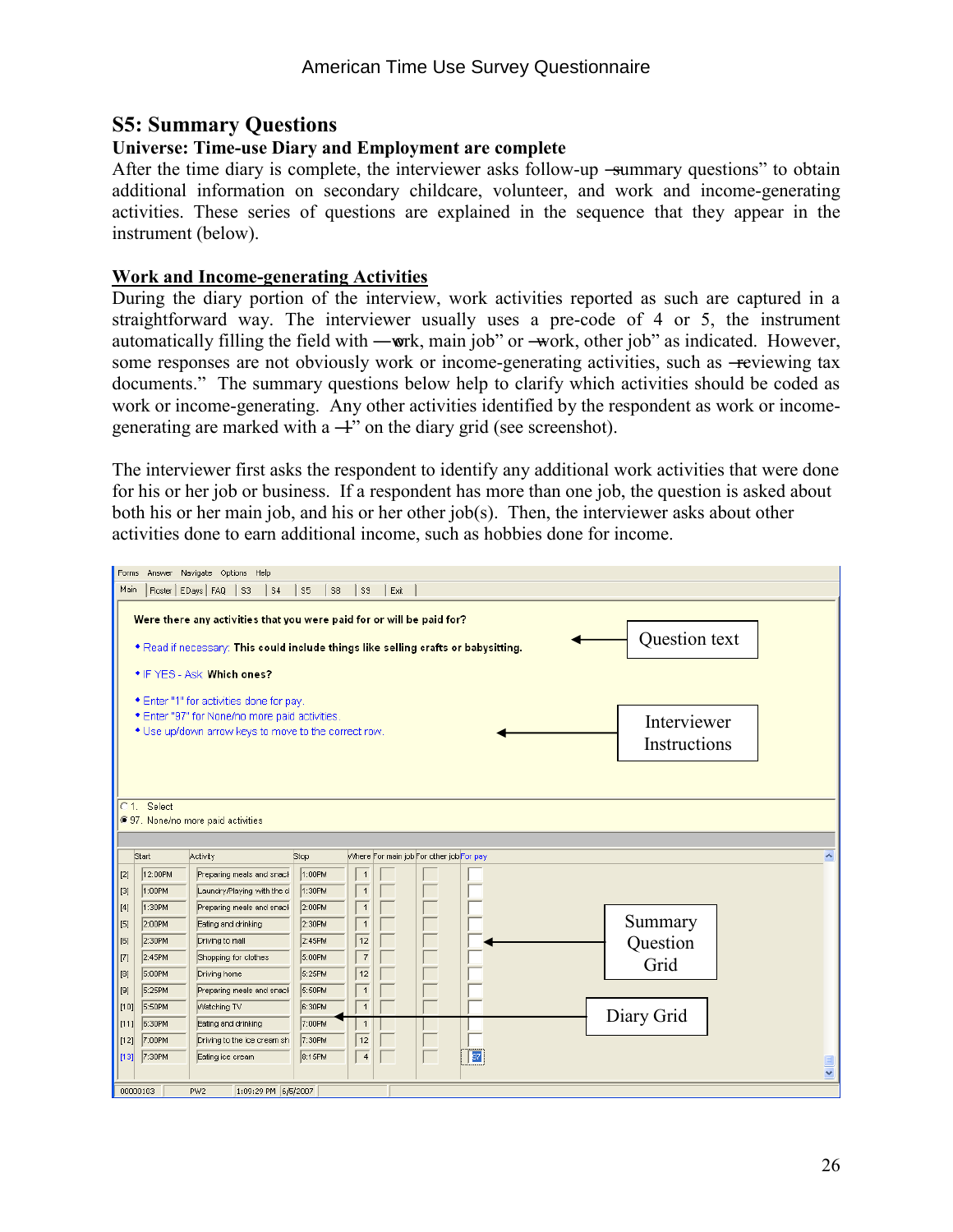#### **S5: Summary Questions**

#### **Universe: Time-use Diary and Employment are complete**

After the time diary is complete, the interviewer asks follow-up -summary questions" to obtain additional information on secondary childcare, volunteer, and work and income-generating activities. These series of questions are explained in the sequence that they appear in the instrument (below).

#### **Work and Income-generating Activities**

During the diary portion of the interview, work activities reported as such are captured in a straightforward way. The interviewer usually uses a pre-code of 4 or 5, the instrument automatically filling the field with —work, main job" or —work, other job" as indicated. However, some responses are not obviously work or income-generating activities, such as -reviewing tax documents." The summary questions below help to clarify which activities should be coded as work or income-generating. Any other activities identified by the respondent as work or incomegenerating are marked with a  $+$ " on the diary grid (see screenshot).

The interviewer first asks the respondent to identify any additional work activities that were done for his or her job or business. If a respondent has more than one job, the question is asked about both his or her main job, and his or her other job(s). Then, the interviewer asks about other activities done to earn additional income, such as hobbies done for income.

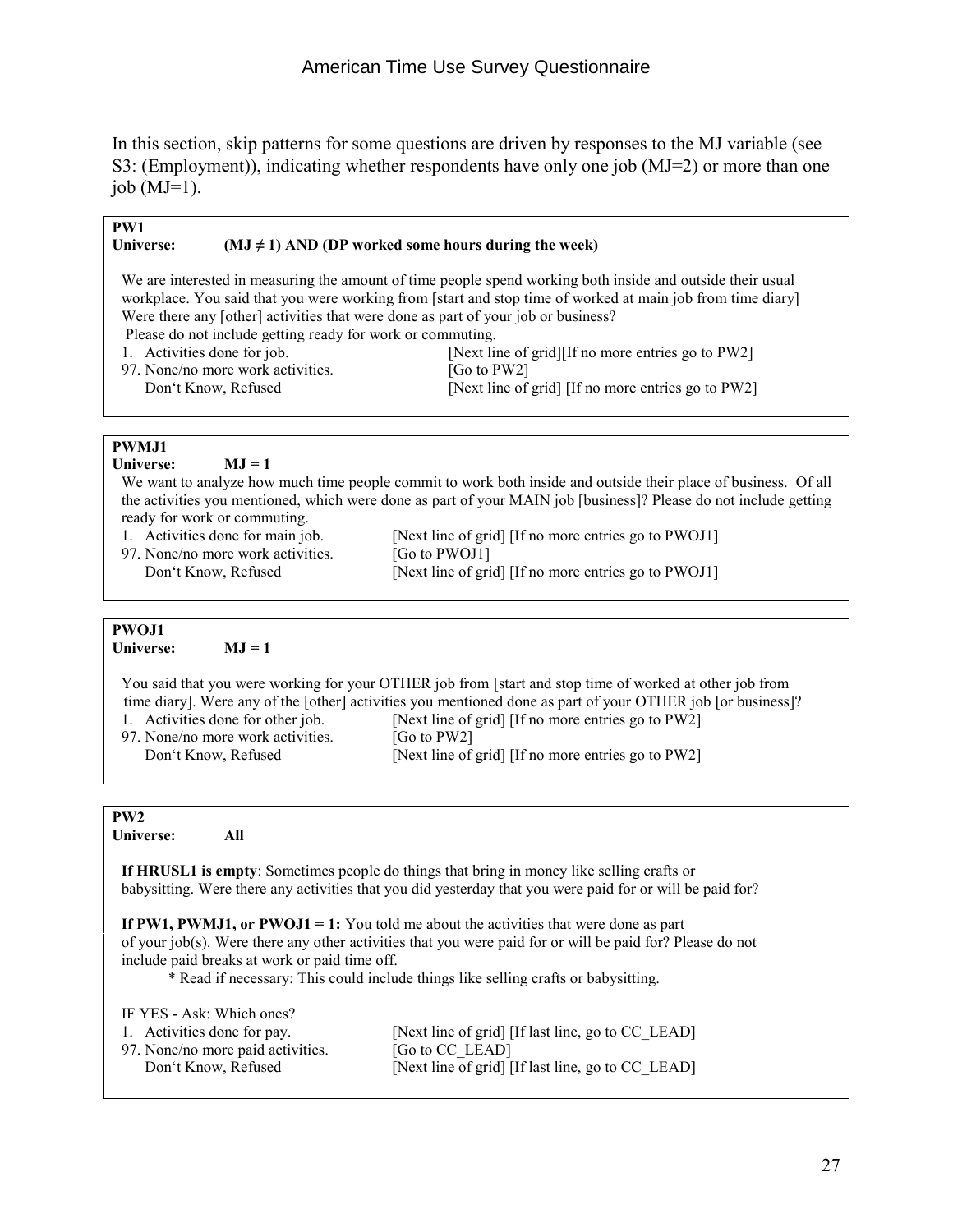In this section, skip patterns for some questions are driven by responses to the MJ variable (see S3: (Employment)), indicating whether respondents have only one job (MJ=2) or more than one job  $(MJ=1)$ .

| PW1                                                                                     |                                                                                                                  |  |
|-----------------------------------------------------------------------------------------|------------------------------------------------------------------------------------------------------------------|--|
| Universe:                                                                               | $(MJ \neq 1)$ AND (DP worked some hours during the week)                                                         |  |
|                                                                                         |                                                                                                                  |  |
|                                                                                         | We are interested in measuring the amount of time people spend working both inside and outside their usual       |  |
|                                                                                         | workplace. You said that you were working from [start and stop time of worked at main job from time diary]       |  |
|                                                                                         | Were there any [other] activities that were done as part of your job or business?                                |  |
| Please do not include getting ready for work or commuting.                              |                                                                                                                  |  |
| 1. Activities done for job.                                                             | [Next line of grid][If no more entries go to PW2]                                                                |  |
| 97. None/no more work activities.                                                       | [Go to PW2]                                                                                                      |  |
|                                                                                         |                                                                                                                  |  |
| Don't Know, Refused                                                                     | [Next line of grid] [If no more entries go to PW2]                                                               |  |
|                                                                                         |                                                                                                                  |  |
|                                                                                         |                                                                                                                  |  |
| <b>PWMJ1</b>                                                                            |                                                                                                                  |  |
| <b>Universe:</b><br>$MJ = 1$                                                            |                                                                                                                  |  |
|                                                                                         | We want to analyze how much time people commit to work both inside and outside their place of business. Of all   |  |
|                                                                                         | the activities you mentioned, which were done as part of your MAIN job [business]? Please do not include getting |  |
| ready for work or commuting.                                                            |                                                                                                                  |  |
| 1. Activities done for main job.                                                        | [Next line of grid] [If no more entries go to PWOJ1]                                                             |  |
| 97. None/no more work activities.                                                       | [Go to PWOJ1]                                                                                                    |  |
| Don't Know, Refused                                                                     | [Next line of grid] [If no more entries go to PWOJ1]                                                             |  |
|                                                                                         |                                                                                                                  |  |
|                                                                                         |                                                                                                                  |  |
| PWOJ1                                                                                   |                                                                                                                  |  |
| Universe:<br>$MJ = 1$                                                                   |                                                                                                                  |  |
|                                                                                         |                                                                                                                  |  |
|                                                                                         | You said that you were working for your OTHER job from [start and stop time of worked at other job from          |  |
|                                                                                         | time diary]. Were any of the [other] activities you mentioned done as part of your OTHER job [or business]?      |  |
| [Next line of grid] [If no more entries go to PW2]<br>1. Activities done for other job. |                                                                                                                  |  |
|                                                                                         |                                                                                                                  |  |

97. None/no more work activities. [Go to PW2]<br>Don't Know, Refused [Next line of

[Next line of grid] [If no more entries go to PW2]

| PW <sub>2</sub> |     |
|-----------------|-----|
| Universe:       | All |

 **If HRUSL1 is empty**: Sometimes people do things that bring in money like selling crafts or babysitting. Were there any activities that you did yesterday that you were paid for or will be paid for?

**If PW1, PWMJ1, or PWOJ1 = 1:** You told me about the activities that were done as part of your job(s). Were there any other activities that you were paid for or will be paid for? Please do not include paid breaks at work or paid time off. \* Read if necessary: This could include things like selling crafts or babysitting.

| IF YES - Ask: Which ones?         |                                                   |
|-----------------------------------|---------------------------------------------------|
| 1. Activities done for pay.       | [Next line of grid] [If last line, go to CC LEAD] |
| 97. None/no more paid activities. | [Go to CC LEAD]                                   |
| Don't Know, Refused               | [Next line of grid] [If last line, go to CC LEAD] |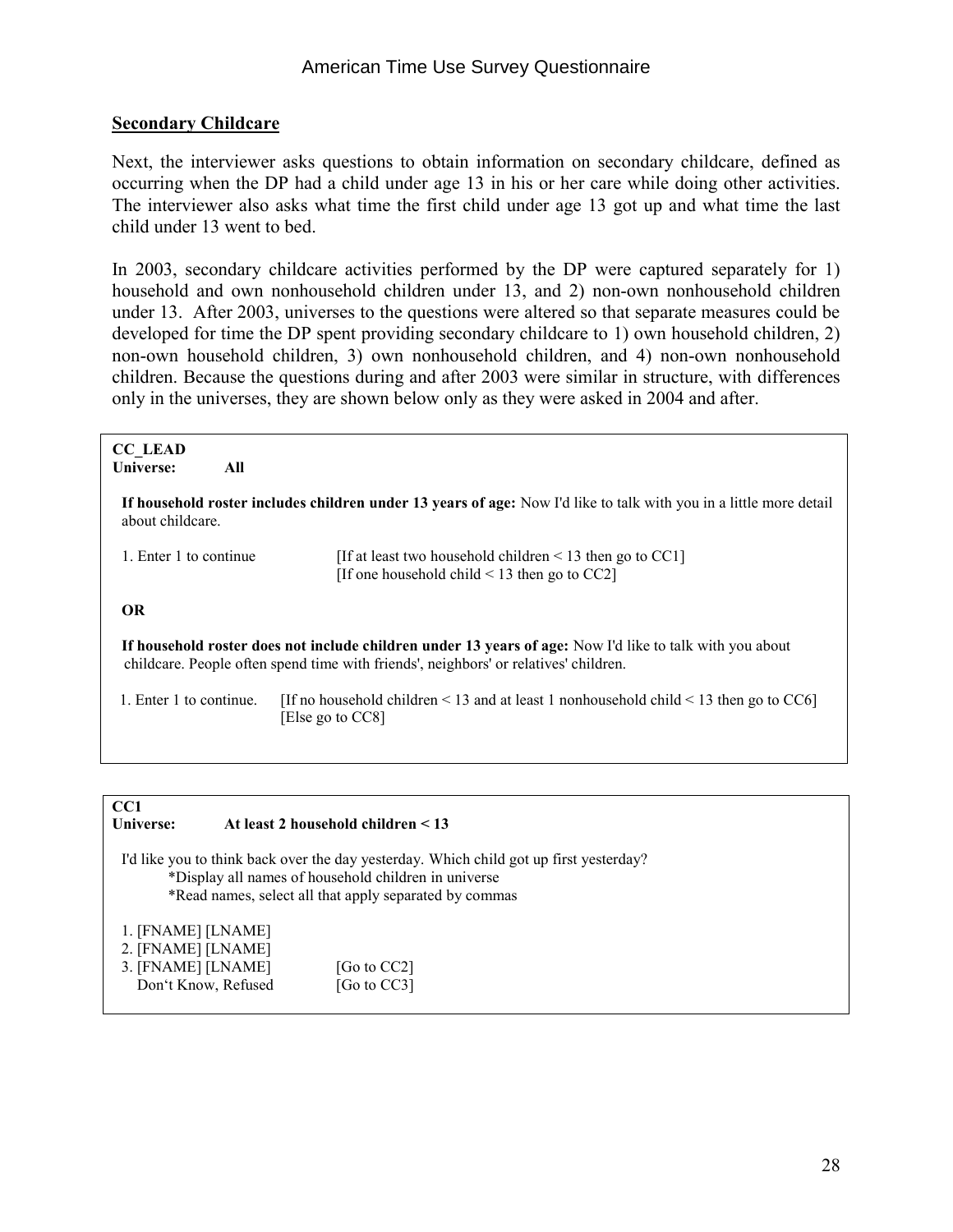#### **Secondary Childcare**

Next, the interviewer asks questions to obtain information on secondary childcare, defined as occurring when the DP had a child under age 13 in his or her care while doing other activities. The interviewer also asks what time the first child under age 13 got up and what time the last child under 13 went to bed.

In 2003, secondary childcare activities performed by the DP were captured separately for 1) household and own nonhousehold children under 13, and 2) non-own nonhousehold children under 13. After 2003, universes to the questions were altered so that separate measures could be developed for time the DP spent providing secondary childcare to 1) own household children, 2) non-own household children, 3) own nonhousehold children, and 4) non-own nonhousehold children. Because the questions during and after 2003 were similar in structure, with differences only in the universes, they are shown below only as they were asked in 2004 and after.

| <b>CC LEAD</b><br>Universe:<br>All                                                                                                     |                                                                                                                                                                                                  |  |
|----------------------------------------------------------------------------------------------------------------------------------------|--------------------------------------------------------------------------------------------------------------------------------------------------------------------------------------------------|--|
| If household roster includes children under 13 years of age: Now I'd like to talk with you in a little more detail<br>about childcare. |                                                                                                                                                                                                  |  |
| 1. Enter 1 to continue                                                                                                                 | [If at least two household children $\leq$ 13 then go to CC1]<br>[If one household child $\leq$ 13 then go to CC2]                                                                               |  |
| <b>OR</b>                                                                                                                              |                                                                                                                                                                                                  |  |
|                                                                                                                                        | If household roster does not include children under 13 years of age: Now I'd like to talk with you about<br>childcare. People often spend time with friends', neighbors' or relatives' children. |  |
| 1. Enter 1 to continue.                                                                                                                | [If no household children $\leq 13$ and at least 1 nonhousehold child $\leq 13$ then go to CC6]<br>[Else go to CC8]                                                                              |  |
|                                                                                                                                        |                                                                                                                                                                                                  |  |
|                                                                                                                                        |                                                                                                                                                                                                  |  |

#### **CC1 Universe: At least 2 household children < 13**

 I'd like you to think back over the day yesterday. Which child got up first yesterday? \*Display all names of household children in universe \*Read names, select all that apply separated by commas

1. [FNAME] [LNAME]

| 2. [FNAME] [LNAME]  |                |
|---------------------|----------------|
| 3. [FNAME] [LNAME]  | [Go to $CC2$ ] |
| Don't Know, Refused | [Go to CC3]    |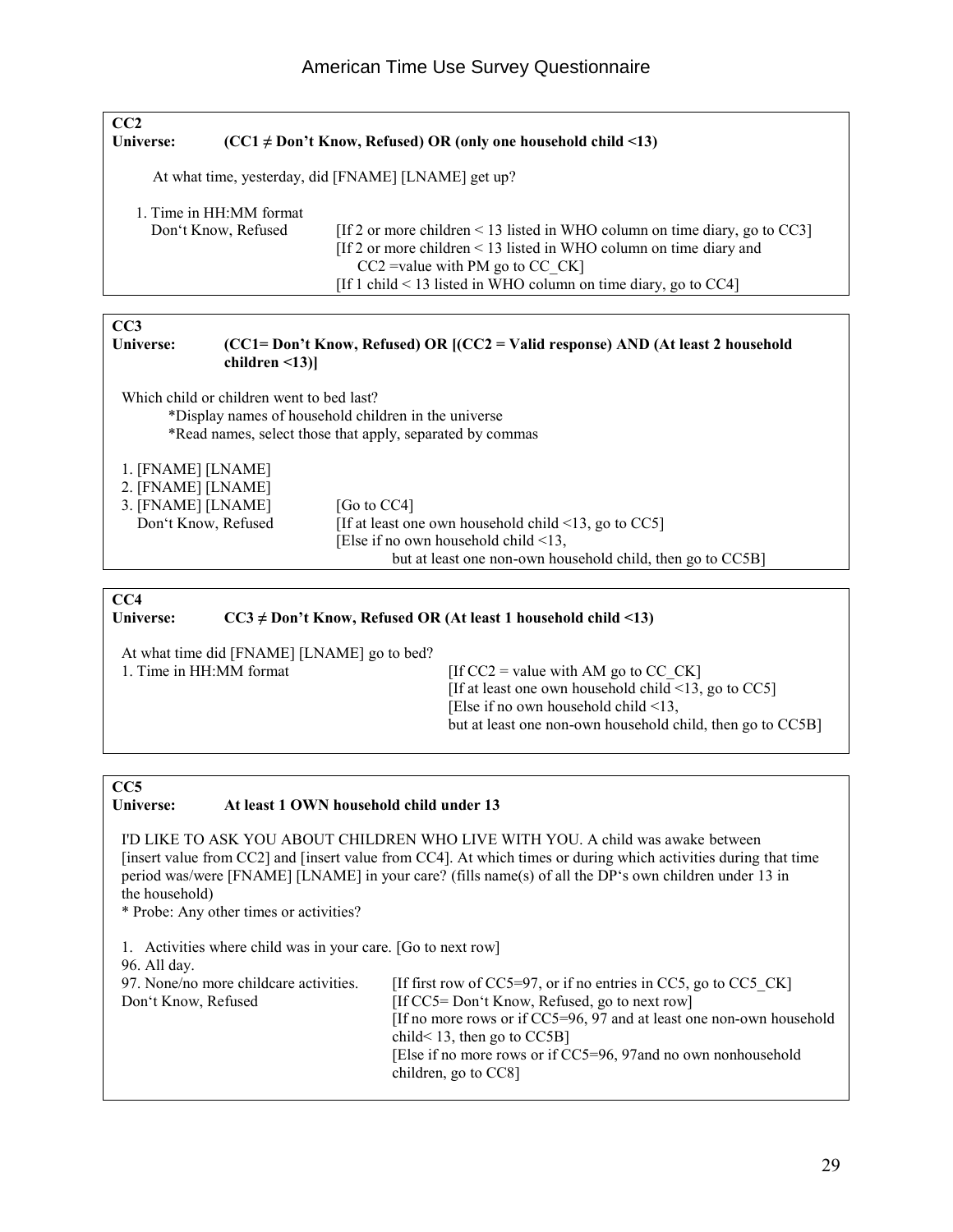| CC2<br>Universe: |                                                      | $(CC1 \neq Don't Know, Refused) OR (only one household child < 13)$             |  |
|------------------|------------------------------------------------------|---------------------------------------------------------------------------------|--|
|                  | At what time, yesterday, did [FNAME] [LNAME] get up? |                                                                                 |  |
|                  | 1. Time in HH:MM format                              |                                                                                 |  |
|                  | Don't Know, Refused                                  | [If 2 or more children $\leq$ 13 listed in WHO column on time diary, go to CC3] |  |
|                  |                                                      | [If 2 or more children < 13 listed in WHO column on time diary and              |  |
|                  |                                                      | $CC2$ =value with PM go to $CC$ $CK$ ]                                          |  |
|                  |                                                      | [If 1 child $\leq$ 13 listed in WHO column on time diary, go to CC4]            |  |
|                  |                                                      |                                                                                 |  |

CC3<br>Universe:

#### **(CC1= Don't Know, Refused) OR [(CC2 = Valid response) AND (At least 2 household children <13)]**

Which child or children went to bed last?

 \*Display names of household children in the universe \*Read names, select those that apply, separated by commas

1. [FNAME] [LNAME]

| 2. [FNAME] [LNAME]  |                                                            |
|---------------------|------------------------------------------------------------|
| 3. [FNAME] [LNAME]  | [Go to CC4]                                                |
| Don't Know, Refused | [If at least one own household child $\leq$ 13, go to CC5] |
|                     | [Else if no own household child $\leq$ 13,                 |
|                     | but at least one non-own household child, then go to CC5B] |

#### **CC4**

#### **Universe: CC3 ≠ Don't Know, Refused OR (At least 1 household child <13)**

| At what time did [FNAME] [LNAME] go to bed? |                                                            |
|---------------------------------------------|------------------------------------------------------------|
| 1. Time in HH:MM format                     | [If $CC2$ = value with AM go to $CC \, CK$ ]               |
|                                             | [If at least one own household child $\leq$ 13, go to CC5] |
|                                             | [Else if no own household child $\leq$ 13,                 |
|                                             | but at least one non-own household child, then go to CC5B  |
|                                             |                                                            |

### CC5<br>Universe:

#### At least 1 OWN household child under 13

 I'D LIKE TO ASK YOU ABOUT CHILDREN WHO LIVE WITH YOU. A child was awake between [insert value from CC2] and [insert value from CC4]. At which times or during which activities during that time period was/were [FNAME] [LNAME] in your care? (fills name(s) of all the DP's own children under 13 in the household)

\* Probe: Any other times or activities?

| 1. Activities where child was in your care. [Go to next row]<br>96. All day. |                                                                                                                                                                                                                                                         |
|------------------------------------------------------------------------------|---------------------------------------------------------------------------------------------------------------------------------------------------------------------------------------------------------------------------------------------------------|
| 97. None/no more childcare activities.                                       | [If first row of $CC5=97$ , or if no entries in $CC5$ , go to $CC5$ $CK$ ]                                                                                                                                                                              |
| Don't Know, Refused                                                          | [If CC5= Don't Know, Refused, go to next row]<br>[If no more rows or if $CC5=96$ , 97 and at least one non-own household<br>child $\leq$ 13, then go to CC5B]<br>[Else if no more rows or if CC5=96, 97 and no own nonhousehold<br>children, go to CC8] |
|                                                                              |                                                                                                                                                                                                                                                         |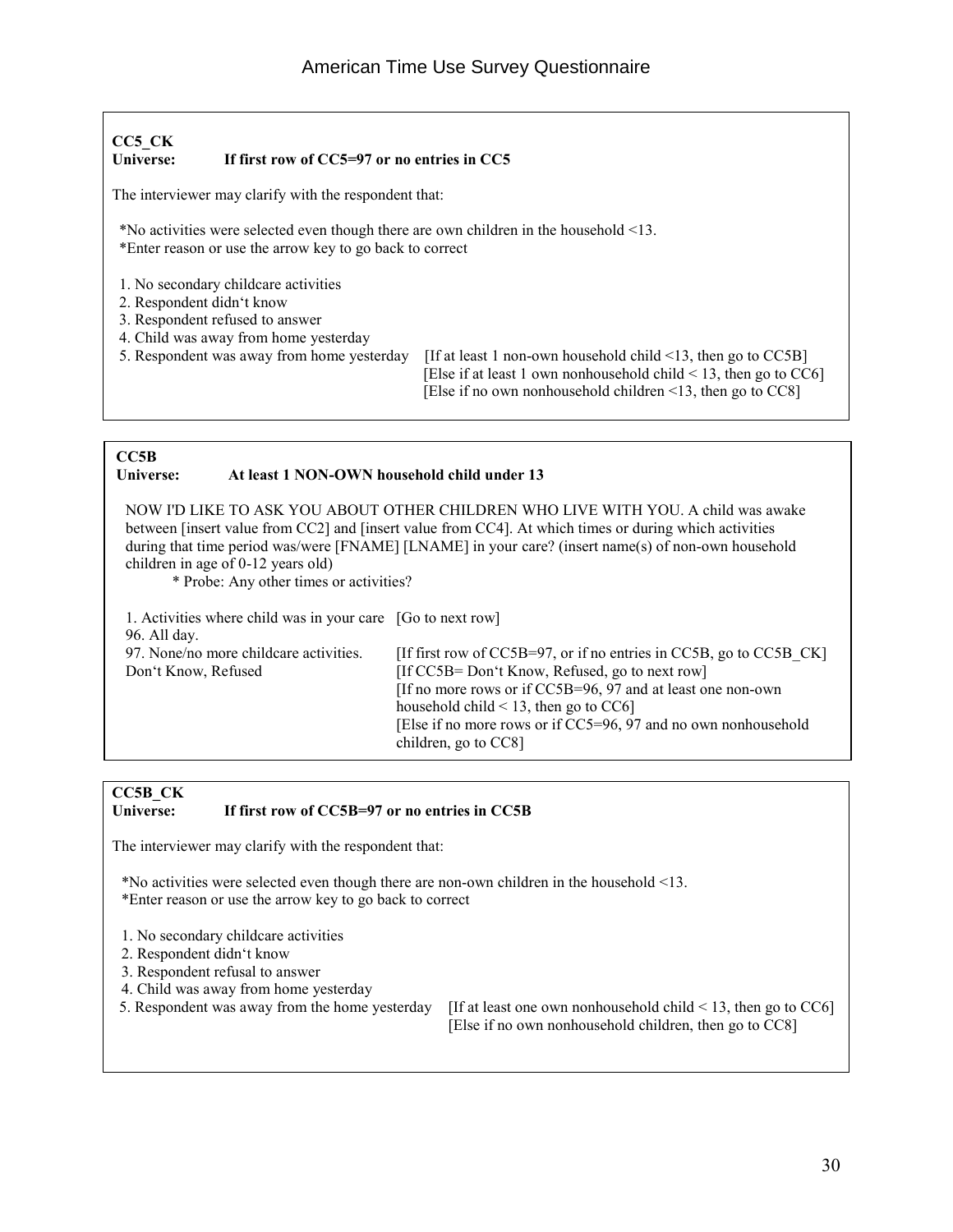#### **CC5\_CK Universe: If first row of CC5=97 or no entries in CC5**

The interviewer may clarify with the respondent that:

\*No activities were selected even though there are own children in the household <13. \*Enter reason or use the arrow key to go back to correct

- 1. No secondary childcare activities
- 2. Respondent didn't know
- 3. Respondent refused to answer
- 4. Child was away from home yesterday<br>5. Respondent was away from home yesterday
- 

[If at least 1 non-own household child  $\leq$ 13, then go to CC5B] [Else if at least 1 own nonhousehold child < 13, then go to CC6] [Else if no own nonhousehold children <13, then go to CC8]

#### **CC5B**

#### **Universe: At least 1 NON-OWN household child under 13**

NOW I'D LIKE TO ASK YOU ABOUT OTHER CHILDREN WHO LIVE WITH YOU. A child was awake between [insert value from CC2] and [insert value from CC4]. At which times or during which activities during that time period was/were [FNAME] [LNAME] in your care? (insert name(s) of non-own household children in age of 0-12 years old)

\* Probe: Any other times or activities?

| 1. Activities where child was in your care [Go to next row]<br>96. All day. |                                                                                                                                  |
|-----------------------------------------------------------------------------|----------------------------------------------------------------------------------------------------------------------------------|
| 97. None/no more childcare activities.<br>Don't Know, Refused               | [If first row of $CC5B=97$ , or if no entries in $CC5B$ , go to $CC5B \, CK$ ]<br>[If CC5B= Don't Know, Refused, go to next row] |
|                                                                             | [If no more rows or if CC5B=96, 97 and at least one non-own]                                                                     |
|                                                                             | household child $\leq$ 13, then go to CC6]<br>[Else if no more rows or if CC5=96, 97 and no own nonhousehold                     |
|                                                                             | children, go to CC8]                                                                                                             |

### **CC5B\_CK**

#### If first row of CC5B=97 or no entries in CC5B

The interviewer may clarify with the respondent that:

\*No activities were selected even though there are non-own children in the household <13. \*Enter reason or use the arrow key to go back to correct

- 1. No secondary childcare activities
- 2. Respondent didn't know
- 3. Respondent refusal to answer
- 4. Child was away from home yesterday
- 

5. Respondent was away from the home yesterday [If at least one own nonhousehold child < 13, then go to CC6] [Else if no own nonhousehold children, then go to CC8]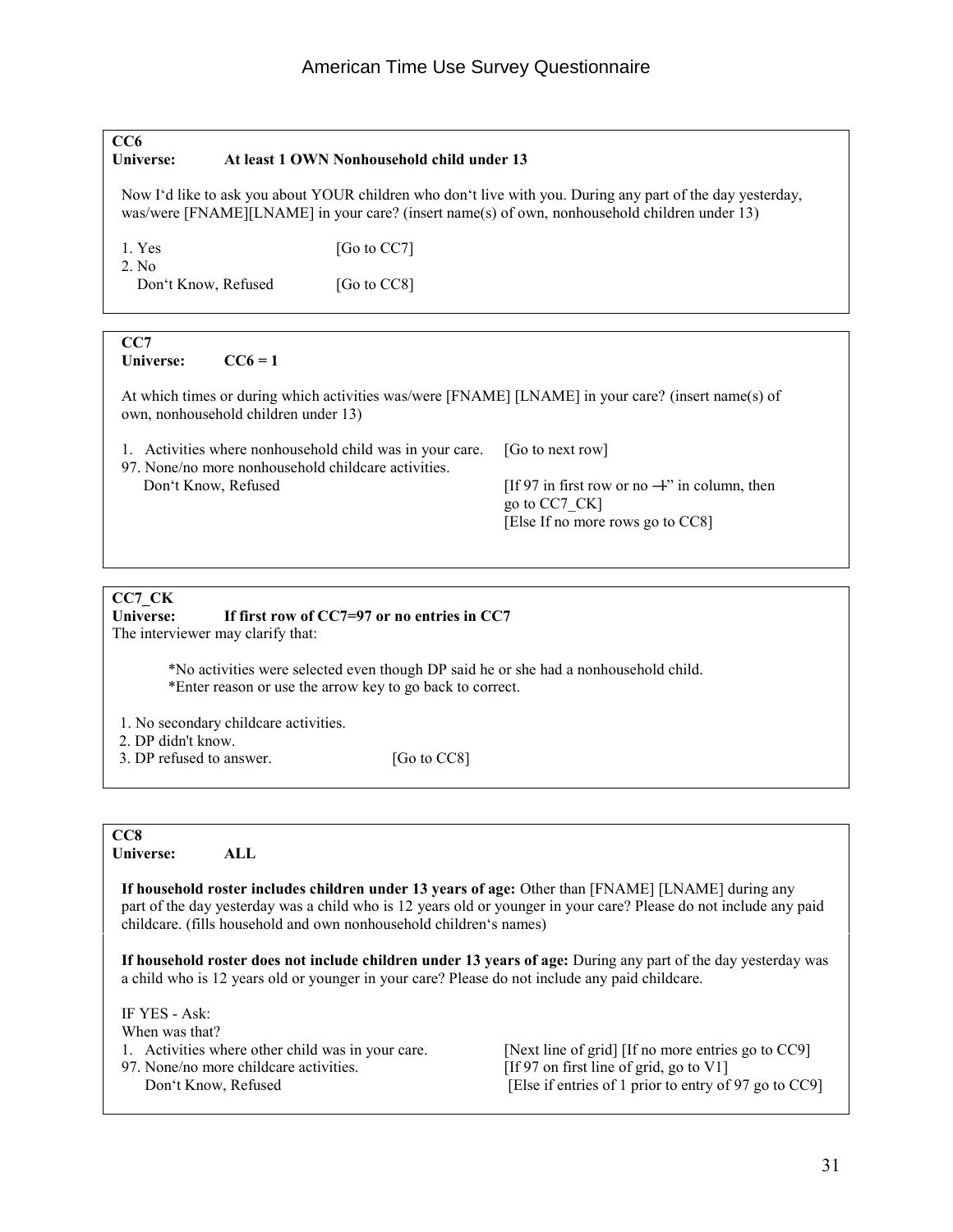### **CC6 Universe: At least 1 OWN Nonhousehold child under 13**  Now I'd like to ask you about YOUR children who don't live with you. During any part of the day yesterday, was/were [FNAME][LNAME] in your care? (insert name(s) of own, nonhousehold children under 13) 1. Yes [Go to CC7] 2. No Don't Know, Refused [Go to CC8] **CC7** Universe:  $CC6 = 1$  At which times or during which activities was/were [FNAME] [LNAME] in your care? (insert name(s) of own, nonhousehold children under 13) 1. Activities where nonhousehold child was in your care. [Go to next row] 97. None/no more nonhousehold childcare activities. Don't Know, Refused [If 97 in first row or no  $-4$ " in column, then go to CC7\_CK] [Else If no more rows go to CC8]

### **CC7\_CK**

#### If first row of CC7=97 or no entries in CC7

The interviewer may clarify that:

 \*No activities were selected even though DP said he or she had a nonhousehold child. \*Enter reason or use the arrow key to go back to correct.

1. No secondary childcare activities.

2. DP didn't know.

3. DP refused to answer. [Go to CC8]

**CC8**

**Universe: ALL** 

**If household roster includes children under 13 years of age:** Other than [FNAME] [LNAME] during any part of the day yesterday was a child who is 12 years old or younger in your care? Please do not include any paid childcare. (fills household and own nonhousehold children's names)

**If household roster does not include children under 13 years of age:** During any part of the day yesterday was a child who is 12 years old or younger in your care? Please do not include any paid childcare.

 IF YES - Ask: When was that? 1. Activities where other child was in your care. [Next line of grid] [If no more entries go to CC9] 97. None/no more childcare activities. [If 97 on first line of grid, go to V1]<br>Don't Know, Refused [Else if entries of 1 prior to entry of [Else if entries of 1 prior to entry of 97 go to  $CC9$ ]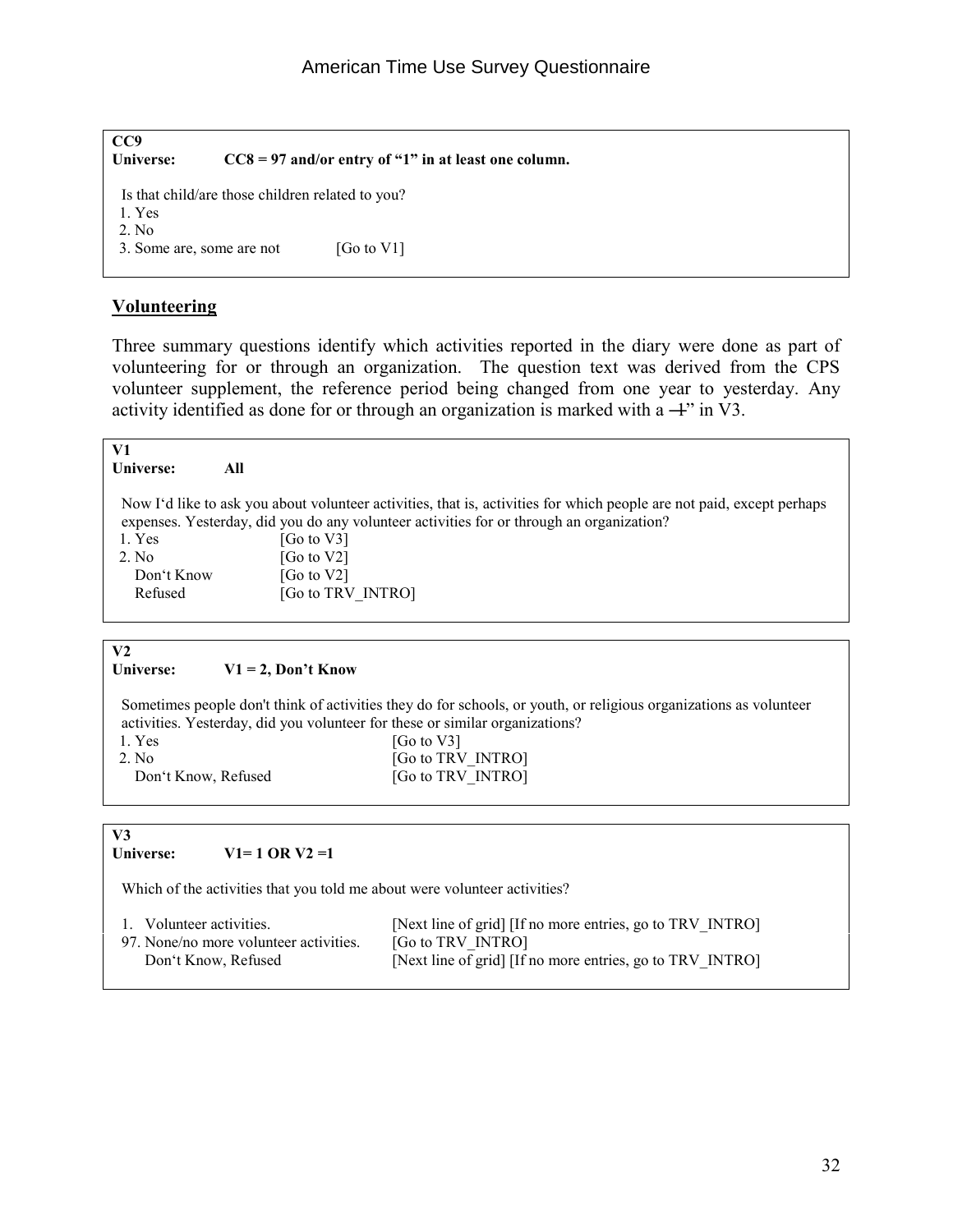| CC9<br>Universe:          |                                                  | $CC8 = 97$ and/or entry of "1" in at least one column. |
|---------------------------|--------------------------------------------------|--------------------------------------------------------|
| 1. Yes<br>2. No.          | Is that child/are those children related to you? |                                                        |
| 3. Some are, some are not |                                                  | [Go to $V1$ ]                                          |

#### **Volunteering**

Three summary questions identify which activities reported in the diary were done as part of volunteering for or through an organization. The question text was derived from the CPS volunteer supplement, the reference period being changed from one year to yesterday. Any activity identified as done for or through an organization is marked with a  $+$ " in V3.

| V1             |                                                                                                                       |
|----------------|-----------------------------------------------------------------------------------------------------------------------|
| Universe:      | All                                                                                                                   |
|                |                                                                                                                       |
|                | Now I'd like to ask you about volunteer activities, that is, activities for which people are not paid, except perhaps |
|                | expenses. Yesterday, did you do any volunteer activities for or through an organization?                              |
| 1. Yes         | [Go to V3]                                                                                                            |
| 2. No          | [Go to V2]                                                                                                            |
| Don't Know     | [Go to $V2$ ]                                                                                                         |
| Refused        | [Go to TRV INTRO]                                                                                                     |
|                |                                                                                                                       |
|                |                                                                                                                       |
| V <sub>2</sub> |                                                                                                                       |
| Universe:      | $V1 = 2$ , Don't Know                                                                                                 |
|                |                                                                                                                       |
|                | Sometimes people don't think of activities they do for schools, or youth, or religious organizations as volunteer     |
|                | activities. Yesterday, did you volunteer for these or similar organizations?                                          |

| west three, I cover many, when your conditions for through or billiary of guiling |                   |
|-----------------------------------------------------------------------------------|-------------------|
| 1. Yes                                                                            | [Go to $V3$ ]     |
| 2. No.                                                                            | [Go to TRV INTRO] |
| Don't Know, Refused                                                               | [Go to TRV INTRO] |

V3<br>Universe:  $V1 = 1$  OR V2 =1

Which of the activities that you told me about were volunteer activities?

| 1. Volunteer activities.               | [Next line of grid] [If no more entries, go to TRV INTRO] |
|----------------------------------------|-----------------------------------------------------------|
| 97. None/no more volunteer activities. | [Go to TRV INTRO]                                         |
| Don't Know, Refused                    | [Next line of grid] [If no more entries, go to TRV INTRO] |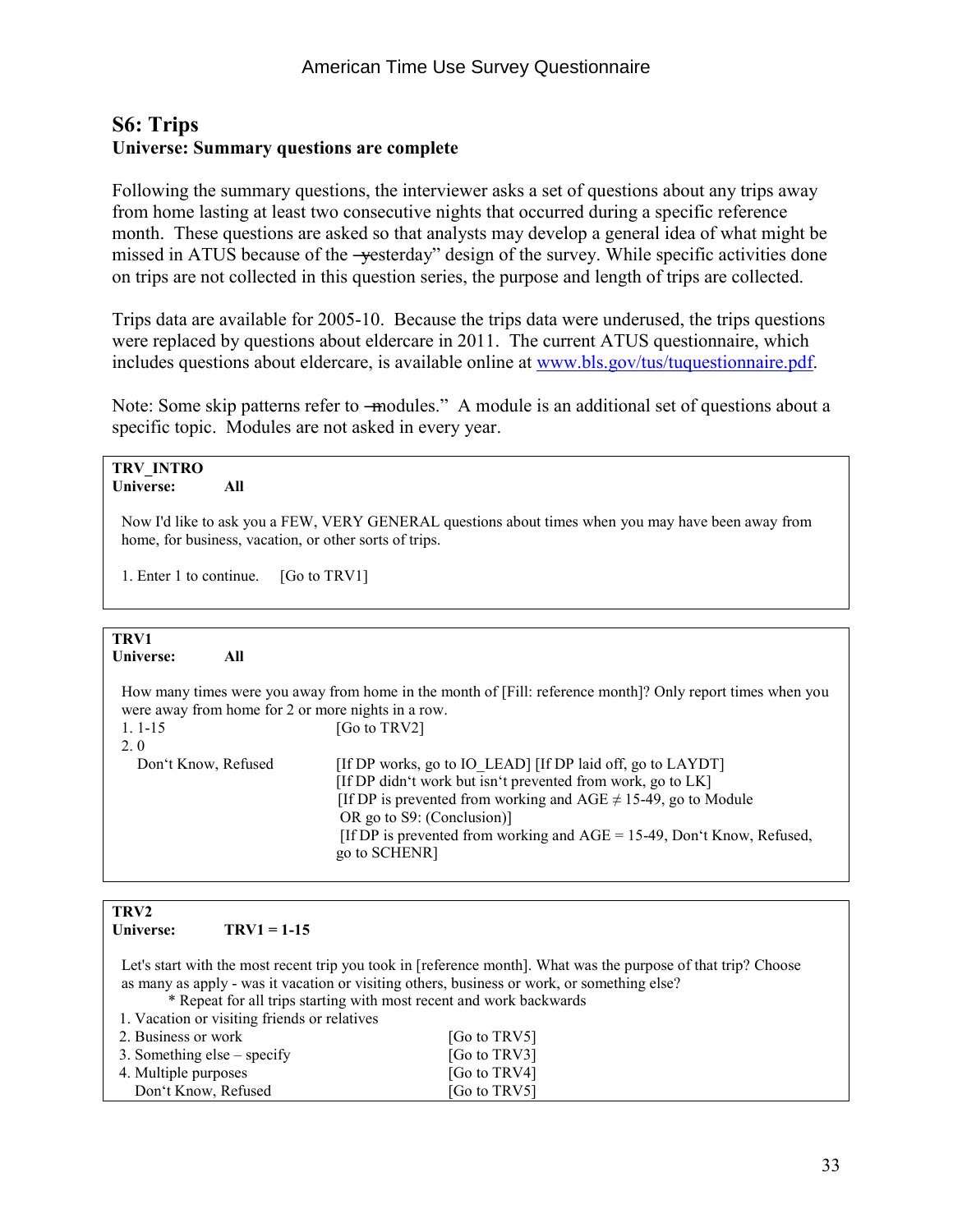#### **S6: Trips Universe: Summary questions are complete**

Following the summary questions, the interviewer asks a set of questions about any trips away from home lasting at least two consecutive nights that occurred during a specific reference month. These questions are asked so that analysts may develop a general idea of what might be missed in ATUS because of the -yesterday" design of the survey. While specific activities done on trips are not collected in this question series, the purpose and length of trips are collected.

Trips data are available for 2005-10. Because the trips data were underused, the trips questions were replaced by questions about eldercare in 2011. The current ATUS questionnaire, which includes questions about eldercare, is available online at [www.bls.gov/tus/tuquestionnaire.pdf.](http://www.bls.gov/tus/tuquestionnaire.pdf)

Note: Some skip patterns refer to —modules." A module is an additional set of questions about a specific topic. Modules are not asked in every year.

| <b>TRV INTRO</b><br>Universe:<br>All                                                                                                                         |                                                                                                                                                                                                                                                                                                                              |  |  |
|--------------------------------------------------------------------------------------------------------------------------------------------------------------|------------------------------------------------------------------------------------------------------------------------------------------------------------------------------------------------------------------------------------------------------------------------------------------------------------------------------|--|--|
| Now I'd like to ask you a FEW, VERY GENERAL questions about times when you may have been away from<br>home, for business, vacation, or other sorts of trips. |                                                                                                                                                                                                                                                                                                                              |  |  |
| 1. Enter 1 to continue.<br>[Go to TRV1]                                                                                                                      |                                                                                                                                                                                                                                                                                                                              |  |  |
|                                                                                                                                                              |                                                                                                                                                                                                                                                                                                                              |  |  |
| TRV1<br>All<br>Universe:                                                                                                                                     |                                                                                                                                                                                                                                                                                                                              |  |  |
| were away from home for 2 or more nights in a row.                                                                                                           | How many times were you away from home in the month of [Fill: reference month]? Only report times when you                                                                                                                                                                                                                   |  |  |
| $1.1 - 15$<br>2.0                                                                                                                                            | [Go to TRV2]                                                                                                                                                                                                                                                                                                                 |  |  |
| Don't Know, Refused                                                                                                                                          | [If DP works, go to IO LEAD] [If DP laid off, go to LAYDT]<br>[If DP didn't work but isn't prevented from work, go to LK]<br>[If DP is prevented from working and AGE $\neq$ 15-49, go to Module<br>OR go to S9: (Conclusion)]<br>[If DP is prevented from working and $AGE = 15-49$ , Don't Know, Refused,<br>go to SCHENR] |  |  |

### **TRV2**

 $TRV1 = 1-15$ 

 Let's start with the most recent trip you took in [reference month]. What was the purpose of that trip? Choose as many as apply - was it vacation or visiting others, business or work, or something else?

\* Repeat for all trips starting with most recent and work backwards

1. Vacation or visiting friends or relatives

| 2. Business or work           | [Go to TRV5] |
|-------------------------------|--------------|
| 3. Something else $-$ specify | [Go to TRV3] |
| 4. Multiple purposes          | [Go to TRV4] |
| Don't Know, Refused           | [Go to TRV5] |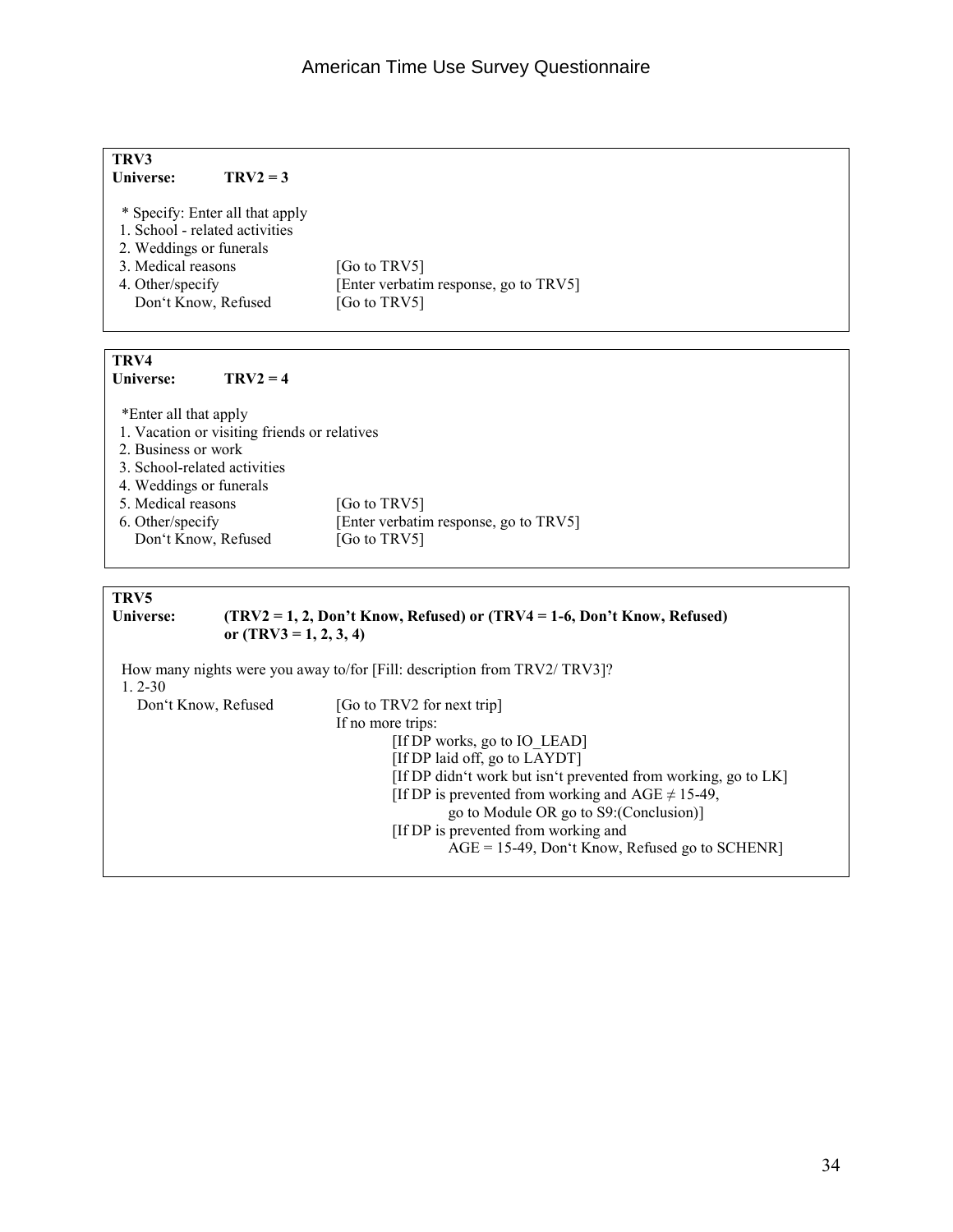| TRV3                                         |                                                                           |  |  |
|----------------------------------------------|---------------------------------------------------------------------------|--|--|
| Universe:<br>$TRV2 = 3$                      |                                                                           |  |  |
|                                              |                                                                           |  |  |
| * Specify: Enter all that apply              |                                                                           |  |  |
| 1. School - related activities               |                                                                           |  |  |
| 2. Weddings or funerals                      |                                                                           |  |  |
| 3. Medical reasons                           | [Go to TRV5]                                                              |  |  |
| 4. Other/specify                             | [Enter verbatim response, go to TRV5]                                     |  |  |
| Don't Know, Refused                          | [Go to TRV5]                                                              |  |  |
|                                              |                                                                           |  |  |
|                                              |                                                                           |  |  |
| TRV4                                         |                                                                           |  |  |
| Universe:<br>$TRV2 = 4$                      |                                                                           |  |  |
|                                              |                                                                           |  |  |
| *Enter all that apply                        |                                                                           |  |  |
| 1. Vacation or visiting friends or relatives |                                                                           |  |  |
| 2. Business or work                          |                                                                           |  |  |
| 3. School-related activities                 |                                                                           |  |  |
| 4. Weddings or funerals                      |                                                                           |  |  |
| 5. Medical reasons                           | [Go to TRV5]                                                              |  |  |
| 6. Other/specify                             | [Enter verbatim response, go to TRV5]                                     |  |  |
| Don't Know, Refused                          | [Go to TRV5]                                                              |  |  |
|                                              |                                                                           |  |  |
| TRV5                                         |                                                                           |  |  |
| Universe:                                    | (TRV2 = 1, 2, Don't Know, Refused) or (TRV4 = 1-6, Don't Know, Refused)   |  |  |
| or $(TRV3 = 1, 2, 3, 4)$                     |                                                                           |  |  |
|                                              |                                                                           |  |  |
| $1, 2 - 30$                                  | How many nights were you away to/for [Fill: description from TRV2/ TRV3]? |  |  |
|                                              |                                                                           |  |  |
| Don't Know, Refused                          | [Go to TRV2 for next trip]                                                |  |  |
|                                              | If no more trips:                                                         |  |  |
|                                              | [If DP works, go to IO LEAD]                                              |  |  |
|                                              | [If DP laid off, go to LAYDT]                                             |  |  |
|                                              | [If DP didn't work but isn't prevented from working, go to LK]            |  |  |
|                                              | [If DP is prevented from working and AGE $\neq$ 15-49,                    |  |  |
|                                              | go to Module OR go to S9: (Conclusion)]                                   |  |  |
|                                              | [If DP is prevented from working and                                      |  |  |

 $AGE = 15-49$ , Don't Know, Refused go to SCHENR]

34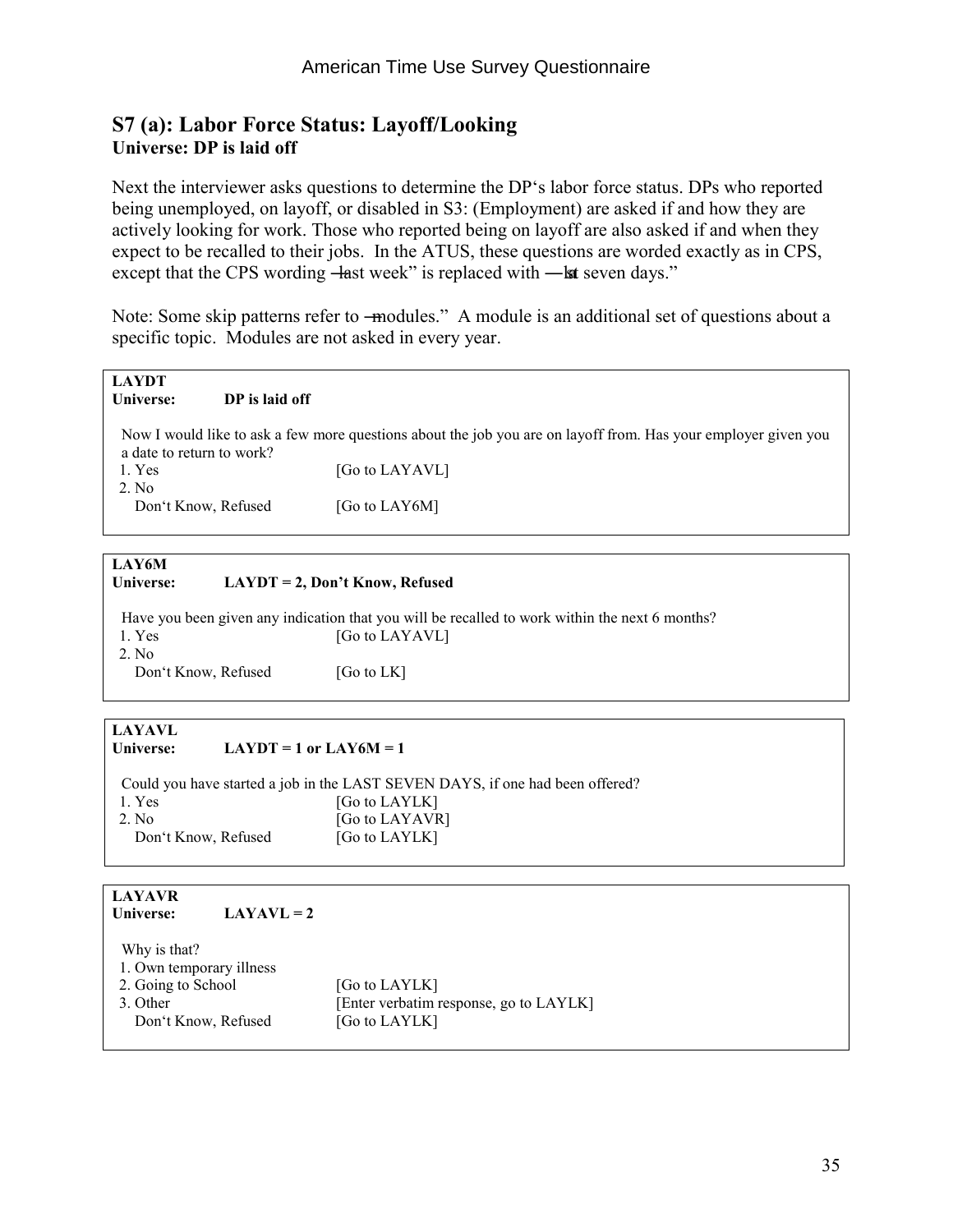#### **S7 (a): Labor Force Status: Layoff/Looking Universe: DP is laid off**

Next the interviewer asks questions to determine the DP's labor force status. DPs who reported being unemployed, on layoff, or disabled in S3: (Employment) are asked if and how they are actively looking for work. Those who reported being on layoff are also asked if and when they expect to be recalled to their jobs. In the ATUS, these questions are worded exactly as in CPS, except that the CPS wording —last week" is replaced with —lat seven days."

Note: Some skip patterns refer to —modules." A module is an additional set of questions about a specific topic. Modules are not asked in every year.

| <b>LAYDT</b><br>Universe: | DP is laid off |                                                                                                                |
|---------------------------|----------------|----------------------------------------------------------------------------------------------------------------|
| a date to return to work? |                | Now I would like to ask a few more questions about the job you are on layoff from. Has your employer given you |
| 1. Yes<br>2. No.          |                | [Go to LAYAVL]                                                                                                 |
| Don't Know, Refused       |                | [Go to LAY6M]                                                                                                  |
|                           |                |                                                                                                                |

| <b>LAY6M</b><br>Universe:    | $LAYDT = 2$ , Don't Know, Refused                                                                                |
|------------------------------|------------------------------------------------------------------------------------------------------------------|
| 1. Yes                       | Have you been given any indication that you will be recalled to work within the next 6 months?<br>[Go to LAYAVL] |
| 2. No<br>Don't Know, Refused | [Go to $LK$ ]                                                                                                    |

#### **LAYAVL**

#### Universe:  $LAYDT = 1$  or  $LAY6M = 1$

 Could you have started a job in the LAST SEVEN DAYS, if one had been offered? 1. Yes [Go to LAYLK] 2. No [Go to LAYAVR] Don't Know, Refused [Go to LAYLK]

#### **LAYAVR**  Universe: **LAYAVL** = 2

| Why is that?<br>1. Own temporary illness |                                        |
|------------------------------------------|----------------------------------------|
| 2. Going to School                       | [Go to LAYLK]                          |
| 3. Other                                 | [Enter verbatim response, go to LAYLK] |
| Don't Know, Refused                      | [Go to LAYLK]                          |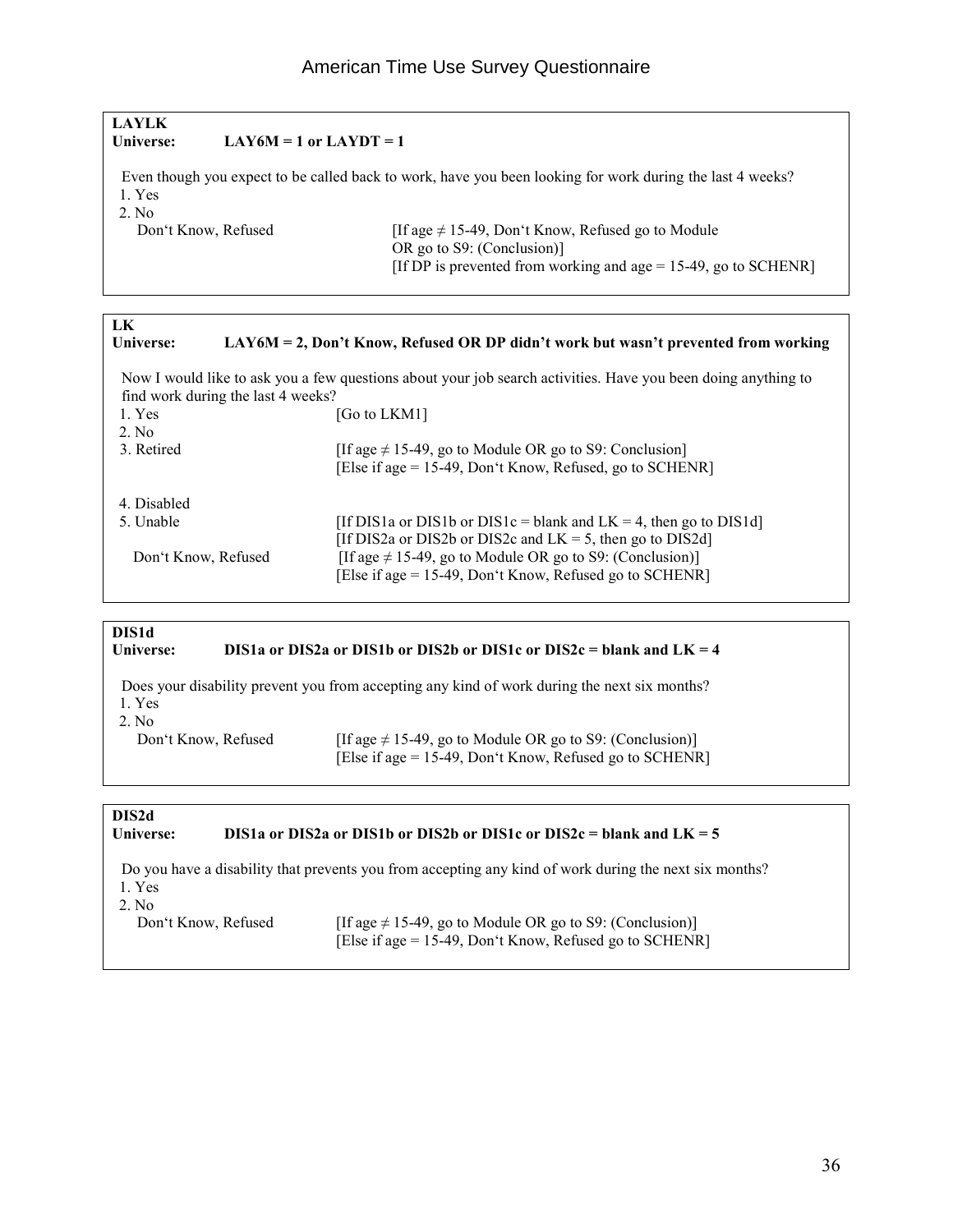### **LAYLK**  Universe:  $LAY6M = 1$  or  $LAYDT = 1$  Even though you expect to be called back to work, have you been looking for work during the last 4 weeks? 1. Yes 2. No<br>Don't Know, Refused If age  $\neq$  15-49, Don't Know, Refused go to Module OR go to S9: (Conclusion)] [If DP is prevented from working and age = 15-49, go to SCHENR]

| LK<br>Universe:     |                                    | $LAY6M = 2$ , Don't Know, Refused OR DP didn't work but wasn't prevented from working                         |
|---------------------|------------------------------------|---------------------------------------------------------------------------------------------------------------|
|                     |                                    | Now I would like to ask you a few questions about your job search activities. Have you been doing anything to |
|                     | find work during the last 4 weeks? |                                                                                                               |
| 1. Yes              |                                    | [Go to LKM1]                                                                                                  |
| $2$ No              |                                    |                                                                                                               |
| 3. Retired          |                                    | [If age $\neq$ 15-49, go to Module OR go to S9: Conclusion]                                                   |
|                     |                                    | [Else if age = 15-49, Don't Know, Refused, go to SCHENR]                                                      |
| 4. Disabled         |                                    |                                                                                                               |
| 5. Unable           |                                    | [If DIS1a or DIS1b or DIS1c = blank and $LK = 4$ , then go to DIS1d]                                          |
|                     |                                    | [If DIS2a or DIS2b or DIS2c and $LK = 5$ , then go to DIS2d]                                                  |
| Don't Know, Refused |                                    | [If age $\neq$ 15-49, go to Module OR go to S9: (Conclusion)]                                                 |
|                     |                                    | [Else if age = 15-49, Don't Know, Refused go to SCHENR]                                                       |

#### **DIS1d**  Universe: DIS1a or DIS2a or DIS1b or DIS2b or DIS1c or DIS2c = blank and LK = 4 Does your disability prevent you from accepting any kind of work during the next six months? 1. Yes

2. No

Don't Know, Refused [If age  $\neq$  15-49, go to Module OR go to S9: (Conclusion)] [Else if age = 15-49, Don't Know, Refused go to SCHENR]

#### **DIS2d Universe: DIS1a or DIS2a or DIS1b or DIS2b or DIS1c or DIS2c = blank and LK = 5**  Do you have a disability that prevents you from accepting any kind of work during the next six months? 1. Yes 2. No<br>Don't Know, Refused [If age  $\neq$  15-49, go to Module OR go to S9: (Conclusion)] [Else if age = 15-49, Don't Know, Refused go to SCHENR]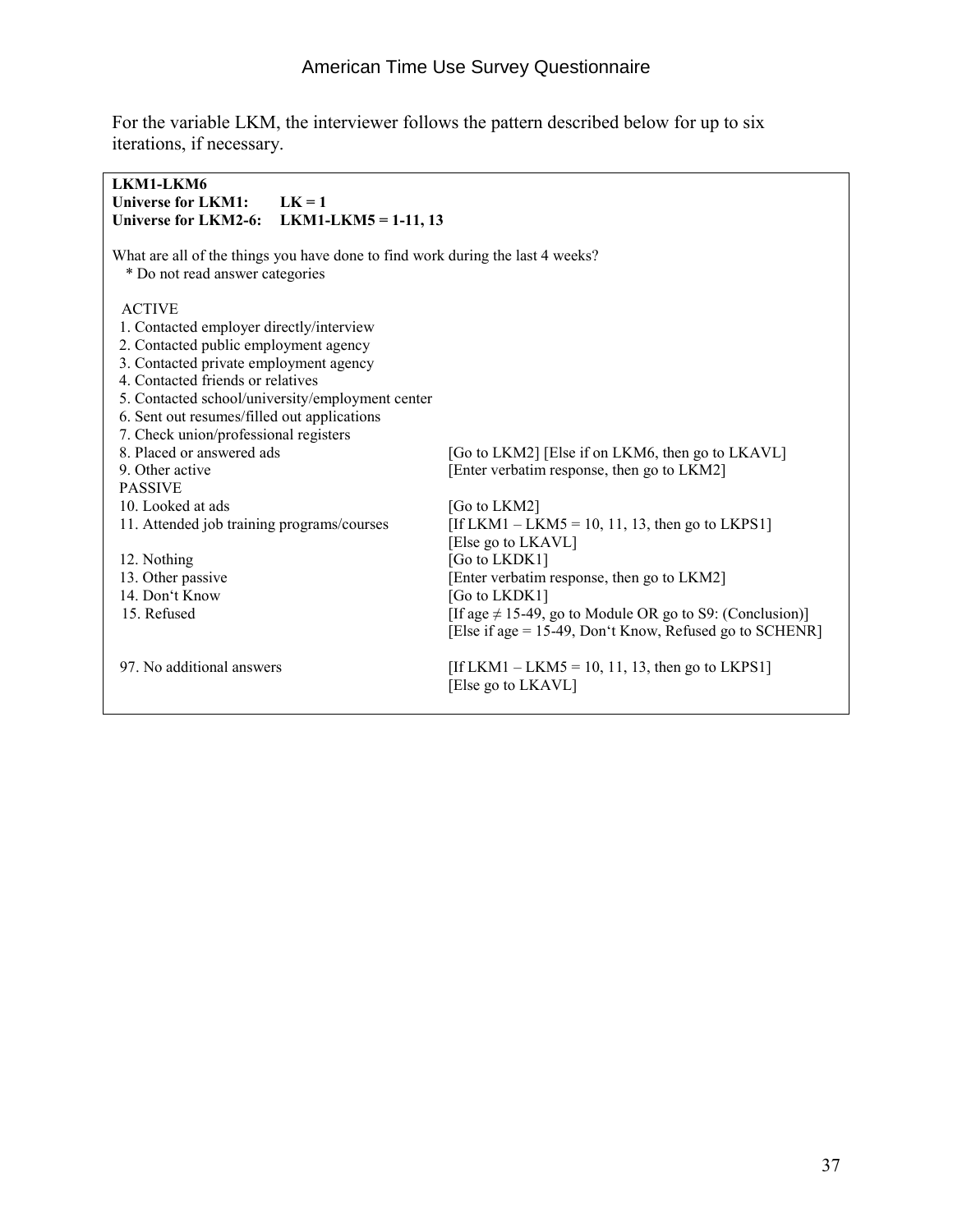For the variable LKM, the interviewer follows the pattern described below for up to six iterations, if necessary.

| LKM1-LKM6                                   |                                                                                |                                                               |  |
|---------------------------------------------|--------------------------------------------------------------------------------|---------------------------------------------------------------|--|
| <b>Universe for LKM1:</b>                   | $LK = 1$                                                                       |                                                               |  |
|                                             | Universe for LKM2-6: LKM1-LKM5 = 1-11, 13                                      |                                                               |  |
|                                             |                                                                                |                                                               |  |
|                                             | What are all of the things you have done to find work during the last 4 weeks? |                                                               |  |
| * Do not read answer categories             |                                                                                |                                                               |  |
| <b>ACTIVE</b>                               |                                                                                |                                                               |  |
| 1. Contacted employer directly/interview    |                                                                                |                                                               |  |
| 2. Contacted public employment agency       |                                                                                |                                                               |  |
| 3. Contacted private employment agency      |                                                                                |                                                               |  |
| 4. Contacted friends or relatives           |                                                                                |                                                               |  |
|                                             | 5. Contacted school/university/employment center                               |                                                               |  |
| 6. Sent out resumes/filled out applications |                                                                                |                                                               |  |
| 7. Check union/professional registers       |                                                                                |                                                               |  |
| 8. Placed or answered ads                   |                                                                                | [Go to LKM2] [Else if on LKM6, then go to LKAVL]              |  |
| 9. Other active                             | [Enter verbatim response, then go to LKM2]                                     |                                                               |  |
| <b>PASSIVE</b>                              |                                                                                |                                                               |  |
| 10. Looked at ads                           |                                                                                | [Go to LKM2]                                                  |  |
| 11. Attended job training programs/courses  |                                                                                | [If LKM1 – LKM5 = 10, 11, 13, then go to LKPS1]               |  |
|                                             |                                                                                | [Else go to LKAVL]                                            |  |
| 12. Nothing                                 |                                                                                | [Go to LKDK1]                                                 |  |
| 13. Other passive                           |                                                                                | [Enter verbatim response, then go to LKM2]                    |  |
| 14. Don't Know                              |                                                                                | [Go to LKDK1]                                                 |  |
| 15. Refused                                 |                                                                                | [If age $\neq$ 15-49, go to Module OR go to S9: (Conclusion)] |  |
|                                             |                                                                                | [Else if age = 15-49, Don't Know, Refused go to SCHENR]       |  |
| 97. No additional answers                   |                                                                                | [If LKM1 – LKM5 = 10, 11, 13, then go to LKPS1]               |  |
|                                             |                                                                                | [Else go to LKAVL]                                            |  |
|                                             |                                                                                |                                                               |  |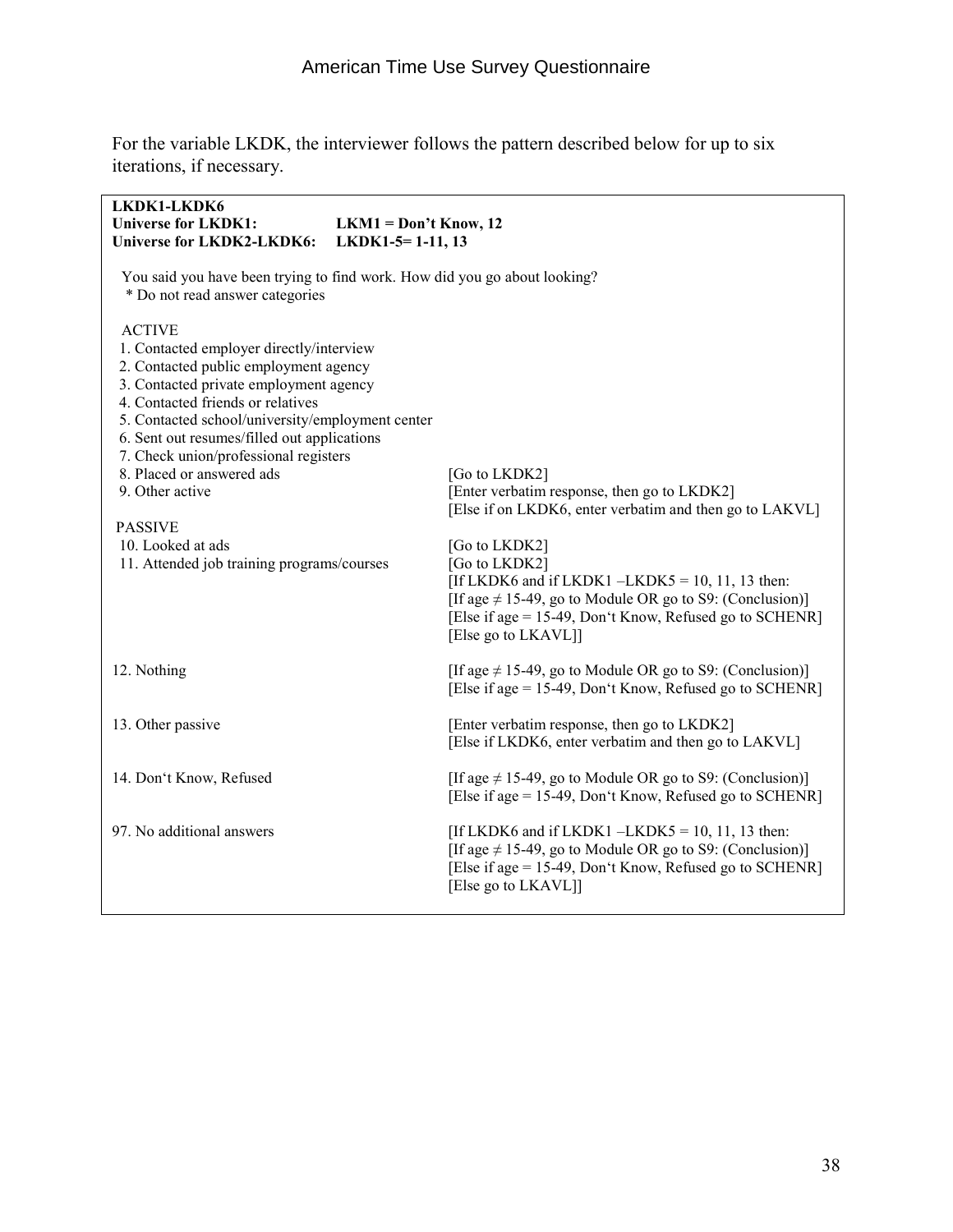For the variable LKDK, the interviewer follows the pattern described below for up to six iterations, if necessary.

| LKDK1-LKDK6<br><b>Universe for LKDK1:</b><br><b>Universe for LKDK2-LKDK6:</b>                                                                                                                                                                                                                                                                                                                                                                                      | $LKM1 = Don't Know, 12$<br>$LKDK1-5=1-11, 13$ |                                                                                                                                                                                                                                                                                  |  |
|--------------------------------------------------------------------------------------------------------------------------------------------------------------------------------------------------------------------------------------------------------------------------------------------------------------------------------------------------------------------------------------------------------------------------------------------------------------------|-----------------------------------------------|----------------------------------------------------------------------------------------------------------------------------------------------------------------------------------------------------------------------------------------------------------------------------------|--|
| You said you have been trying to find work. How did you go about looking?<br>* Do not read answer categories                                                                                                                                                                                                                                                                                                                                                       |                                               |                                                                                                                                                                                                                                                                                  |  |
| <b>ACTIVE</b><br>1. Contacted employer directly/interview<br>2. Contacted public employment agency<br>3. Contacted private employment agency<br>4. Contacted friends or relatives<br>5. Contacted school/university/employment center<br>6. Sent out resumes/filled out applications<br>7. Check union/professional registers<br>8. Placed or answered ads<br>9. Other active<br><b>PASSIVE</b><br>10. Looked at ads<br>11. Attended job training programs/courses |                                               | [Go to LKDK2]<br>[Enter verbatim response, then go to LKDK2]<br>[Else if on LKDK6, enter verbatim and then go to LAKVL]<br>[Go to LKDK2]<br>[Go to LKDK2]<br>[If LKDK6 and if LKDK1 $-LKDK5 = 10, 11, 13$ then:<br>[If age $\neq$ 15-49, go to Module OR go to S9: (Conclusion)] |  |
|                                                                                                                                                                                                                                                                                                                                                                                                                                                                    |                                               | [Else if age = 15-49, Don't Know, Refused go to SCHENR]<br>[Else go to LKAVL]]                                                                                                                                                                                                   |  |
| 12. Nothing                                                                                                                                                                                                                                                                                                                                                                                                                                                        |                                               | [If age $\neq$ 15-49, go to Module OR go to S9: (Conclusion)]<br>[Else if age = 15-49, Don't Know, Refused go to SCHENR]                                                                                                                                                         |  |
| 13. Other passive                                                                                                                                                                                                                                                                                                                                                                                                                                                  |                                               | [Enter verbatim response, then go to LKDK2]<br>[Else if LKDK6, enter verbatim and then go to LAKVL]                                                                                                                                                                              |  |
| 14. Don't Know, Refused                                                                                                                                                                                                                                                                                                                                                                                                                                            |                                               | [If age $\neq$ 15-49, go to Module OR go to S9: (Conclusion)]<br>[Else if age = 15-49, Don't Know, Refused go to SCHENR]                                                                                                                                                         |  |
| 97. No additional answers                                                                                                                                                                                                                                                                                                                                                                                                                                          |                                               | [If LKDK6 and if LKDK1 $-LKDK5 = 10$ , 11, 13 then:<br>[If age $\neq$ 15-49, go to Module OR go to S9: (Conclusion)]<br>[Else if age = 15-49, Don't Know, Refused go to SCHENR]<br>[Else go to LKAVL]]                                                                           |  |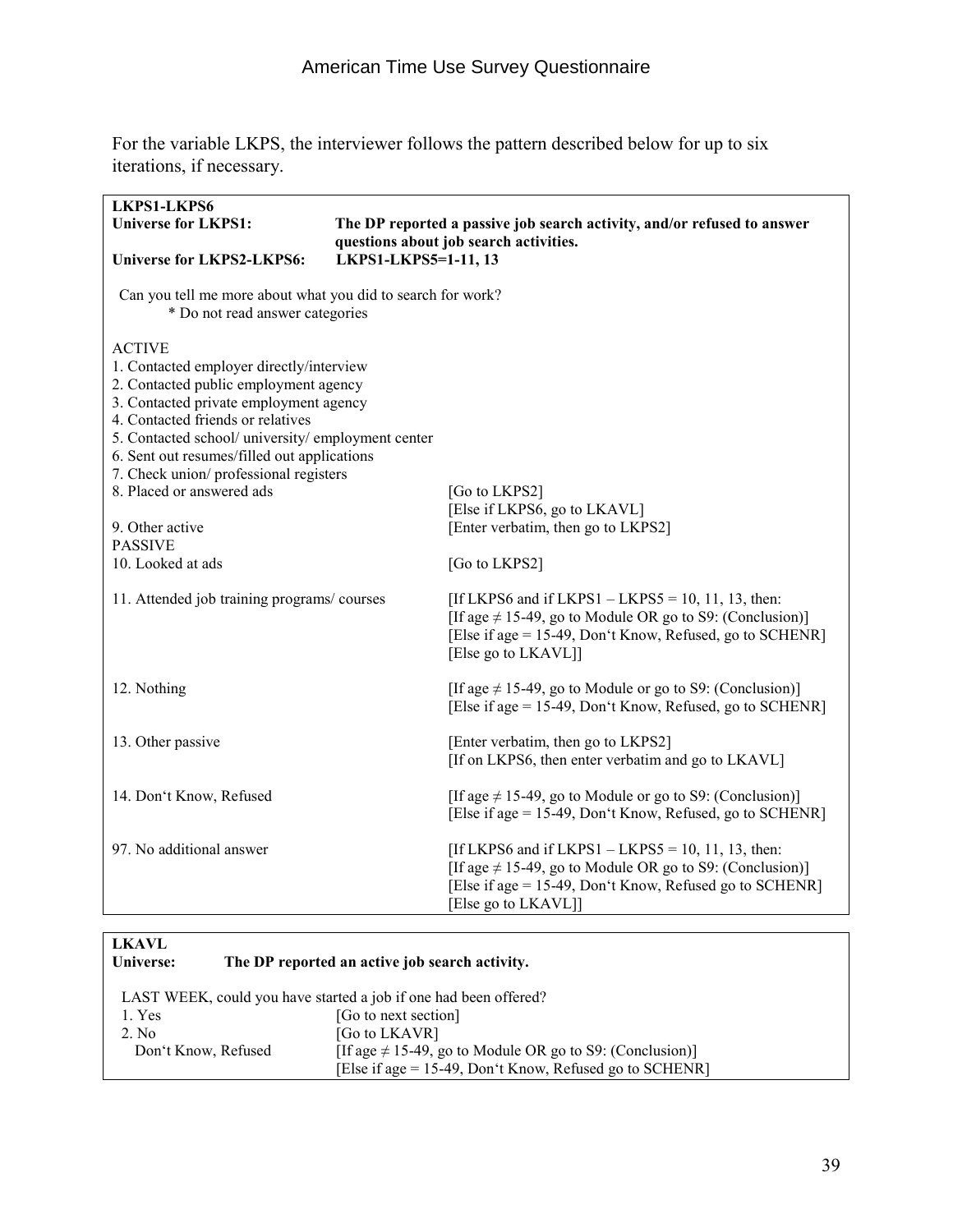For the variable LKPS, the interviewer follows the pattern described below for up to six iterations, if necessary.

| <b>LKPS1-LKPS6</b><br><b>Universe for LKPS1:</b>                                                                                                                                                                                                                                                                                                                                                                       |                      | The DP reported a passive job search activity, and/or refused to answer                                                                                                                                  |
|------------------------------------------------------------------------------------------------------------------------------------------------------------------------------------------------------------------------------------------------------------------------------------------------------------------------------------------------------------------------------------------------------------------------|----------------------|----------------------------------------------------------------------------------------------------------------------------------------------------------------------------------------------------------|
| <b>Universe for LKPS2-LKPS6:</b>                                                                                                                                                                                                                                                                                                                                                                                       | LKPS1-LKPS5=1-11, 13 | questions about job search activities.                                                                                                                                                                   |
| Can you tell me more about what you did to search for work?<br>* Do not read answer categories                                                                                                                                                                                                                                                                                                                         |                      |                                                                                                                                                                                                          |
| <b>ACTIVE</b><br>1. Contacted employer directly/interview<br>2. Contacted public employment agency<br>3. Contacted private employment agency<br>4. Contacted friends or relatives<br>5. Contacted school/ university/ employment center<br>6. Sent out resumes/filled out applications<br>7. Check union/professional registers<br>8. Placed or answered ads<br>9. Other active<br><b>PASSIVE</b><br>10. Looked at ads |                      | [Go to LKPS2]<br>[Else if LKPS6, go to LKAVL]<br>[Enter verbatim, then go to LKPS2]<br>[Go to LKPS2]                                                                                                     |
| 11. Attended job training programs/courses                                                                                                                                                                                                                                                                                                                                                                             |                      | [If LKPS6 and if LKPS1 $-$ LKPS5 = 10, 11, 13, then:<br>[If age $\neq$ 15-49, go to Module OR go to S9: (Conclusion)]<br>[Else if age = 15-49, Don't Know, Refused, go to SCHENR]<br>[Else go to LKAVL]] |
| 12. Nothing                                                                                                                                                                                                                                                                                                                                                                                                            |                      | [If age $\neq$ 15-49, go to Module or go to S9: (Conclusion)]<br>[Else if age = 15-49, Don't Know, Refused, go to SCHENR]                                                                                |
| 13. Other passive                                                                                                                                                                                                                                                                                                                                                                                                      |                      | [Enter verbatim, then go to LKPS2]<br>[If on LKPS6, then enter verbatim and go to LKAVL]                                                                                                                 |
| 14. Don't Know, Refused                                                                                                                                                                                                                                                                                                                                                                                                |                      | [If age $\neq$ 15-49, go to Module or go to S9: (Conclusion)]<br>[Else if age = 15-49, Don't Know, Refused, go to SCHENR]                                                                                |
| 97. No additional answer                                                                                                                                                                                                                                                                                                                                                                                               |                      | [If LKPS6 and if LKPS1 $-$ LKPS5 = 10, 11, 13, then:<br>[If age $\neq$ 15-49, go to Module OR go to S9: (Conclusion)]<br>[Else if age = 15-49, Don't Know, Refused go to SCHENR]<br>[Else go to LKAVL]]  |

| <b>LKAVL</b>        |                                                                  |
|---------------------|------------------------------------------------------------------|
| Universe:           | The DP reported an active job search activity.                   |
|                     | LAST WEEK, could you have started a job if one had been offered? |
| 1. Yes              | [Go to next section]                                             |
| 2. No               | [Go to LKAVR]                                                    |
| Don't Know, Refused | [If age $\neq$ 15-49, go to Module OR go to S9: (Conclusion)]    |
|                     | [Else if age = 15-49, Don't Know, Refused go to SCHENR]          |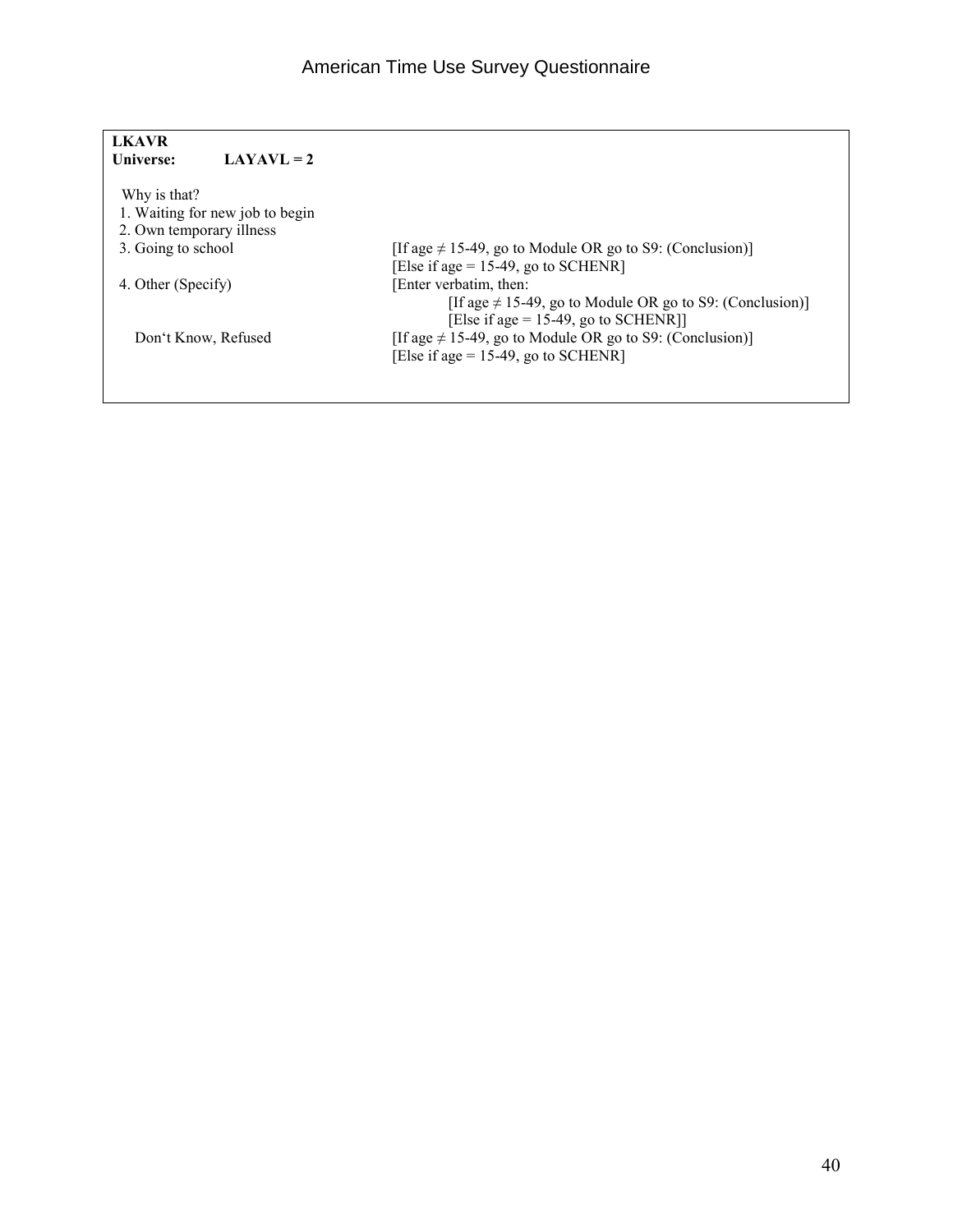| <b>LKAVR</b>             |                                 |                                                                                                          |
|--------------------------|---------------------------------|----------------------------------------------------------------------------------------------------------|
| Universe:                | $LAYAVL = 2$                    |                                                                                                          |
| Why is that?             |                                 |                                                                                                          |
|                          | 1. Waiting for new job to begin |                                                                                                          |
| 2. Own temporary illness |                                 |                                                                                                          |
| 3. Going to school       |                                 | [If age $\neq$ 15-49, go to Module OR go to S9: (Conclusion)]<br>[Else if age = $15-49$ , go to SCHENR]  |
| 4. Other (Specify)       |                                 | [Enter verbatim, then:                                                                                   |
|                          |                                 | [If age $\neq$ 15-49, go to Module OR go to S9: (Conclusion)]<br>[Else if age = $15-49$ , go to SCHENR]] |
|                          | Don't Know, Refused             | [If age $\neq$ 15-49, go to Module OR go to S9: (Conclusion)]                                            |
|                          |                                 | [Else if age = $15-49$ , go to SCHENR]                                                                   |
|                          |                                 |                                                                                                          |
|                          |                                 |                                                                                                          |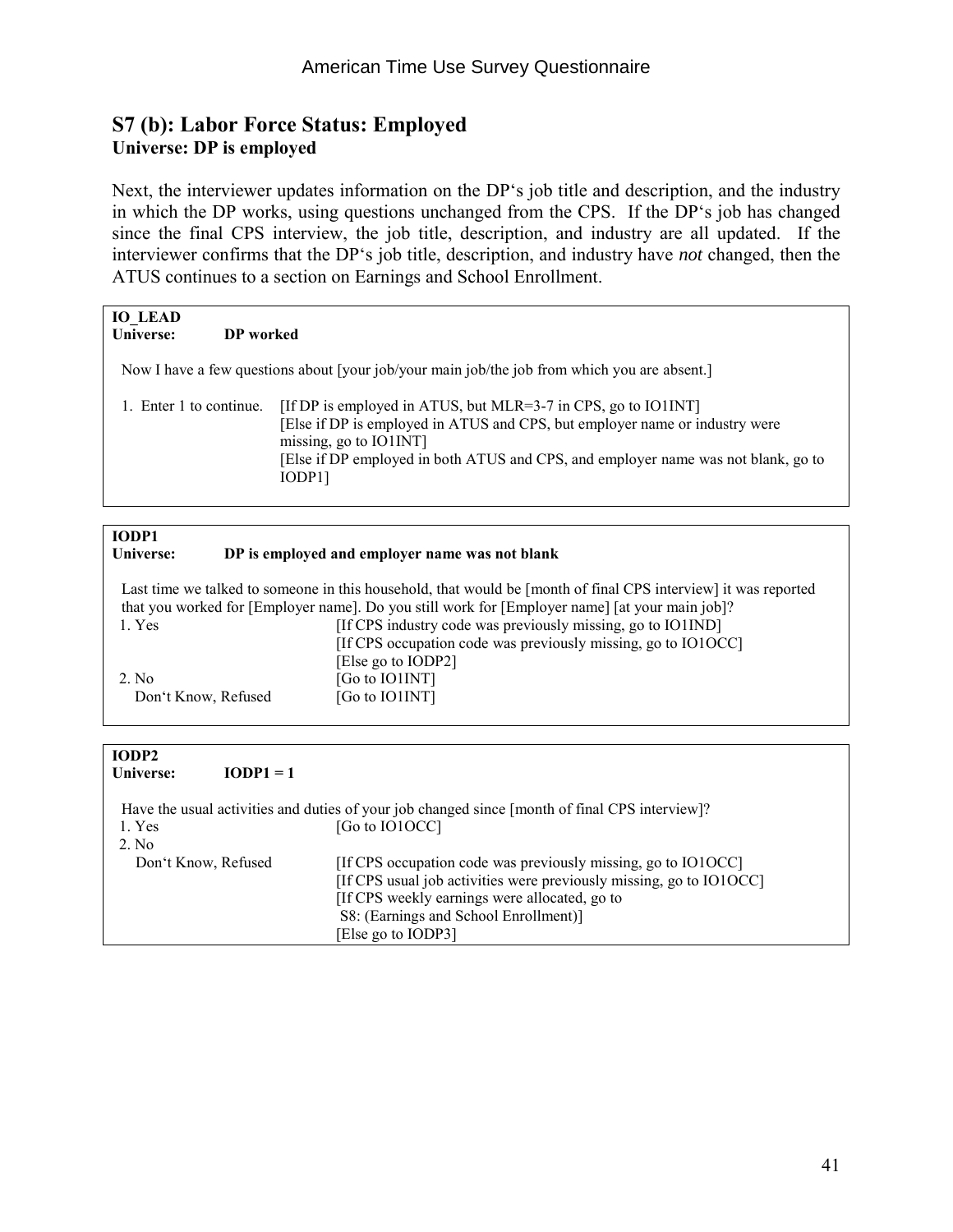#### **S7 (b): Labor Force Status: Employed Universe: DP is employed**

Next, the interviewer updates information on the DP's job title and description, and the industry in which the DP works, using questions unchanged from the CPS. If the DP's job has changed since the final CPS interview, the job title, description, and industry are all updated. If the interviewer confirms that the DP's job title, description, and industry have *not* changed, then the ATUS continues to a section on Earnings and School Enrollment.

| <b>IO LEAD</b><br>Universe: | DP worked |                                                                                                                                                                                                                                                                        |
|-----------------------------|-----------|------------------------------------------------------------------------------------------------------------------------------------------------------------------------------------------------------------------------------------------------------------------------|
|                             |           | Now I have a few questions about [your job/your main job/the job from which you are absent.]                                                                                                                                                                           |
| 1. Enter 1 to continue.     |           | [If DP is employed in ATUS, but MLR=3-7 in CPS, go to IO1INT]<br>[Else if DP is employed in ATUS and CPS, but employer name or industry were<br>missing, go to $IO1INT$<br>[Else if DP employed in both ATUS and CPS, and employer name was not blank, go to<br>IODP11 |

| IODP1               |                                                                                                                |
|---------------------|----------------------------------------------------------------------------------------------------------------|
| Universe:           | DP is employed and employer name was not blank                                                                 |
|                     |                                                                                                                |
|                     | Last time we talked to someone in this household, that would be [month of final CPS interview] it was reported |
|                     | that you worked for [Employer name]. Do you still work for [Employer name] [at your main job]?                 |
| 1. Yes              | [If CPS industry code was previously missing, go to IO1IND]                                                    |
|                     | [If CPS occupation code was previously missing, go to IO1OCC]                                                  |
|                     | [Else go to IODP2]                                                                                             |
| 2. No               | [Go to IO1INT]                                                                                                 |
| Don't Know, Refused | [Go to IO1INT]                                                                                                 |
|                     |                                                                                                                |

| IODP2<br>Universe:  | $IOPP1 = 1$ |                                                                                                |
|---------------------|-------------|------------------------------------------------------------------------------------------------|
|                     |             | Have the usual activities and duties of your job changed since [month of final CPS interview]? |
| 1. Yes              |             | [Go to IO1OCC]                                                                                 |
| 2. No               |             |                                                                                                |
| Don't Know, Refused |             | [If CPS occupation code was previously missing, go to IO1OCC]                                  |
|                     |             | [If CPS usual job activities were previously missing, go to IO1OCC]                            |
|                     |             | [If CPS weekly earnings were allocated, go to                                                  |
|                     |             | S8: (Earnings and School Enrollment)]                                                          |
|                     |             | [Else go to IODP3]                                                                             |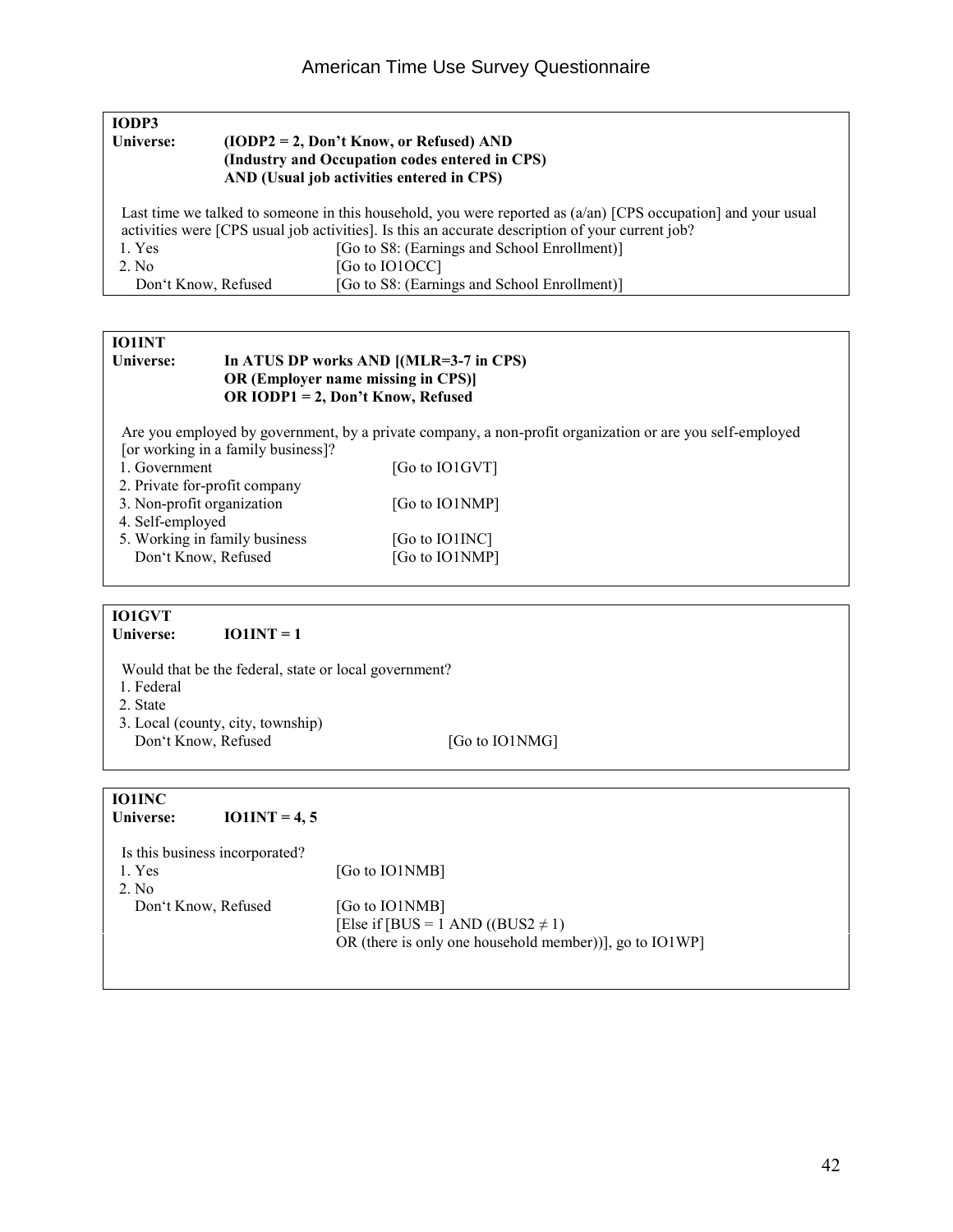| IODP3               |                                                                                                                                                                                                                            |
|---------------------|----------------------------------------------------------------------------------------------------------------------------------------------------------------------------------------------------------------------------|
| Universe:           | $(10DP2 = 2, Don't Know, or Refused) AND$                                                                                                                                                                                  |
|                     | (Industry and Occupation codes entered in CPS)                                                                                                                                                                             |
|                     | AND (Usual job activities entered in CPS)                                                                                                                                                                                  |
|                     | Last time we talked to someone in this household, you were reported as $(a/\text{an})$ [CPS occupation] and your usual<br>activities were [CPS usual job activities]. Is this an accurate description of your current job? |
| 1. Yes              | [Go to S8: (Earnings and School Enrollment)]                                                                                                                                                                               |
| 2. No               | [Go to IO1OCC]                                                                                                                                                                                                             |
| Don't Know, Refused | [Go to S8: (Earnings and School Enrollment)]                                                                                                                                                                               |

## **IO1INT**<br>**Universe:**

#### In ATUS DP works AND [(MLR=3-7 in CPS)  **OR (Employer name missing in CPS)] OR IODP1 = 2, Don't Know, Refused**

 Are you employed by government, by a private company, a non-profit organization or are you self-employed [or working in a family business]?

| 1. Government                 | [Go to IO1GVT] |
|-------------------------------|----------------|
| 2. Private for-profit company |                |
| 3. Non-profit organization    | [Go to IO1NMP] |
| 4. Self-employed              |                |
| 5. Working in family business | [Go to IO1INC] |
| Don't Know, Refused           | [Go to IO1NMP] |
|                               |                |

## **IO1GVT**

**IO1INT = 1** 

Would that be the federal, state or local government?

- 1. Federal
- 2. State
- 3. Local (county, city, township) Don't Know, Refused [Go to IO1NMG]

### **IO1INC**

| Universe:                      | $IO1INT = 4, 5$ |                                                            |
|--------------------------------|-----------------|------------------------------------------------------------|
| Is this business incorporated? |                 |                                                            |
| 1. Yes                         |                 | [Go to IO1NMB]                                             |
| $2$ No                         |                 |                                                            |
| Don't Know, Refused            |                 | [Go to IO1NMB]                                             |
|                                |                 | [Else if [BUS = 1 AND ((BUS2 $\neq$ 1)                     |
|                                |                 | OR (there is only one household member))], go to $IO1WP$ ] |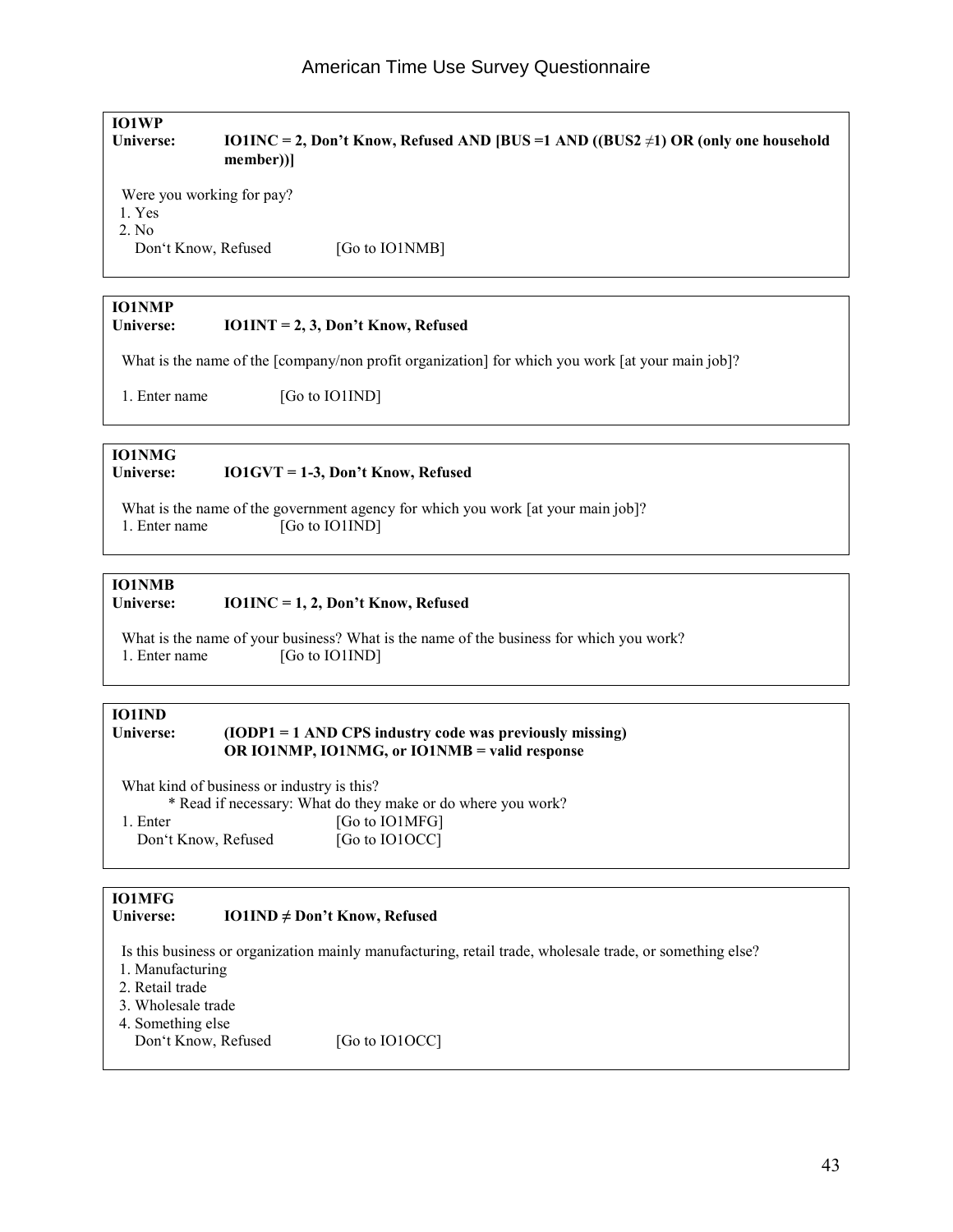### **IO1WP Universe: IO1INC = 2, Don't Know, Refused AND [BUS =1 AND ((BUS2** ≠**1) OR (only one household member))]**  Were you working for pay? 1. Yes 2. No Don't Know, Refused [Go to IO1NMB] **IO1NMP Universe: IO1INT = 2, 3, Don't Know, Refused** What is the name of the [company/non profit organization] for which you work [at your main job]? 1. Enter name [Go to IO1IND]

### **IO1NMG**

#### **Universe: IO1GVT = 1-3, Don't Know, Refused**

What is the name of the government agency for which you work [at your main job]? 1. Enter name [Go to IO1IND]

### **IO1NMB**

#### **Universe: IO1INC = 1, 2, Don't Know, Refused**

What is the name of your business? What is the name of the business for which you work? 1. Enter name [Go to IO1IND]

### **IO1IND**

#### **Universe: (IODP1 = 1 AND CPS industry code was previously missing) OR IO1NMP, IO1NMG, or IO1NMB = valid response**

 What kind of business or industry is this? \* Read if necessary: What do they make or do where you work? 1. Enter [Go to IO1MFG] Don't Know, Refused [Go to IO1OCC]

### **IO1MFG**

#### **Universe: IO1IND ≠ Don't Know, Refused**

Is this business or organization mainly manufacturing, retail trade, wholesale trade, or something else?

- 1. Manufacturing
- 2. Retail trade
- 3. Wholesale trade
- 4. Something else
	- Don't Know, Refused [Go to IO1OCC]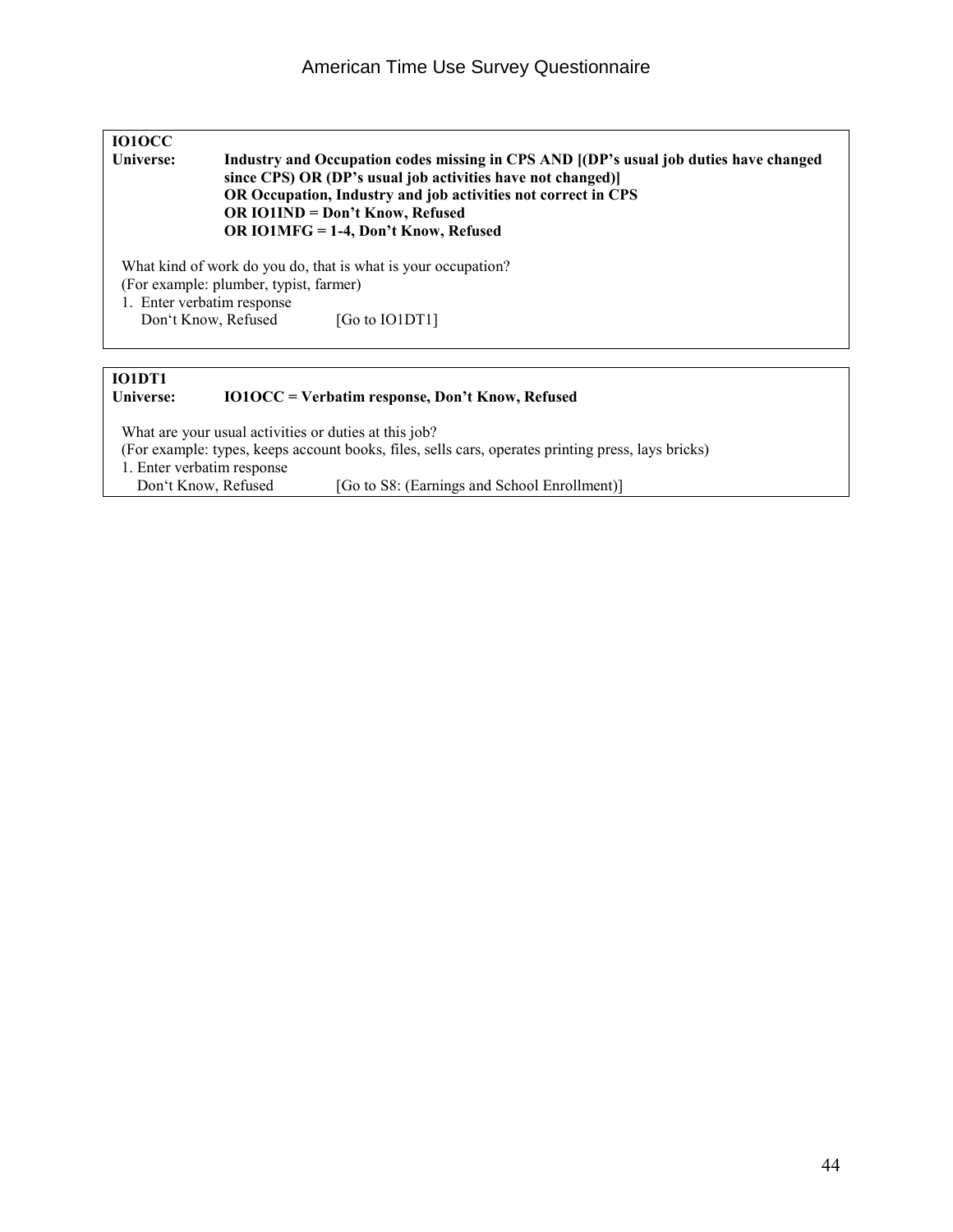| <b>IO10CC</b><br>Universe:                        | Industry and Occupation codes missing in CPS AND [(DP's usual job duties have changed<br>since CPS) OR (DP's usual job activities have not changed)]<br>OR Occupation, Industry and job activities not correct in CPS<br>OR IO1IND = Don't Know, Refused<br>OR IO1MFG = 1-4, Don't Know, Refused |  |
|---------------------------------------------------|--------------------------------------------------------------------------------------------------------------------------------------------------------------------------------------------------------------------------------------------------------------------------------------------------|--|
| 1. Enter verbatim response<br>Don't Know, Refused | What kind of work do you do, that is what is your occupation?<br>(For example: plumber, typist, farmer)<br>[Go to IO1DT1]                                                                                                                                                                        |  |

#### **IO1DT1 Universe: IO1OCC = Verbatim response, Don't Know, Refused**

What are your usual activities or duties at this job? (For example: types, keeps account books, files, sells cars, operates printing press, lays bricks) 1. Enter verbatim response<br>Don't Know, Refused

[Go to S8: (Earnings and School Enrollment)]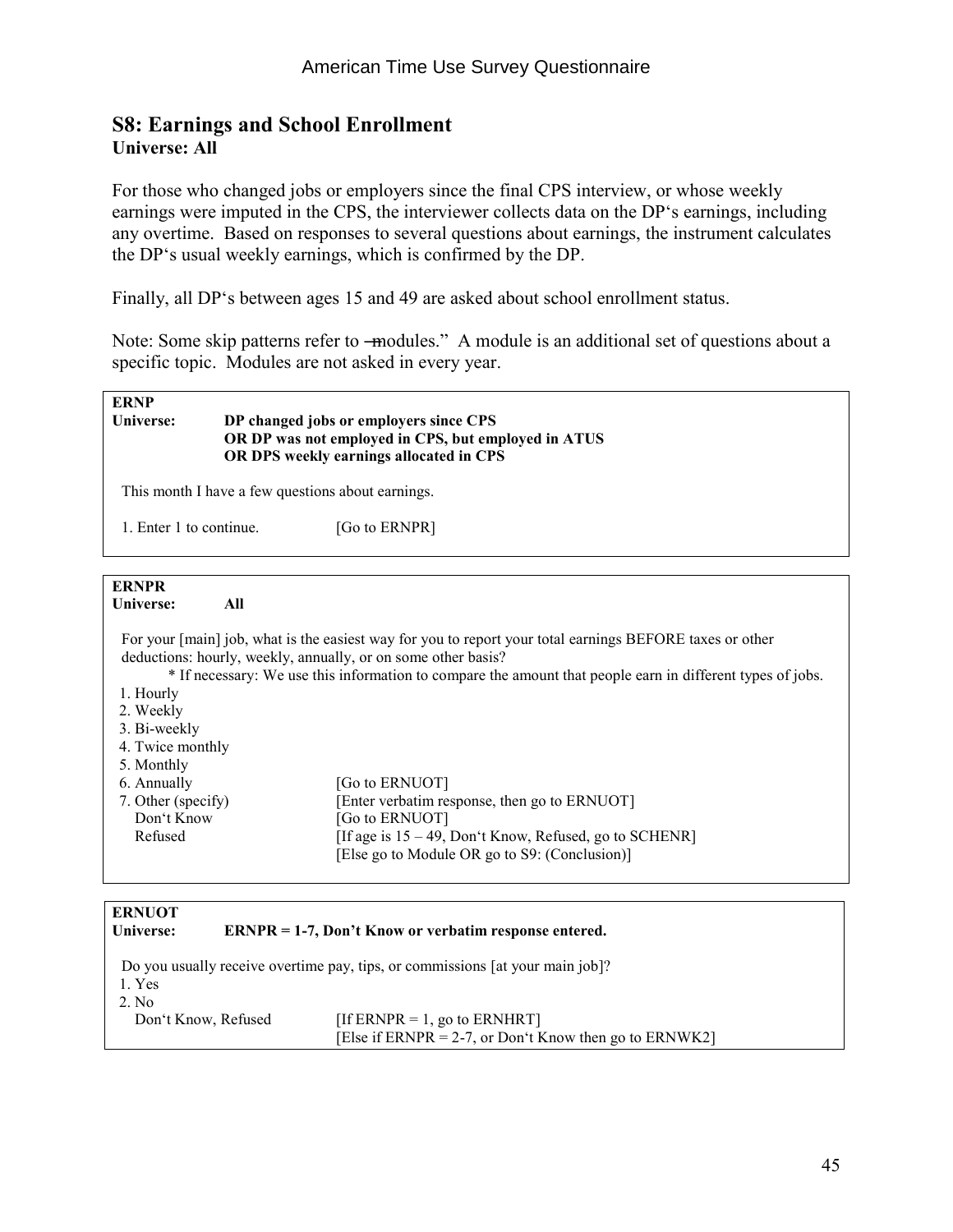#### **S8: Earnings and School Enrollment Universe: All**

For those who changed jobs or employers since the final CPS interview, or whose weekly earnings were imputed in the CPS, the interviewer collects data on the DP's earnings, including any overtime. Based on responses to several questions about earnings, the instrument calculates the DP's usual weekly earnings, which is confirmed by the DP.

Finally, all DP's between ages 15 and 49 are asked about school enrollment status.

Note: Some skip patterns refer to —modules." A module is an additional set of questions about a specific topic. Modules are not asked in every year.

#### **ERNP Universe: DP changed jobs or employers since CPS OR DP was not employed in CPS, but employed in ATUS OR DPS weekly earnings allocated in CPS**

This month I have a few questions about earnings.

1. Enter 1 to continue. [Go to ERNPR]

#### **ERNPR**

**Universe: All** 

 For your [main] job, what is the easiest way for you to report your total earnings BEFORE taxes or other deductions: hourly, weekly, annually, or on some other basis?

\* If necessary: We use this information to compare the amount that people earn in different types of jobs.

- 1. Hourly
- 2. Weekly
- 3. Bi-weekly
- 4. Twice monthly
- 5. Monthly
- 

| 6. Annually        | [Go to ERNUOT]                                            |
|--------------------|-----------------------------------------------------------|
| 7. Other (specify) | [Enter verbatim response, then go to ERNUOT]              |
| Don't Know         | [Go to ERNUOT]                                            |
| Refused            | [If age is $15 - 49$ , Don't Know, Refused, go to SCHENR] |
|                    | [Else go to Module OR go to S9: (Conclusion)]             |

| <b>ERNUOT</b><br>Universe: | $ERNPR = 1-7$ , Don't Know or verbatim response entered.                               |
|----------------------------|----------------------------------------------------------------------------------------|
| 1. Yes<br>2. No            | Do you usually receive overtime pay, tips, or commissions [at your main job]?          |
| Don't Know, Refused        | [If ERNPR = 1, go to ERNHRT]<br>[Else if ERNPR = 2-7, or Don't Know then go to ERNWK2] |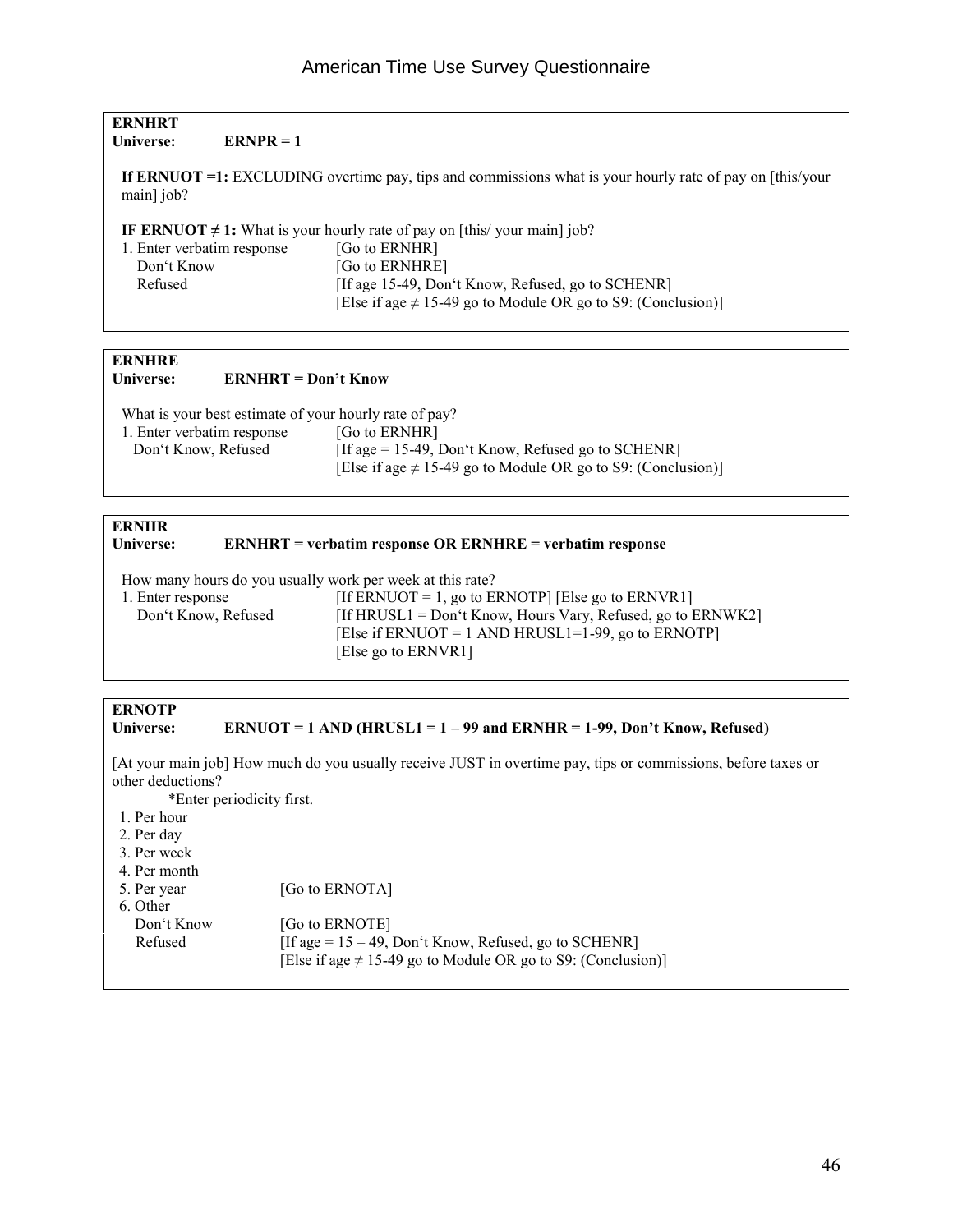| <b>ERNHRT</b><br>Universe:<br>$ERNPR = 1$                                     |                                                                                                          |  |
|-------------------------------------------------------------------------------|----------------------------------------------------------------------------------------------------------|--|
| main] job?                                                                    | If ERNUOT =1: EXCLUDING overtime pay, tips and commissions what is your hourly rate of pay on [this/your |  |
| IF ERNUOT $\neq$ 1: What is your hourly rate of pay on [this/ your main] job? |                                                                                                          |  |
| 1. Enter verbatim response                                                    | [Go to ERNHR]                                                                                            |  |
| Don't Know                                                                    | [Go to ERNHRE]                                                                                           |  |
| Refused                                                                       | [If age 15-49, Don't Know, Refused, go to SCHENR]                                                        |  |
|                                                                               | [Else if age $\neq$ 15-49 go to Module OR go to S9: (Conclusion)]                                        |  |
|                                                                               |                                                                                                          |  |
| <b>ERNHRE</b>                                                                 |                                                                                                          |  |
| Universe:<br>$ERNHRT = Don't Know$                                            |                                                                                                          |  |

What is your best estimate of your hourly rate of pay?

| 1. Enter verbatim response | [Go to ERNHR]                                                     |
|----------------------------|-------------------------------------------------------------------|
| Don't Know, Refused        | [If age $= 15-49$ , Don't Know, Refused go to SCHENR]             |
|                            | [Else if age $\neq$ 15-49 go to Module OR go to S9: (Conclusion)] |

### **ERNHR**

#### **Universe: ERNHRT = verbatim response OR ERNHRE = verbatim response**

How many hours do you usually work per week at this rate?

| 1. Enter response   | [If ERNUOT = 1, go to ERNOTP] [Else go to ERNVR1]              |
|---------------------|----------------------------------------------------------------|
| Don't Know, Refused | [If HRUSL1 = Don't Know, Hours Vary, Refused, go to $ERNWK2$ ] |
|                     | [Else if ERNUOT = 1 AND HRUSL1=1-99, go to ERNOTP]             |
|                     | [Else go to ERNVR1]                                            |

#### **ERNOTP ERNUOT = 1 AND (HRUSL1 = 1 – 99 and ERNHR = 1-99, Don't Know, Refused)**

[At your main job] How much do you usually receive JUST in overtime pay, tips or commissions, before taxes or other deductions?

\*Enter periodicity first.

- 1. Per hour
- 2. Per day
- 3. Per week
- 4. Per month

| 4. PEI IIIOIIUI                                                     |  |
|---------------------------------------------------------------------|--|
| [Go to ERNOTA]<br>5. Per year                                       |  |
| 6. Other                                                            |  |
| [Go to ERNOTE]<br>Don't Know                                        |  |
| [If age $= 15 - 49$ , Don't Know, Refused, go to SCHENR]<br>Refused |  |
| [Else if age $\neq$ 15-49 go to Module OR go to S9: (Conclusion)]   |  |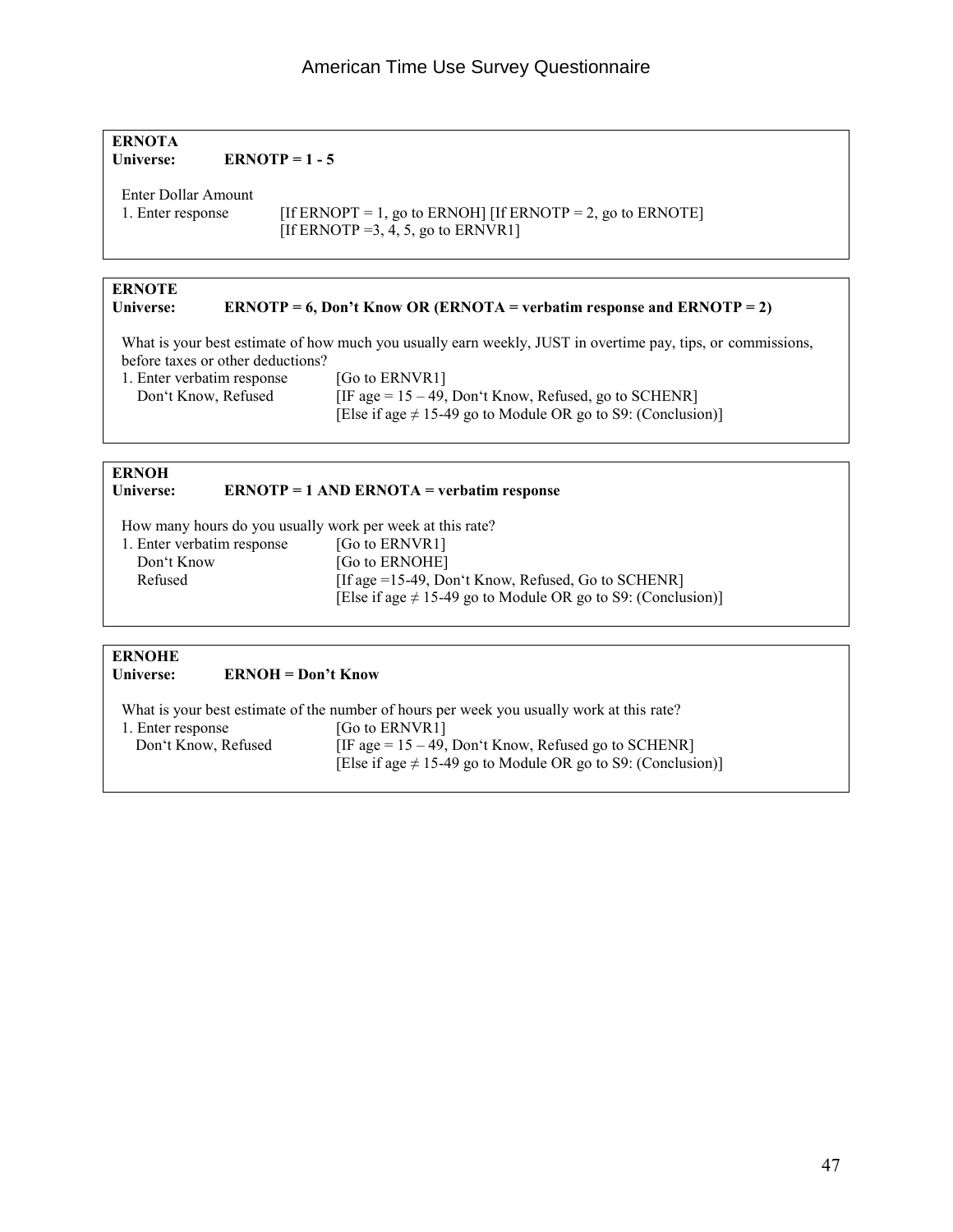#### American Time Use Survey Questionnaire

#### **ERNOTA Universe: ERNOTP = 1 - 5**

Enter Dollar Amount

1. Enter response [If ERNOPT = 1, go to ERNOH] [If ERNOTP = 2, go to ERNOTE] [If ERNOTP = 3, 4, 5, go to ERNVR1]

## **ERNOTE**

#### **ERNOTP = 6, Don't Know OR (ERNOTA = verbatim response and ERNOTP = 2)**

 What is your best estimate of how much you usually earn weekly, JUST in overtime pay, tips, or commissions, before taxes or other deductions?

1. Enter verbatim response [Go to ERNVR1]<br>Don't Know, Refused [IF age =  $15 - 49$ ,

 $[IF age = 15 - 49, Don't Know, Refused, go to SCHERR]$ [Else if age  $\neq$  15-49 go to Module OR go to S9: (Conclusion)]

### **ERNOH**<br>**Universe:**

#### **Universe: ERNOTP = 1 AND ERNOTA = verbatim response**

How many hours do you usually work per week at this rate?

| 1. Enter verbatim response | [Go to ERNVR1]                                                    |
|----------------------------|-------------------------------------------------------------------|
| Don't Know                 | [Go to ERNOHE]                                                    |
| Refused                    | [If age $=15-49$ , Don't Know, Refused, Go to SCHENR]             |
|                            | [Else if age $\neq$ 15-49 go to Module OR go to S9: (Conclusion)] |

#### **ERNOHE ERNOH = Don't Know**

|                     | What is your best estimate of the number of hours per week you usually work at this rate? |
|---------------------|-------------------------------------------------------------------------------------------|
| 1. Enter response   | [Go to ERNVR1]                                                                            |
| Don't Know, Refused | [IF age = $15 - 49$ , Don't Know, Refused go to SCHENR]                                   |
|                     | [Else if age $\neq$ 15-49 go to Module OR go to S9: (Conclusion)]                         |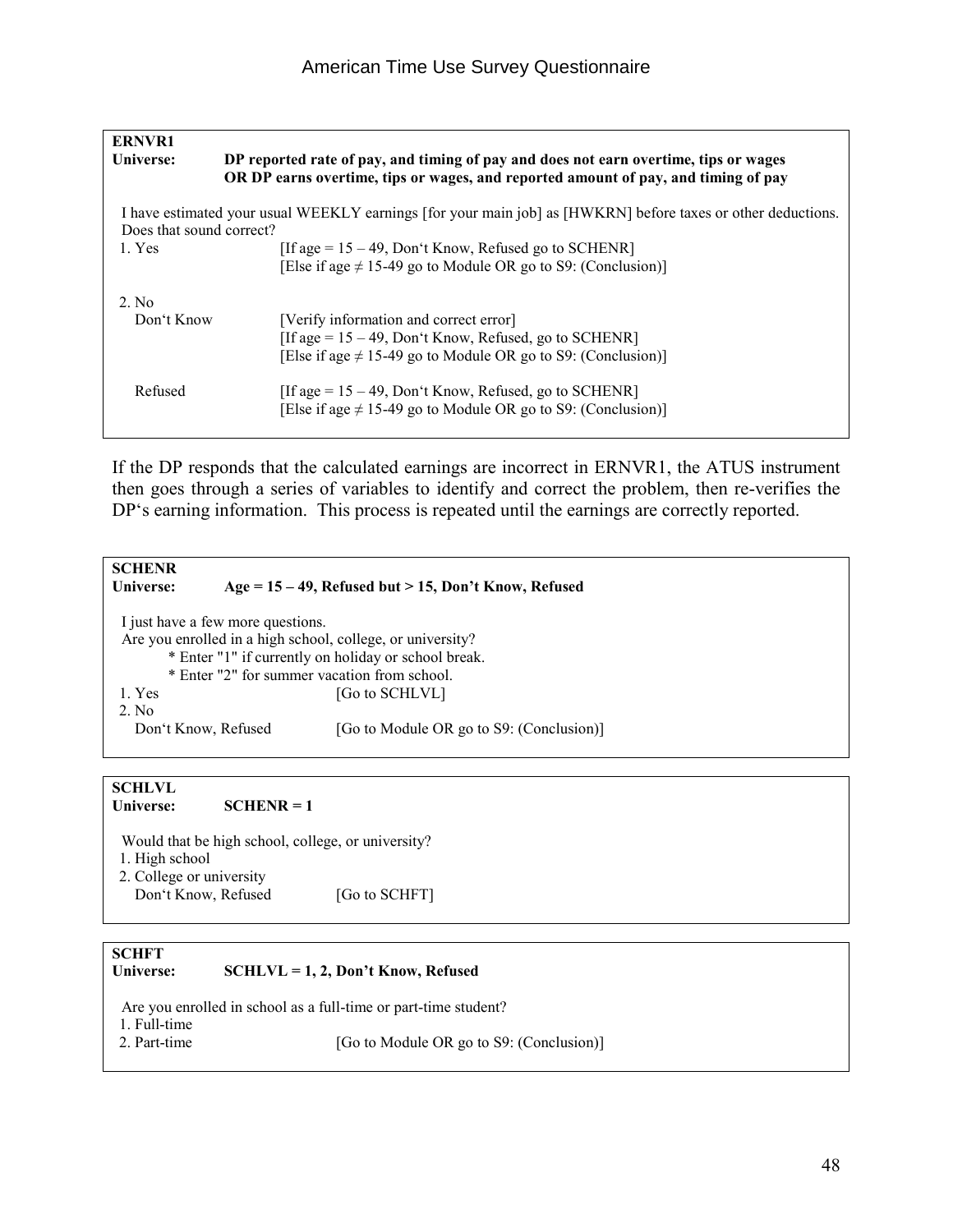| <b>ERNVR1</b>            |                                                                                                                                                                            |
|--------------------------|----------------------------------------------------------------------------------------------------------------------------------------------------------------------------|
| Universe:                | DP reported rate of pay, and timing of pay and does not earn overtime, tips or wages<br>OR DP earns overtime, tips or wages, and reported amount of pay, and timing of pay |
| Does that sound correct? | I have estimated your usual WEEKLY earnings [for your main job] as [HWKRN] before taxes or other deductions.                                                               |
| 1. Yes                   | [If age = $15 - 49$ , Don't Know, Refused go to SCHENR]<br>[Else if age $\neq$ 15-49 go to Module OR go to S9: (Conclusion)]                                               |
| 2. No                    |                                                                                                                                                                            |
| Don't Know               | [Verify information and correct error]<br>[If age = $15 - 49$ , Don't Know, Refused, go to SCHENR]<br>[Else if age $\neq$ 15-49 go to Module OR go to S9: (Conclusion)]    |
| Refused                  | [If age = $15 - 49$ , Don't Know, Refused, go to SCHENR]<br>[Else if age $\neq$ 15-49 go to Module OR go to S9: (Conclusion)]                                              |

If the DP responds that the calculated earnings are incorrect in ERNVR1, the ATUS instrument then goes through a series of variables to identify and correct the problem, then re-verifies the DP's earning information. This process is repeated until the earnings are correctly reported.

| <b>SCHENR</b><br>Universe:                                 |                                                      | $Age = 15 - 49$ , Refused but > 15, Don't Know, Refused |
|------------------------------------------------------------|------------------------------------------------------|---------------------------------------------------------|
|                                                            | I just have a few more questions.                    |                                                         |
| Are you enrolled in a high school, college, or university? |                                                      |                                                         |
|                                                            | * Enter "1" if currently on holiday or school break. |                                                         |
|                                                            | * Enter "2" for summer vacation from school.         |                                                         |
| 1. Yes                                                     |                                                      | [Go to SCHLVL]                                          |
| $2$ No                                                     |                                                      |                                                         |
| Don't Know, Refused                                        |                                                      | [Go to Module OR go to S9: (Conclusion)]                |
|                                                            |                                                      |                                                         |
|                                                            |                                                      |                                                         |

#### **SCHLVL**  Universe: **SCHENR = 1**

Would that be high school, college, or university?

- 1. High school
- 2. College or university Don't Know, Refused [Go to SCHFT]

#### **SCHFT**

#### **Universe: SCHLVL = 1, 2, Don't Know, Refused**

Are you enrolled in school as a full-time or part-time student?

- 1. Full-time
- 2. Part-time [Go to Module OR go to S9: (Conclusion)]